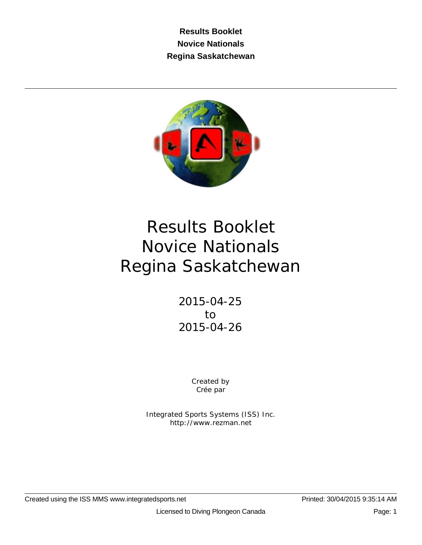**Results Booklet Novice Nationals Regina Saskatchewan**



# Results Booklet Novice Nationals Regina Saskatchewan

2015-04-25 to 2015-04-26

> Created by Crée par

Integrated Sports Systems (ISS) Inc. http://www.rezman.net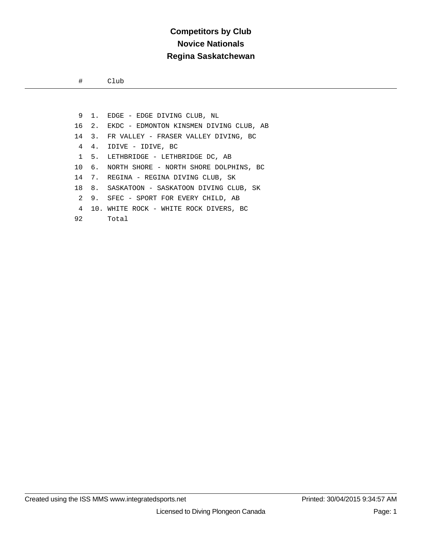#### **Competitors by Club Novice Nationals Regina Saskatchewan**

# Club

 9 1. EDGE - EDGE DIVING CLUB, NL 16 2. EKDC - EDMONTON KINSMEN DIVING CLUB, AB 14 3. FR VALLEY - FRASER VALLEY DIVING, BC 4 4. IDIVE - IDIVE, BC 1 5. LETHBRIDGE - LETHBRIDGE DC, AB 10 6. NORTH SHORE - NORTH SHORE DOLPHINS, BC 14 7. REGINA - REGINA DIVING CLUB, SK 18 8. SASKATOON - SASKATOON DIVING CLUB, SK 2 9. SFEC - SPORT FOR EVERY CHILD, AB 4 10. WHITE ROCK - WHITE ROCK DIVERS, BC 92 Total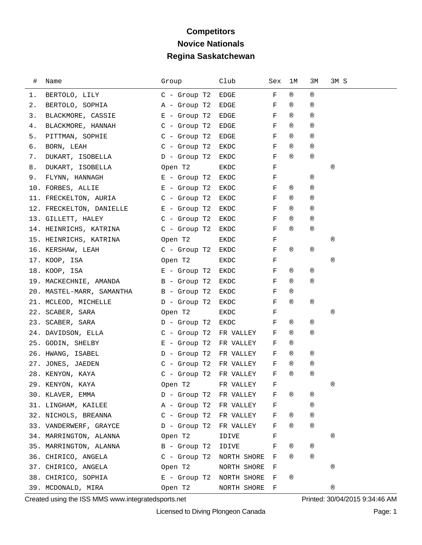# **Competitors Novice Nationals Regina Saskatchewan**

| #  | Name                      | Group                  | Club        | Sex | ıм             | ЗМ             | 3M S           |
|----|---------------------------|------------------------|-------------|-----|----------------|----------------|----------------|
| 1. | BERTOLO, LILY             | $C -$ Group T2         | EDGE        | F   | $^{\circledR}$ | ®              |                |
| 2. | BERTOLO, SOPHIA           | A - Group T2           | EDGE        | F   | ®              | ®              |                |
| 3. | BLACKMORE, CASSIE         | $E$ - Group T2         | EDGE        | F   | ®              | ®              |                |
| 4. | BLACKMORE, HANNAH         | $C -$ Group T2         | EDGE        | F   | $^{\circledR}$ | $^{\circledR}$ |                |
| 5. | PITTMAN, SOPHIE           | $C$ - Group T2         | EDGE        | F   | $^{\circledR}$ | ®              |                |
| 6. | BORN, LEAH                | $C -$ Group T2         | EKDC        | F   | ®              | ®              |                |
| 7. | DUKART, ISOBELLA          | $D -$ Group T2         | EKDC        | F   | $^{\circledR}$ | ®              |                |
| 8. | DUKART, ISOBELLA          | Open T2                | EKDC        | F   |                |                | ®              |
| 9. | FLYNN, HANNAGH            | $E -$ Group T2         | EKDC        | F   |                | ®              |                |
|    | 10. FORBES, ALLIE         | $E -$ Group T2         | EKDC        | F   | ®              | ®              |                |
|    | 11. FRECKELTON, AURIA     | $C$ - Group T2         | EKDC        | F   | ®              | ®              |                |
|    | 12. FRECKELTON, DANIELLE  | $E -$ Group T2         | EKDC        | F   | $^{\circledR}$ | $^{\circledR}$ |                |
|    | 13. GILLETT, HALEY        | $C -$ Group T2         | EKDC        | F   | ®              | ®              |                |
|    | 14. HEINRICHS, KATRINA    | $C -$ Group T2         | EKDC        | F   | $^{\circledR}$ | $^{\circledR}$ |                |
|    | 15. HEINRICHS, KATRINA    | Open T2                | EKDC        | F   |                |                | ®              |
|    | 16. KERSHAW, LEAH         | $C -$ Group T2         | EKDC        | F   | ®              | ®              |                |
|    | 17. KOOP, ISA             | Open T2                | EKDC        | F   |                |                | $^{\circledR}$ |
|    | 18. KOOP, ISA             | E - Group T2           | EKDC        | F   | ®              | ®              |                |
|    | 19. MACKECHNIE, AMANDA    | B - Group T2           | EKDC        | F   | ®              | ®              |                |
|    | 20. MASTEL-MARR, SAMANTHA | B - Group T2           | EKDC        | F   | ®              |                |                |
|    | 21. MCLEOD, MICHELLE      | D - Group T2           | EKDC        | F   | ®              | ®              |                |
|    | 22. SCABER, SARA          | Open T2                | EKDC        | F   |                |                | ®              |
|    | 23. SCABER, SARA          | D - Group T2           | EKDC        | F   | ®              | ®              |                |
|    | 24. DAVIDSON, ELLA        | $C -$ Group T2         | FR VALLEY   | F   | $^{\circledR}$ | ®              |                |
|    | 25. GODIN, SHELBY         | $E -$ Group T2         | FR VALLEY   | F   | ®              |                |                |
|    | 26. HWANG, ISABEL         | $D -$ Group T2         | FR VALLEY   | F   | ®              | ®              |                |
|    | 27. JONES, JAEDEN         | $C -$ Group T2         | FR VALLEY   | F   | ®              | ®              |                |
|    | 28. KENYON, KAYA          | C - Group T2 FR VALLEY |             | F   | $^{\circledR}$ | $^{\circledR}$ |                |
|    | 29. KENYON, KAYA          | Open T2                | FR VALLEY   | F   |                |                | ®              |
|    | 30. KLAVER, EMMA          | D - Group T2 FR VALLEY |             | F   | ®              | ®              |                |
|    | 31. LINGHAM, KAILEE       | A - Group T2           | FR VALLEY   | F   |                | ®              |                |
|    | 32. NICHOLS, BREANNA      | $C -$ Group T2         | FR VALLEY   | F   | ®              | ®              |                |
|    | 33. VANDERWERF, GRAYCE    | D - Group T2           | FR VALLEY   | F   | ®              | ®              |                |
|    | 34. MARRINGTON, ALANNA    | Open T2                | IDIVE       | F   |                |                | ®              |
|    | 35. MARRINGTON, ALANNA    | B - Group T2           | IDIVE       | F   | ®              | ®              |                |
|    | 36. CHIRICO, ANGELA       | $C -$ Group T2         | NORTH SHORE | F   | ®              | $^{\circledR}$ |                |
|    | 37. CHIRICO, ANGELA       | Open T2                | NORTH SHORE | F   |                |                | ®              |
|    | 38. CHIRICO, SOPHIA       | $E -$ Group T2         | NORTH SHORE | F   | ®              |                |                |
|    | 39. MCDONALD, MIRA        | Open T2                | NORTH SHORE | F   |                |                | ®              |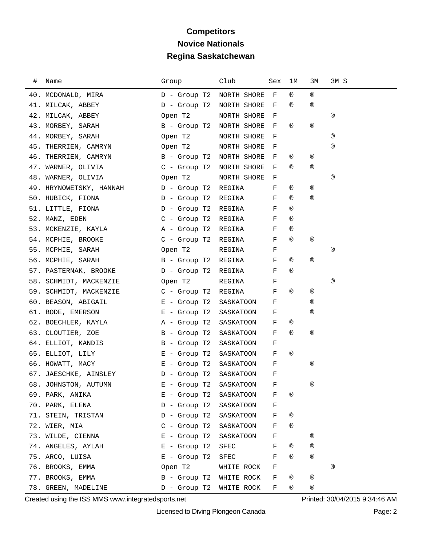# **Competitors Novice Nationals Regina Saskatchewan**

| # Name                                          | Group                    | Club         | Sex  | 1M             | ЗМ             | 3M S |
|-------------------------------------------------|--------------------------|--------------|------|----------------|----------------|------|
| 40. MCDONALD, MIRA                              | D - Group T2             | NORTH SHORE  | $-F$ | $^{\circledR}$ | $^{\circledR}$ |      |
| 41. MILCAK, ABBEY                               | D - Group T2 NORTH SHORE |              | F    | $^{\circledR}$ | $^{\circledR}$ |      |
| 42. MILCAK, ABBEY                               | Open T2                  | NORTH SHORE  | F    |                |                | ®    |
| 43. MORBEY, SARAH                               | B - Group T2 NORTH SHORE |              | F    | $^{\circledR}$ | $^{\circledR}$ |      |
| 44. MORBEY, SARAH                               | Open T2                  | NORTH SHORE  | F    |                |                | ®    |
| 45. THERRIEN, CAMRYN                            | Open T2                  | NORTH SHORE  | F    |                |                | ®    |
| 46. THERRIEN, CAMRYN B - Group T2 NORTH SHORE   |                          |              | F    | ®              | ®              |      |
| 47. WARNER, OLIVIA C - Group T2 NORTH SHORE     |                          |              | $-F$ | $^{\circledR}$ | ®              |      |
| 48. WARNER, OLIVIA<br><b>Example 12</b> Open T2 |                          | NORTH SHORE  | F    |                |                | ®    |
| 49. HRYNOWETSKY, HANNAH D - Group T2            |                          | REGINA       | F    | ®              | ®              |      |
| 50. HUBICK, FIONA<br>D - Group T2               |                          | REGINA       | F    | $^{\circledR}$ | $^{\circledR}$ |      |
| 51. LITTLE, FIONA                               | D - Group T2             | REGINA       | F    | $^{\circledR}$ |                |      |
| 52. MANZ, EDEN<br>C - Group T2                  |                          | REGINA       | F    | ®              |                |      |
| 53. MCKENZIE, KAYLA (Carl A - Group T2          |                          | REGINA       | F    | ®              |                |      |
| 54. MCPHIE, BROOKE C - Group T2                 |                          | REGINA       | F    | $^{\circledR}$ | ®              |      |
| 55. MCPHIE, SARAH                               | Open T2                  | REGINA       | F    |                |                | ®    |
| 56. MCPHIE, SARAH                               | B - Group T2             | REGINA       | F    | ®              | $^{\circledR}$ |      |
| 57. PASTERNAK, BROOKE D - Group T2              |                          | REGINA       | F    | $^{\circledR}$ |                |      |
| 58. SCHMIDT, MACKENZIE<br>Open T2               |                          | REGINA       | F    |                |                | ®    |
| 59. SCHMIDT, MACKENZIE C - Group T2             |                          | REGINA       | F    | ®              | ®              |      |
| 60. BEASON, ABIGAIL B = Group T2                |                          | SASKATOON    | F    |                | ®              |      |
| $E -$ Group T2<br>61. BODE, EMERSON             |                          | SASKATOON    | F    |                | ®              |      |
|                                                 |                          | SASKATOON    | F    | ®              |                |      |
| 63. CLOUTIER, ZOE                               | B - Group T2             | SASKATOON    | F    | ®              | ®              |      |
| 64. ELLIOT, KANDIS B - Group T2                 |                          | SASKATOON    | F    |                |                |      |
| 65. ELLIOT, LILY                                | E - Group T2             | SASKATOON    | F    | $^{\circledR}$ |                |      |
| $E -$ Group T2<br>66. HOWATT, MACY              |                          | SASKATOON    | F    |                | ®              |      |
| 67. JAESCHKE, AINSLEY D - Group T2              |                          | SASKATOON    | F    |                |                |      |
| 68. JOHNSTON, AUTUMN                            | E - Group T2 SASKATOON   |              | F    |                | ®              |      |
| 69. PARK, ANIKA                                 | $E -$ Group T2           | SASKATOON    | F    | ®              |                |      |
| 70. PARK, ELENA                                 | $D -$ Group T2           | SASKATOON    | F    |                |                |      |
| 71. STEIN, TRISTAN                              | D - Group T2             | SASKATOON    | F    | ®              |                |      |
| 72. WIER, MIA                                   | $C -$ Group T2           | SASKATOON    | F    | ®              |                |      |
| 73. WILDE, CIENNA                               | $E$ - Group T2           | SASKATOON    | F    |                | ®              |      |
| 74. ANGELES, AYLAH                              | $E -$ Group T2           | SFEC         | F    | ®              | ®              |      |
| 75. ARCO, LUISA                                 | $E$ - Group T2           | ${\tt SFEC}$ | F    | ®              | $^{\circledR}$ |      |
| 76. BROOKS, EMMA                                | Open T2                  | WHITE ROCK   | F    |                |                | ®    |
| 77. BROOKS, EMMA                                | B - Group T2 WHITE ROCK  |              | F    | ®              | ®              |      |
| 78. GREEN, MADELINE                             | D - Group T2             | WHITE ROCK   | F    | ®              | ®              |      |

Created using the ISS MMS www.integratedsports.net Printed: 30/04/2015 9:34:46 AM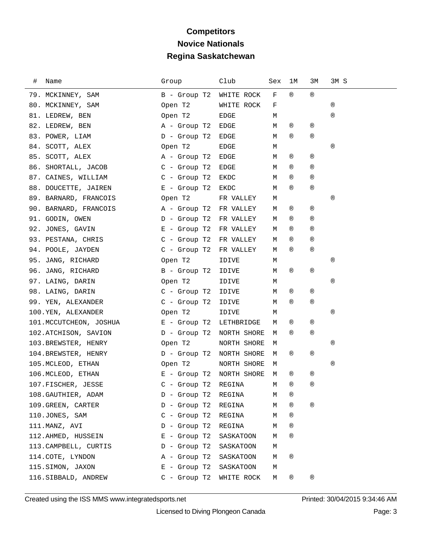# **Competitors Novice Nationals Regina Saskatchewan**

| # | Name                                 | Group                    | Club        | Sex | 1M             | 3М             | 3M S           |
|---|--------------------------------------|--------------------------|-------------|-----|----------------|----------------|----------------|
|   | 79. MCKINNEY, SAM                    | B - Group T2             | WHITE ROCK  | F   | $^{\circledR}$ | $^{\circledR}$ |                |
|   | 80. MCKINNEY, SAM                    | Open T2                  | WHITE ROCK  | F   |                |                | $^{\circledR}$ |
|   | 81. LEDREW, BEN                      | Open T2                  | EDGE        | М   |                |                | $^{\circledR}$ |
|   | 82. LEDREW, BEN                      | A - Group T2             | EDGE        | М   | ®              | ®              |                |
|   | 83. POWER, LIAM                      | $D -$ Group T2           | EDGE        | М   | $^{\circledR}$ | $^\circledR$   |                |
|   | 84. SCOTT, ALEX                      | Open T2                  | EDGE        | М   |                |                | ®              |
|   | 85. SCOTT, ALEX                      | A - Group T2             | EDGE        | М   | ®              | $^{\circledR}$ |                |
|   | 86. SHORTALL, JACOB                  | C - Group T2             | EDGE        | М   | ®              | ®              |                |
|   | 87. CAINES, WILLIAM C - Group T2     |                          | EKDC        | М   | $^{\circledR}$ | $^{\circledR}$ |                |
|   | 88. DOUCETTE, JAIREN                 | $E -$ Group T2           | EKDC        | М   | ®              | $^\circledR$   |                |
|   | 89. BARNARD, FRANCOIS                | Open T2                  | FR VALLEY   | М   |                |                | ®              |
|   | 90. BARNARD, FRANCOIS                | A - Group T2             | FR VALLEY   | М   | ®              | ®              |                |
|   | 91. GODIN, OWEN                      | $D -$ Group T2           | FR VALLEY   | М   | $^{\circledR}$ | $^{\circledR}$ |                |
|   | 92. JONES, GAVIN                     | $E -$ Group T2           | FR VALLEY   | М   | ®              | ®              |                |
|   | 93. PESTANA, CHRIS                   | $C -$ Group T2           | FR VALLEY   | М   | ®              | ®              |                |
|   | 94. POOLE, JAYDEN                    | $C -$ Group T2           | FR VALLEY   | М   | $^{\circledR}$ | $^\circledR$   |                |
|   | 95. JANG, RICHARD                    | Open T2                  | IDIVE       | М   |                |                | ®              |
|   | 96. JANG, RICHARD                    | $B -$ Group T2           | IDIVE       | М   | ®              | ®              |                |
|   | 97. LAING, DARIN                     | Open T2                  | IDIVE       | М   |                |                | ®              |
|   | 98. LAING, DARIN                     | C - Group T2             | IDIVE       | М   | ®              | ®              |                |
|   | 99. YEN, ALEXANDER                   | $C -$ Group T2           | IDIVE       | М   | ®              | $^{\circledR}$ |                |
|   | 100.YEN, ALEXANDER                   | Open T2                  | IDIVE       | М   |                |                | ®              |
|   | 101. MCCUTCHEON, JOSHUA B - Group T2 |                          | LETHBRIDGE  | М   | ®              | ®              |                |
|   | 102.ATCHISON, SAVION                 | D - Group T2             | NORTH SHORE | М   | ®              | $^\circledR$   |                |
|   | 103.BREWSTER, HENRY                  | Open T2                  | NORTH SHORE | М   |                |                | ®              |
|   | 104.BREWSTER, HENRY                  | D - Group T2             | NORTH SHORE | М   | ®              | ®              |                |
|   | 105. MCLEOD, ETHAN                   | Open T2                  | NORTH SHORE | М   |                |                | ®              |
|   | 106. MCLEOD, ETHAN                   | E - Group T2 NORTH SHORE |             | M   | ®              | ®              |                |
|   | 107. FISCHER, JESSE                  | C - Group T2 REGINA      |             | M   | $^{\circledR}$ | ®              |                |
|   | 108. GAUTHIER, ADAM                  | $D -$ Group T2           | REGINA      | М   | ®              |                |                |
|   | 109. GREEN, CARTER                   | $D -$ Group T2           | REGINA      | М   | ®              | $^\circledR$   |                |
|   | 110.JONES, SAM                       | $C -$ Group T2           | REGINA      | М   | ®              |                |                |
|   | 111. MANZ, AVI                       | $D -$ Group T2           | REGINA      | М   | ®              |                |                |
|   | 112.AHMED, HUSSEIN                   | $E -$ Group T2           | SASKATOON   | М   | ®              |                |                |
|   | 113. CAMPBELL, CURTIS                | $D -$ Group T2           | SASKATOON   | М   |                |                |                |
|   | 114. COTE, LYNDON                    | A - Group T2             | SASKATOON   | М   | ®              |                |                |
|   | 115.SIMON, JAXON                     | $E -$ Group T2           | SASKATOON   | М   |                |                |                |
|   | 116. SIBBALD, ANDREW                 | $C -$ Group T2           | WHITE ROCK  | М   | ®              | ®              |                |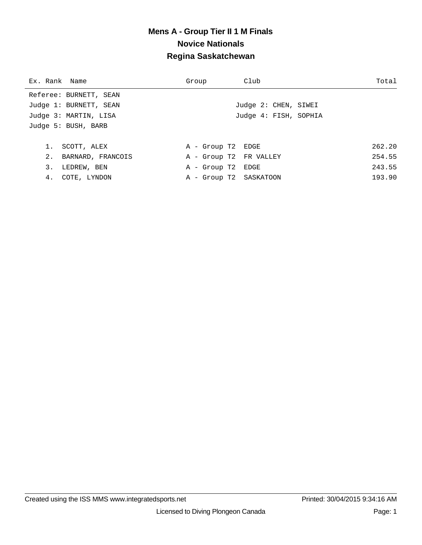| Ex. Rank Name |                        | Group                  | Club                  | Total  |
|---------------|------------------------|------------------------|-----------------------|--------|
|               | Referee: BURNETT, SEAN |                        |                       |        |
|               | Judge 1: BURNETT, SEAN |                        | Judge 2: CHEN, SIWEI  |        |
|               | Judge 3: MARTIN, LISA  |                        | Judge 4: FISH, SOPHIA |        |
|               | Judge 5: BUSH, BARB    |                        |                       |        |
|               |                        |                        |                       |        |
| 1.            | SCOTT, ALEX            | A - Group T2 EDGE      |                       | 262.20 |
|               | 2. BARNARD, FRANCOIS   | A - Group T2 FR VALLEY |                       | 254.55 |
| 3.            | LEDREW, BEN            | A - Group T2 EDGE      |                       | 243.55 |
|               | 4. COTE, LYNDON        | A - Group T2 SASKATOON |                       | 193.90 |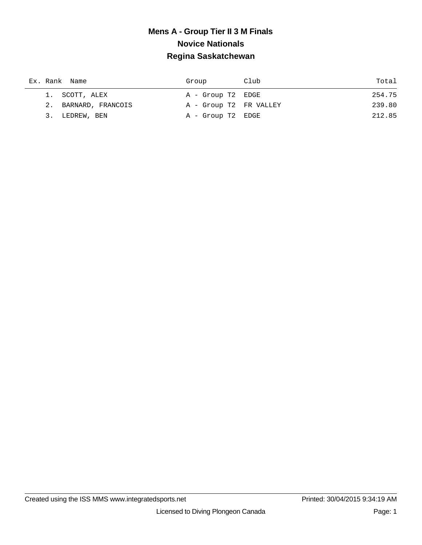| Ex. Rank Name        | Group                  | Club | Total  |
|----------------------|------------------------|------|--------|
| 1. SCOTT, ALEX       | A - Group T2 EDGE      |      | 254.75 |
| 2. BARNARD, FRANCOIS | A - Group T2 FR VALLEY |      | 239.80 |
| 3. LEDREW, BEN       | A - Group T2 EDGE      |      | 212.85 |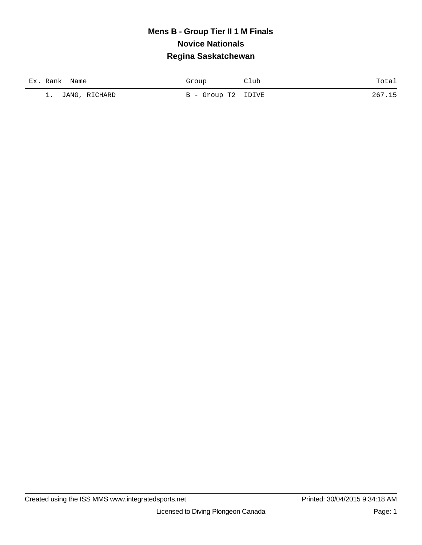| Ex. Rank<br>Name | Group              | 11ub | Totai |
|------------------|--------------------|------|-------|
| 1. JANG, RICHARD | B - Group T2 IDIVE |      | 267.  |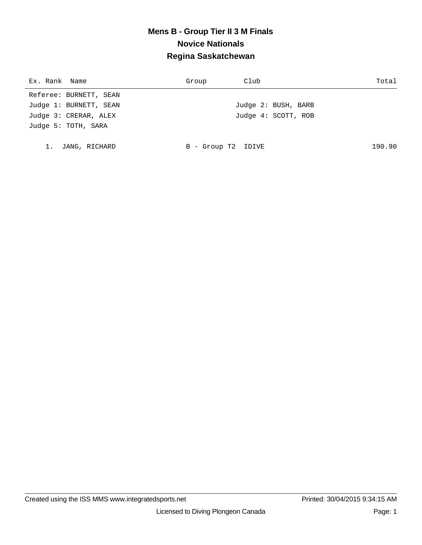| Ex. Rank Name          | Club<br>Group       | Total  |
|------------------------|---------------------|--------|
| Referee: BURNETT, SEAN |                     |        |
| Judge 1: BURNETT, SEAN | Judge 2: BUSH, BARB |        |
| Judge 3: CRERAR, ALEX  | Judge 4: SCOTT, ROB |        |
| Judge 5: TOTH, SARA    |                     |        |
|                        |                     |        |
| JANG, RICHARD          | B - Group T2 IDIVE  | 190.90 |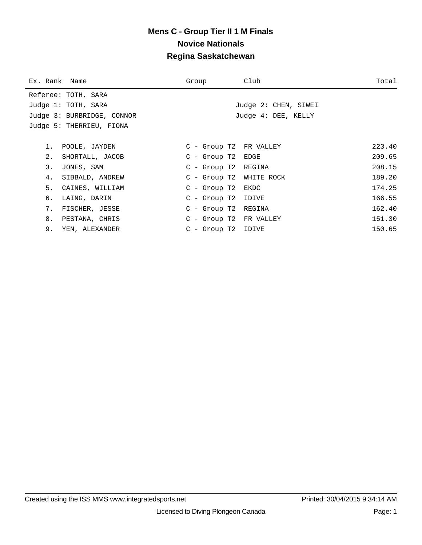| Ex. Rank Name |                            | Group                   | Club                    | Total  |
|---------------|----------------------------|-------------------------|-------------------------|--------|
|               | Referee: TOTH, SARA        |                         |                         |        |
|               | Judge 1: TOTH, SARA        |                         | Judge 2: CHEN, SIWEI    |        |
|               | Judge 3: BURBRIDGE, CONNOR |                         | Judge 4: DEE, KELLY     |        |
|               | Judge 5: THERRIEU, FIONA   |                         |                         |        |
|               |                            |                         |                         |        |
|               | 1. POOLE, JAYDEN           |                         | C - Group T2 FR VALLEY  | 223.40 |
| 2.            | SHORTALL, JACOB            | $C - Group T2 EDGE$     |                         | 209.65 |
| 3.            | JONES, SAM                 | C - Group T2 REGINA     |                         | 208.15 |
| 4.            | SIBBALD, ANDREW            |                         | C - Group T2 WHITE ROCK | 189.20 |
| 5.            | CAINES, WILLIAM            | $C - Group T2$ EKDC     |                         | 174.25 |
| б.            | LAING, DARIN               | $C$ - Group T2 IDIVE    |                         | 166.55 |
| 7.            | FISCHER, JESSE             | C - Group T2 REGINA     |                         | 162.40 |
| 8.            | PESTANA, CHRIS             |                         | C - Group T2 FR VALLEY  | 151.30 |
| 9.            | YEN, ALEXANDER             | $C -$ Group T $2$ IDIVE |                         | 150.65 |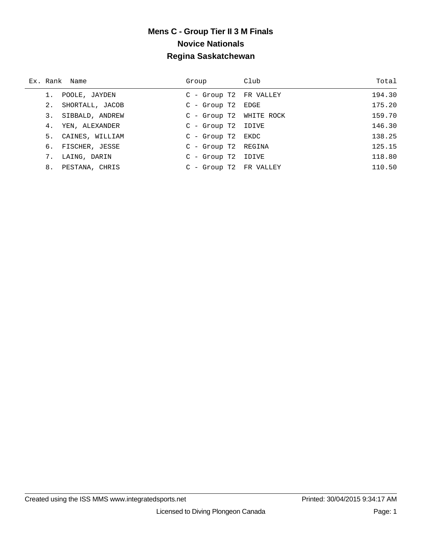|    | Ex. Rank Name      | Group                   | Club | Total  |
|----|--------------------|-------------------------|------|--------|
|    | POOLE, JAYDEN      | C - Group T2 FR VALLEY  |      | 194.30 |
|    | 2. SHORTALL, JACOB | $C - Group T2 EDGE$     |      | 175.20 |
|    | 3. SIBBALD, ANDREW | C - Group T2 WHITE ROCK |      | 159.70 |
|    | 4. YEN, ALEXANDER  | $C$ - Group T2 IDIVE    |      | 146.30 |
|    | 5. CAINES, WILLIAM | $C - Group T2$ EKDC     |      | 138.25 |
|    | 6. FISCHER, JESSE  | C - Group T2 REGINA     |      | 125.15 |
| 7. | LAING, DARIN       | $C - Group T2 IDIVE$    |      | 118.80 |
| 8. | PESTANA, CHRIS     | C - Group T2 FR VALLEY  |      | 110.50 |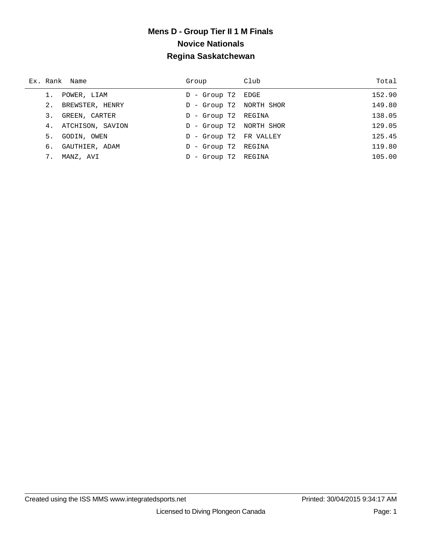|    | Ex. Rank Name       | Group                   | Club | Total  |
|----|---------------------|-------------------------|------|--------|
|    | POWER, LIAM         | D - Group T2 EDGE       |      | 152.90 |
|    | 2. BREWSTER, HENRY  | D - Group T2 NORTH SHOR |      | 149.80 |
| 3. | GREEN, CARTER       | D - Group T2 REGINA     |      | 138.05 |
|    | 4. ATCHISON, SAVION | D - Group T2 NORTH SHOR |      | 129.05 |
| 5. | GODIN, OWEN         | D - Group T2 FR VALLEY  |      | 125.45 |
| б. | GAUTHIER, ADAM      | D - Group T2 REGINA     |      | 119.80 |
| 7. | MANZ, AVI           | - Group T2 REGINA<br>D. |      | 105.00 |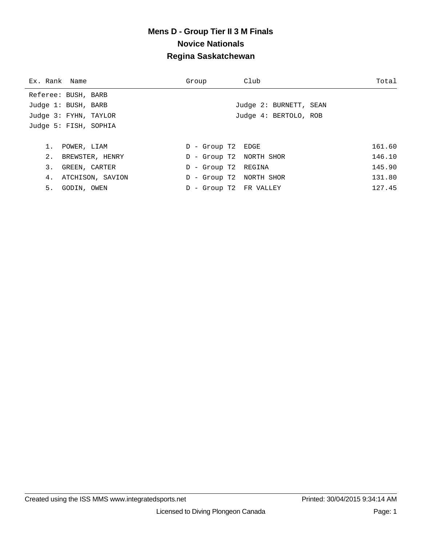| Ex. Rank Name         | Group                      | Club                   | Total  |
|-----------------------|----------------------------|------------------------|--------|
| Referee: BUSH, BARB   |                            |                        |        |
| Judge 1: BUSH, BARB   |                            | Judge 2: BURNETT, SEAN |        |
| Judge 3: FYHN, TAYLOR |                            | Judge 4: BERTOLO, ROB  |        |
| Judge 5: FISH, SOPHIA |                            |                        |        |
|                       |                            |                        |        |
| 1.<br>POWER, LIAM     | D - Group T2 EDGE          |                        | 161.60 |
| 2. BREWSTER, HENRY    | D - Group T2 NORTH SHOR    |                        | 146.10 |
| 3.<br>GREEN, CARTER   | D - Group T2 REGINA        |                        | 145.90 |
| 4. ATCHISON, SAVION   | - Group T2 NORTH SHOR<br>D |                        | 131.80 |
| 5. GODIN, OWEN        | - Group T2 FR VALLEY       |                        | 127.45 |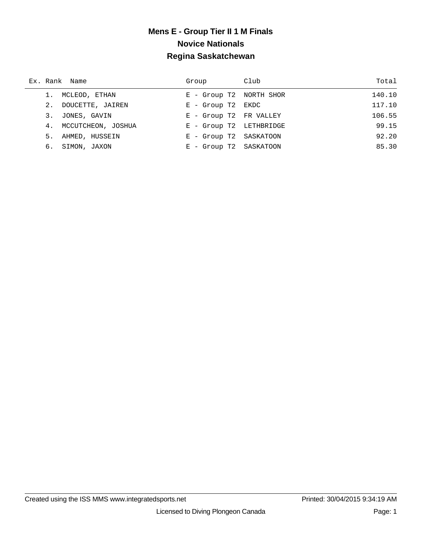| Ex. Rank Name         | Group                   | Club | Total  |
|-----------------------|-------------------------|------|--------|
| 1. MCLEOD, ETHAN      | E - Group T2 NORTH SHOR |      | 140.10 |
| 2. DOUCETTE, JAIREN   | $E -$ Group T2 EKDC     |      | 117.10 |
| 3. JONES, GAVIN       | E - Group T2 FR VALLEY  |      | 106.55 |
| 4. MCCUTCHEON, JOSHUA | E - Group T2 LETHBRIDGE |      | 99.15  |
| 5. AHMED, HUSSEIN     | E - Group T2 SASKATOON  |      | 92.20  |
| 6. SIMON, JAXON       | E - Group T2 SASKATOON  |      | 85.30  |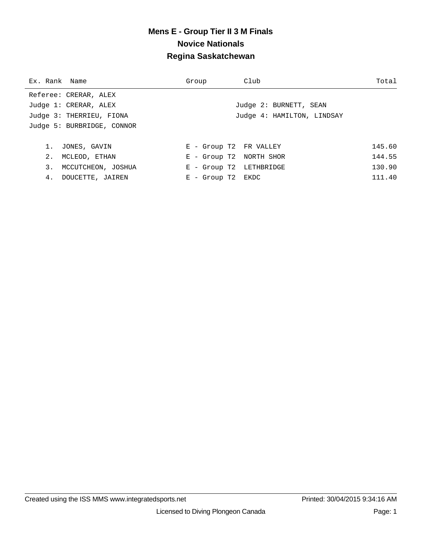| Ex. Rank Name |                            | Group                   | Club                       | Total  |
|---------------|----------------------------|-------------------------|----------------------------|--------|
|               | Referee: CRERAR, ALEX      |                         |                            |        |
|               | Judge 1: CRERAR, ALEX      |                         | Judge 2: BURNETT, SEAN     |        |
|               | Judge 3: THERRIEU, FIONA   |                         | Judge 4: HAMILTON, LINDSAY |        |
|               | Judge 5: BURBRIDGE, CONNOR |                         |                            |        |
|               |                            |                         |                            |        |
| 1.            | JONES, GAVIN               | E - Group T2 FR VALLEY  |                            | 145.60 |
| 2.            | MCLEOD, ETHAN              | E - Group T2 NORTH SHOR |                            | 144.55 |
| 3.            | MCCUTCHEON, JOSHUA         | E - Group T2 LETHBRIDGE |                            | 130.90 |
| 4.            | DOUCETTE, JAIREN           | $E -$ Group T2 EKDC     |                            | 111.40 |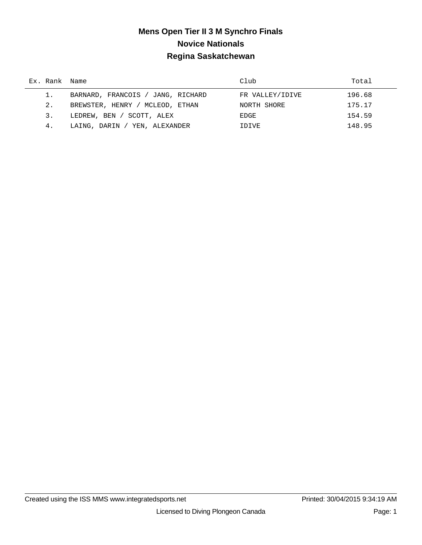# **Mens Open Tier II 3 M Synchro Finals Novice Nationals Regina Saskatchewan**

| Ex. Rank Name |                                   | Club            | Total  |
|---------------|-----------------------------------|-----------------|--------|
|               | BARNARD, FRANCOIS / JANG, RICHARD | FR VALLEY/IDIVE | 196.68 |
| 2.            | BREWSTER, HENRY / MCLEOD, ETHAN   | NORTH SHORE     | 175.17 |
| 3.            | LEDREW, BEN / SCOTT, ALEX         | EDGE            | 154.59 |
| 4.            | / YEN, ALEXANDER<br>LAING, DARIN  | IDIVE           | 148.95 |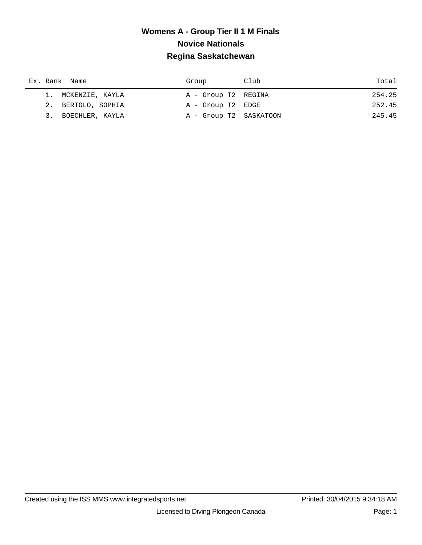| Ex. Rank Name      | Group                  | Club | Total  |
|--------------------|------------------------|------|--------|
| 1. MCKENZIE, KAYLA | A - Group T2 REGINA    |      | 254.25 |
| 2. BERTOLO, SOPHIA | A - Group T2 EDGE      |      | 252.45 |
| 3. BOECHLER, KAYLA | A - Group T2 SASKATOON |      | 245.45 |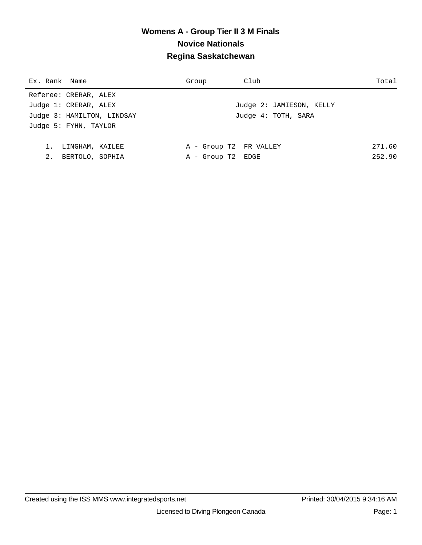| Club                                                             | Total                                                |
|------------------------------------------------------------------|------------------------------------------------------|
|                                                                  |                                                      |
|                                                                  | Judge 2: JAMIESON, KELLY                             |
|                                                                  | Judge 4: TOTH, SARA                                  |
|                                                                  |                                                      |
|                                                                  |                                                      |
|                                                                  | 271.60                                               |
|                                                                  | 252.90                                               |
| Judge 3: HAMILTON, LINDSAY<br>LINGHAM, KAILEE<br>BERTOLO, SOPHIA | Group<br>A - Group T2 FR VALLEY<br>A - Group T2 EDGE |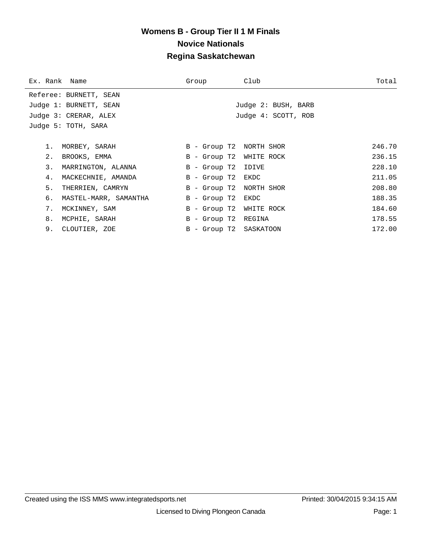| Ex. Rank Name |                        | Group                  | Club                    | Total  |
|---------------|------------------------|------------------------|-------------------------|--------|
|               | Referee: BURNETT, SEAN |                        |                         |        |
|               | Judge 1: BURNETT, SEAN |                        | Judge 2: BUSH, BARB     |        |
|               | Judge 3: CRERAR, ALEX  |                        | Judge 4: SCOTT, ROB     |        |
|               | Judge 5: TOTH, SARA    |                        |                         |        |
|               |                        |                        |                         |        |
|               | 1. MORBEY, SARAH       |                        | B - Group T2 NORTH SHOR | 246.70 |
| 2.            | BROOKS, EMMA           |                        | B - Group T2 WHITE ROCK | 236.15 |
| 3.            | MARRINGTON, ALANNA     | B - Group T2 IDIVE     |                         | 228.10 |
| 4.            | MACKECHNIE, AMANDA     | B - Group T2 EKDC      |                         | 211.05 |
| 5.            | THERRIEN, CAMRYN       |                        | B - Group T2 NORTH SHOR | 208.80 |
| б.            | MASTEL-MARR, SAMANTHA  | B - Group T2 EKDC      |                         | 188.35 |
| 7.            | MCKINNEY, SAM          |                        | B - Group T2 WHITE ROCK | 184.60 |
| 8.            | MCPHIE, SARAH          | B - Group T2 REGINA    |                         | 178.55 |
|               | 9. CLOUTIER, ZOE       | B - Group T2 SASKATOON |                         | 172.00 |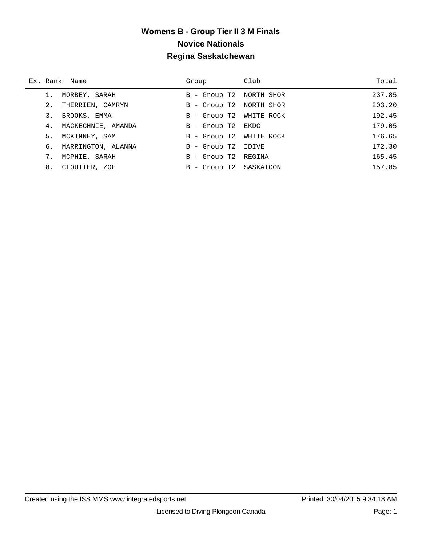|    | Ex. Rank Name         | Group                   | Club | Total  |
|----|-----------------------|-------------------------|------|--------|
|    | MORBEY, SARAH         | B - Group T2 NORTH SHOR |      | 237.85 |
| 2. | THERRIEN, CAMRYN      | B - Group T2 NORTH SHOR |      | 203.20 |
|    | 3. BROOKS, EMMA       | B - Group T2 WHITE ROCK |      | 192.45 |
|    | 4. MACKECHNIE, AMANDA | B - Group T2 EKDC       |      | 179.05 |
|    | 5. MCKINNEY, SAM      | B - Group T2 WHITE ROCK |      | 176.65 |
|    | 6. MARRINGTON, ALANNA | B - Group T2 IDIVE      |      | 172.30 |
| 7. | MCPHIE, SARAH         | B - Group T2 REGINA     |      | 165.45 |
|    | 8. CLOUTIER, ZOE      | B - Group T2 SASKATOON  |      | 157.85 |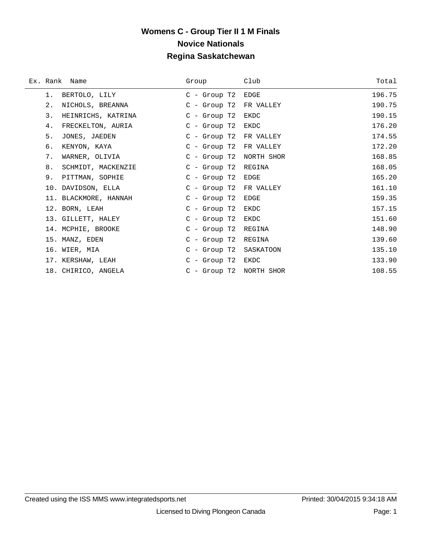|    | Ex. Rank Name         | Group                  | Club       | Total  |
|----|-----------------------|------------------------|------------|--------|
| 1. | BERTOLO, LILY         | $C -$ Group T2         | EDGE       | 196.75 |
| 2. | NICHOLS, BREANNA      | $C -$ Group T2         | FR VALLEY  | 190.75 |
| 3. | HEINRICHS, KATRINA    | $C -$ Group T2         | EKDC       | 190.15 |
| 4. | FRECKELTON, AURIA     | $C -$ Group T2         | EKDC       | 176.20 |
| 5. | JONES, JAEDEN         | $C -$ Group T2         | FR VALLEY  | 174.55 |
| б. | KENYON, KAYA          | $C -$ Group T2         | FR VALLEY  | 172.20 |
| 7. | WARNER, OLIVIA        | $C -$ Group T2         | NORTH SHOR | 168.85 |
| 8. | SCHMIDT, MACKENZIE    | $C - Group T2$         | REGINA     | 168.05 |
| 9. | PITTMAN, SOPHIE       | $C -$ Group T2         | EDGE       | 165.20 |
|    | 10. DAVIDSON, ELLA    | C - Group T2 FR VALLEY |            | 161.10 |
|    | 11. BLACKMORE, HANNAH | $C -$ Group T2         | EDGE       | 159.35 |
|    | 12. BORN, LEAH        | $C -$ Group T2         | EKDC       | 157.15 |
|    | 13. GILLETT, HALEY    | $C -$ Group T2         | EKDC       | 151.60 |
|    | 14. MCPHIE, BROOKE    | $C -$ Group T2         | REGINA     | 148.90 |
|    | 15. MANZ, EDEN        | $C -$ Group T2         | REGINA     | 139.60 |
|    | 16. WIER, MIA         | C - Group T2           | SASKATOON  | 135.10 |
|    | 17. KERSHAW, LEAH     | $C$ - Group T2         | EKDC       | 133.90 |
|    | 18. CHIRICO, ANGELA   | $C -$ Group T2         | NORTH SHOR | 108.55 |

÷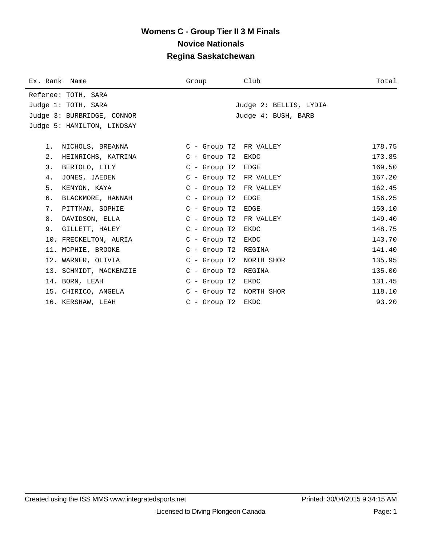| Ex. Rank Name |                            | Group                   | Club                   | Total  |
|---------------|----------------------------|-------------------------|------------------------|--------|
|               | Referee: TOTH, SARA        |                         |                        |        |
|               | Judge 1: TOTH, SARA        |                         | Judge 2: BELLIS, LYDIA |        |
|               | Judge 3: BURBRIDGE, CONNOR |                         | Judge 4: BUSH, BARB    |        |
|               | Judge 5: HAMILTON, LINDSAY |                         |                        |        |
|               |                            |                         |                        |        |
| 1.            | NICHOLS, BREANNA           | C - Group T2 FR VALLEY  |                        | 178.75 |
| 2.            | HEINRICHS, KATRINA         | $C$ - Group T $2$       | EKDC                   | 173.85 |
| 3.            | BERTOLO, LILY              | C - Group T2 EDGE       |                        | 169.50 |
| 4.            | JONES, JAEDEN              | C - Group T2 FR VALLEY  |                        | 167.20 |
| 5.            | KENYON, KAYA               | C - Group T2 FR VALLEY  |                        | 162.45 |
| б.            | BLACKMORE, HANNAH          | $C -$ Group T2          | EDGE                   | 156.25 |
| 7.            | PITTMAN, SOPHIE            | $C$ - Group T2          | EDGE                   | 150.10 |
| 8.            | DAVIDSON, ELLA             | C - Group T2 FR VALLEY  |                        | 149.40 |
|               | 9. GILLETT, HALEY          | $C -$ Group T2          | EKDC                   | 148.75 |
|               | 10. FRECKELTON, AURIA      | $C$ - Group T $2$       | EKDC                   | 143.70 |
|               | 11. MCPHIE, BROOKE         | C - Group T2 REGINA     |                        | 141.40 |
|               | 12. WARNER, OLIVIA         | C - Group T2 NORTH SHOR |                        | 135.95 |
|               | 13. SCHMIDT, MACKENZIE     | $C$ - Group T $2$       | REGINA                 | 135.00 |
|               | 14. BORN, LEAH             | $C -$ Group T2          | EKDC                   | 131.45 |
|               | 15. CHIRICO, ANGELA        | C - Group T2 NORTH SHOR |                        | 118.10 |
|               | 16. KERSHAW, LEAH          | $C -$ Group T2          | EKDC                   | 93.20  |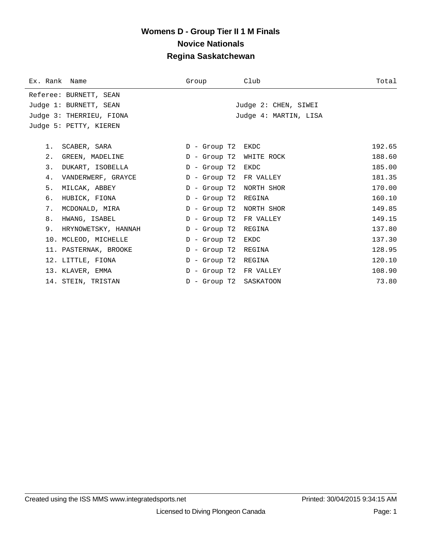| Ex. Rank Name            |                     | Group             | Club                   | Total  |
|--------------------------|---------------------|-------------------|------------------------|--------|
| Referee: BURNETT, SEAN   |                     |                   |                        |        |
| Judge 1: BURNETT, SEAN   |                     |                   | Judge 2: CHEN, SIWEI   |        |
| Judge 3: THERRIEU, FIONA |                     |                   | Judge 4: MARTIN, LISA  |        |
| Judge 5: PETTY, KIEREN   |                     |                   |                        |        |
|                          |                     |                   |                        |        |
| SCABER, SARA<br>1.       |                     | D - Group T2 EKDC |                        | 192.65 |
| $2$ .<br>GREEN, MADELINE |                     | D - Group T2      | WHITE ROCK             | 188.60 |
| 3.<br>DUKART, ISOBELLA   |                     | D - Group T2      | EKDC                   | 185.00 |
| 4.<br>VANDERWERF, GRAYCE |                     | D - Group T2      | FR VALLEY              | 181.35 |
| 5.<br>MILCAK, ABBEY      |                     | $D -$ Group T2    | NORTH SHOR             | 170.00 |
| б.<br>HUBICK, FIONA      |                     | $D -$ Group T2    | REGINA                 | 160.10 |
| 7.<br>MCDONALD, MIRA     |                     | D - Group T2      | NORTH SHOR             | 149.85 |
| 8.<br>HWANG, ISABEL      |                     | $D -$ Group T2    | FR VALLEY              | 149.15 |
| 9.                       | HRYNOWETSKY, HANNAH | $D -$ Group T2    | REGINA                 | 137.80 |
| 10. MCLEOD, MICHELLE     |                     | D - Group T2      | EKDC                   | 137.30 |
| 11. PASTERNAK, BROOKE    |                     | $D -$ Group T2    | REGINA                 | 128.95 |
| 12. LITTLE, FIONA        |                     | $D -$ Group T2    | REGINA                 | 120.10 |
| 13. KLAVER, EMMA         |                     |                   | D - Group T2 FR VALLEY | 108.90 |
| 14. STEIN, TRISTAN       |                     | D - Group T2      | SASKATOON              | 73.80  |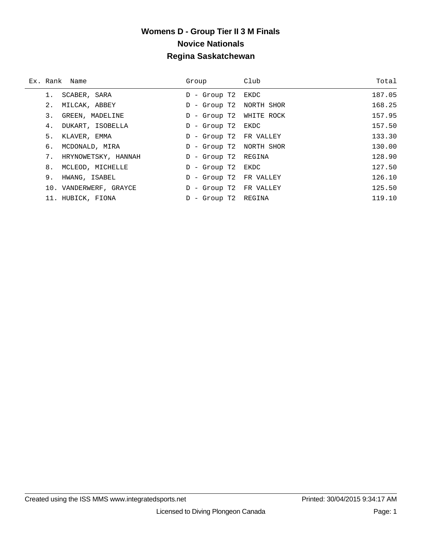|    | Ex. Rank Name          | Group                     | Club | Total  |
|----|------------------------|---------------------------|------|--------|
|    | SCABER, SARA           | D - Group T2              | EKDC | 187.05 |
| 2. | MILCAK, ABBEY          | D - Group T2 NORTH SHOR   |      | 168.25 |
| 3. | GREEN, MADELINE        | D - Group T2 WHITE ROCK   |      | 157.95 |
| 4. | DUKART, ISOBELLA       | D - Group T2 EKDC         |      | 157.50 |
| 5. | KLAVER, EMMA           | D - Group T2 FR VALLEY    |      | 133.30 |
| 6. | MCDONALD, MIRA         | D - Group T2 NORTH SHOR   |      | 130.00 |
| 7. | HRYNOWETSKY, HANNAH    | D - Group T2 REGINA       |      | 128.90 |
| 8. | MCLEOD, MICHELLE       | D - Group T2 EKDC         |      | 127.50 |
| 9. | HWANG, ISABEL          | - Group T2 FR VALLEY<br>D |      | 126.10 |
|    | 10. VANDERWERF, GRAYCE | D - Group T2 FR VALLEY    |      | 125.50 |
|    | 11. HUBICK, FIONA      | D - Group T2 REGINA       |      | 119.10 |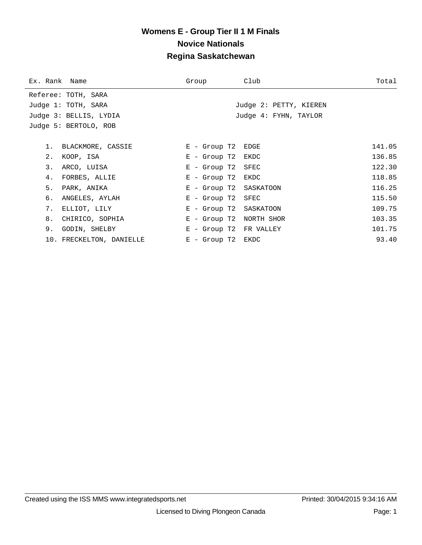| Ex. Rank Name |                          | Group               | Club                    | Total  |
|---------------|--------------------------|---------------------|-------------------------|--------|
|               | Referee: TOTH, SARA      |                     |                         |        |
|               | Judge 1: TOTH, SARA      |                     | Judge 2: PETTY, KIEREN  |        |
|               | Judge 3: BELLIS, LYDIA   |                     | Judge 4: FYHN, TAYLOR   |        |
|               | Judge 5: BERTOLO, ROB    |                     |                         |        |
|               |                          |                     |                         |        |
|               | 1. BLACKMORE, CASSIE     | $E$ - Group T2      | EDGE                    | 141.05 |
| 2.            | KOOP, ISA                | $E - Group T2$ EKDC |                         | 136.85 |
| 3.            | ARCO, LUISA              | $E -$ Group T2      | SFEC                    | 122.30 |
| 4.            | FORBES, ALLIE            | $E - Group T2$ EKDC |                         | 118.85 |
| 5.            | PARK, ANIKA              |                     | E - Group T2 SASKATOON  | 116.25 |
| б.            | ANGELES, AYLAH           | E - Group T2        | SFEC                    | 115.50 |
| 7.            | ELLIOT, LILY             |                     | E - Group T2 SASKATOON  | 109.75 |
| 8.            | CHIRICO, SOPHIA          |                     | E - Group T2 NORTH SHOR | 103.35 |
| 9.            | GODIN, SHELBY            |                     | E - Group T2 FR VALLEY  | 101.75 |
|               | 10. FRECKELTON, DANIELLE | $E - Group T2$ EKDC |                         | 93.40  |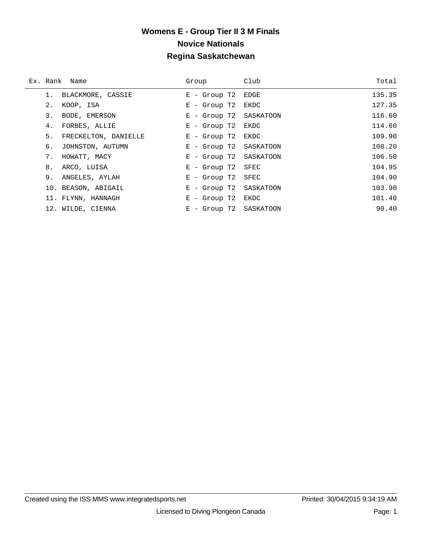|    | Ex. Rank Name        | Group                  | Club | Total  |
|----|----------------------|------------------------|------|--------|
|    | BLACKMORE, CASSIE    | $E -$ Group T2         | EDGE | 135.35 |
| 2. | KOOP, ISA            | $E -$ Group T2         | EKDC | 127.35 |
| 3. | BODE, EMERSON        | E - Group T2 SASKATOON |      | 116.60 |
| 4. | FORBES, ALLIE        | $E -$ Group T2         | EKDC | 114.60 |
| 5. | FRECKELTON, DANIELLE | $E -$ Group T2         | EKDC | 109.90 |
| 6. | JOHNSTON, AUTUMN     | E - Group T2 SASKATOON |      | 108.20 |
| 7. | HOWATT, MACY         | E - Group T2 SASKATOON |      | 106.50 |
| 8. | ARCO, LUISA          | $E -$ Group T2         | SFEC | 104.95 |
| 9. | ANGELES, AYLAH       | $E -$ Group T2         | SFEC | 104.90 |
|    | 10. BEASON, ABIGAIL  | E - Group T2 SASKATOON |      | 103.90 |
|    | 11. FLYNN, HANNAGH   | $E -$ Group T2 EKDC    |      | 101.40 |
|    | 12. WILDE, CIENNA    | E - Group T2 SASKATOON |      | 90.40  |

÷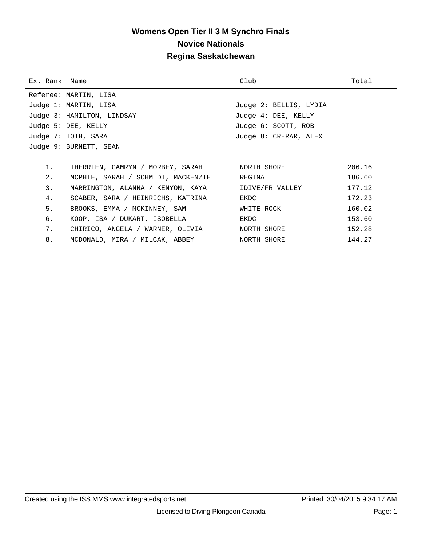# **Womens Open Tier II 3 M Synchro Finals Novice Nationals Regina Saskatchewan**

| Ex. Rank Name |                                                          | Club                   | Total  |
|---------------|----------------------------------------------------------|------------------------|--------|
|               | Referee: MARTIN, LISA                                    |                        |        |
|               | Judge 1: MARTIN, LISA                                    | Judge 2: BELLIS, LYDIA |        |
|               | Judge 3: HAMILTON, LINDSAY                               | Judge 4: DEE, KELLY    |        |
|               | Judge 5: DEE, KELLY                                      | Judge 6: SCOTT, ROB    |        |
|               | Judge 7: TOTH, SARA                                      | Judge 8: CRERAR, ALEX  |        |
|               | Judge 9: BURNETT, SEAN                                   |                        |        |
|               |                                                          |                        |        |
| 1.            | THERRIEN, CAMRYN / MORBEY, SARAH MORTH SHORE             |                        | 206.16 |
| 2.            | MCPHIE, SARAH / SCHMIDT, MACKENZIE                       | REGINA                 | 186.60 |
| 3.            | MARRINGTON, ALANNA / KENYON, KAYA        IDIVE/FR VALLEY |                        | 177.12 |
| 4.            | SCABER, SARA / HEINRICHS, KATRINA                        | EKDC                   | 172.23 |
| 5.            | BROOKS, EMMA / MCKINNEY, SAM                             | WHITE ROCK             | 160.02 |
| б.            | KOOP, ISA / DUKART, ISOBELLA                             | EKDC                   | 153.60 |
| 7.            | CHIRICO, ANGELA / WARNER, OLIVIA             NORTH SHORE |                        | 152.28 |
| 8.            | MCDONALD, MIRA / MILCAK, ABBEY                           | NORTH SHORE            | 144.27 |
|               |                                                          |                        |        |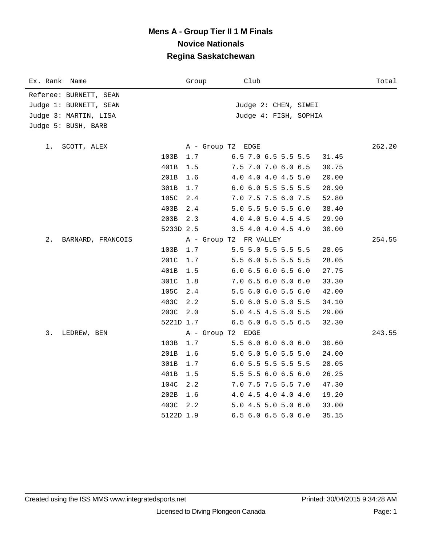| Ex. Rank<br>Name        |           | Group             | Club                         | Total  |
|-------------------------|-----------|-------------------|------------------------------|--------|
| Referee: BURNETT, SEAN  |           |                   |                              |        |
| Judge 1: BURNETT, SEAN  |           |                   | Judge 2: CHEN, SIWEI         |        |
| Judge 3: MARTIN, LISA   |           |                   | Judge 4: FISH, SOPHIA        |        |
| Judge 5: BUSH, BARB     |           |                   |                              |        |
| SCOTT, ALEX<br>1.       |           | A - Group T2 EDGE |                              | 262.20 |
|                         | 103B      | 1.7               | 6.5 7.0 6.5 5.5 5.5<br>31.45 |        |
|                         | 401B      | 1.5               | 7.5 7.0 7.0 6.0 6.5<br>30.75 |        |
|                         | 201B      | 1.6               | 4.0 4.0 4.0 4.5 5.0<br>20.00 |        |
|                         | 301B      | 1.7               | 6.0 6.0 5.5 5.5 5.5<br>28.90 |        |
|                         | 105C      | 2.4               | 7.0 7.5 7.5 6.0 7.5<br>52.80 |        |
|                         | 403B      | 2.4               | 5.0 5.5 5.0 5.5 6.0<br>38.40 |        |
|                         | 203B      | 2.3               | 4.0 4.0 5.0 4.5 4.5<br>29.90 |        |
|                         | 5233D 2.5 |                   | 3.5 4.0 4.0 4.5 4.0<br>30.00 |        |
| 2.<br>BARNARD, FRANCOIS |           |                   | A - Group T2 FR VALLEY       | 254.55 |
|                         | 103B      | 1.7               | 5.5 5.0 5.5 5.5 5.5<br>28.05 |        |
|                         | 201C      | 1.7               | 5.5 6.0 5.5 5.5 5.5<br>28.05 |        |
|                         | 401B      | 1.5               | 6.0 6.5 6.0 6.5 6.0<br>27.75 |        |
|                         | 301C      | 1.8               | 7.0 6.5 6.0 6.0 6.0<br>33.30 |        |
|                         | 105C      | 2.4               | 5.5 6.0 6.0 5.5 6.0<br>42.00 |        |
|                         | 403C      | 2.2               | 5.0 6.0 5.0 5.0 5.5<br>34.10 |        |
|                         | 203C      | 2.0               | 5.0 4.5 4.5 5.0 5.5<br>29.00 |        |
|                         | 5221D 1.7 |                   | 6.5 6.0 6.5 5.5 6.5<br>32.30 |        |
| 3.<br>LEDREW, BEN       |           | A - Group T2      | EDGE                         | 243.55 |
|                         | 103B      | 1.7               | 5.5 6.0 6.0 6.0 6.0<br>30.60 |        |
|                         | 201B      | 1.6               | 5.0 5.0 5.0 5.5 5.0<br>24.00 |        |
|                         | 301B      | 1.7               | 6.0 5.5 5.5 5.5 5.5<br>28.05 |        |
|                         | 401B      | 1.5               | 5.5 5.5 6.0 6.5 6.0<br>26.25 |        |
|                         | 104C      | 2.2               | 7.0 7.5 7.5 5.5 7.0<br>47.30 |        |
|                         | 202B      | 1.6               | 4.0 4.5 4.0 4.0 4.0<br>19.20 |        |
|                         | 403C      | 2.2               | 5.0 4.5 5.0 5.0 6.0<br>33.00 |        |
|                         | 5122D 1.9 |                   | 6.5 6.0 6.5 6.0 6.0<br>35.15 |        |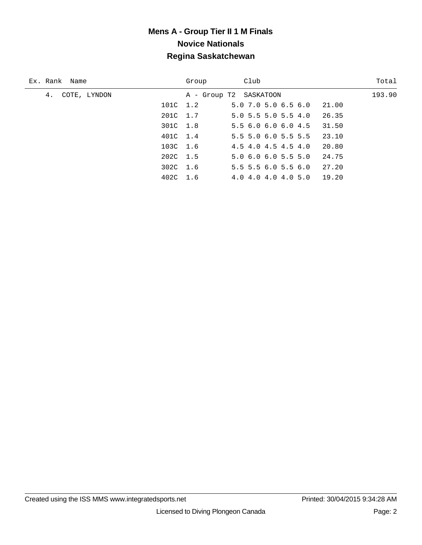| Ex. Rank Name      | Group                  | Club                          | Total  |
|--------------------|------------------------|-------------------------------|--------|
| COTE, LYNDON<br>4. | A - Group T2 SASKATOON |                               | 193.90 |
| 101C 1.2           |                        | 5.0 7.0 5.0 6.5 6.0           | 21.00  |
| 201C 1.7           |                        | $5.0$ $5.5$ $5.0$ $5.5$ $4.0$ | 26.35  |
| 301C 1.8           |                        | 5.5 6.0 6.0 6.0 4.5           | 31.50  |
| 401C 1.4           |                        | $5.5$ 5.0 6.0 5.5 5.5         | 23.10  |
| 103C 1.6           |                        | 4.5 4.0 4.5 4.5 4.0           | 20.80  |
| 202C 1.5           |                        | 5.06.06.05.55.0               | 24.75  |
| 302C 1.6           |                        | $5.5$ 5.5 6.0 5.5 6.0         | 27.20  |
| 402C 1.6           |                        | 4.0 4.0 4.0 4.0 5.0           | 19.20  |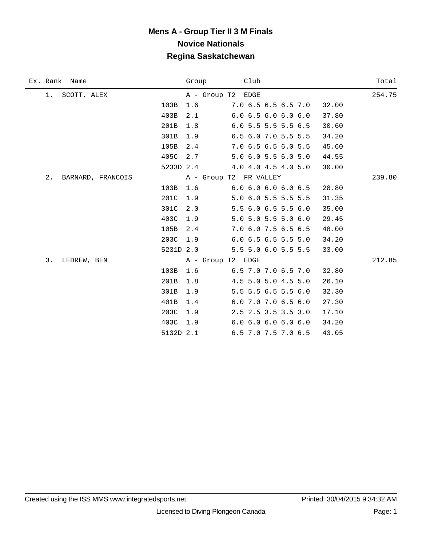| Ex. Rank Name           | Group             | Club                          | Total  |
|-------------------------|-------------------|-------------------------------|--------|
| SCOTT, ALEX<br>1.       | A - Group T2 EDGE |                               | 254.75 |
|                         | 103B<br>1.6       | 7.0 6.5 6.5 6.5 7.0           | 32.00  |
|                         | 403B<br>2.1       | 6.06.56.06.06.0               | 37.80  |
|                         | 201B<br>1.8       | 6.0 5.5 5.5 5.5 6.5           | 30.60  |
|                         | 301B<br>1.9       | 6.5 6.0 7.0 5.5 5.5           | 34.20  |
|                         | 105B<br>2.4       | 7.0 6.5 6.5 6.0 5.5           | 45.60  |
|                         | 405C<br>2.7       | 5.0 6.0 5.5 6.0 5.0           | 44.55  |
|                         |                   | 5233D 2.4 4.0 4.0 4.5 4.0 5.0 | 30.00  |
| 2.<br>BARNARD, FRANCOIS |                   | A - Group T2 FR VALLEY        | 239.80 |
|                         | 103B<br>1.6       | 6.06.06.06.06.5               | 28.80  |
|                         | 201C<br>1.9       | 5.0 6.0 5.5 5.5 5.5           | 31.35  |
|                         | 301C<br>2.0       | 5.5 6.0 6.5 5.5 6.0           | 35.00  |
|                         | 403C<br>1.9       | 5.0 5.0 5.5 5.0 6.0           | 29.45  |
|                         | 105B<br>2.4       | 7.0 6.0 7.5 6.5 6.5           | 48.00  |
|                         | 203C<br>1.9       | $6.0$ 6.5 6.5 5.5 5.0         | 34.20  |
|                         | 5231D 2.0         | 5.5 5.0 6.0 5.5 5.5           | 33.00  |
| 3.<br>LEDREW, BEN       | A - Group T2 EDGE |                               | 212.85 |
|                         | 103B<br>1.6       | 6.5 7.0 7.0 6.5 7.0           | 32.80  |
|                         | 201B<br>1.8       | 4.5 5.0 5.0 4.5 5.0           | 26.10  |
|                         | 301B<br>1.9       | 5.5 5.5 6.5 5.5 6.0           | 32.30  |
|                         | 401B<br>1.4       | 6.0 7.0 7.0 6.5 6.0           | 27.30  |
|                         | 203C<br>1.9       | 2.5 2.5 3.5 3.5 3.0           | 17.10  |
|                         | 403C<br>1.9       | 6.06.06.06.06.0               | 34.20  |
|                         | 5132D 2.1         | 6.5 7.0 7.5 7.0 6.5           | 43.05  |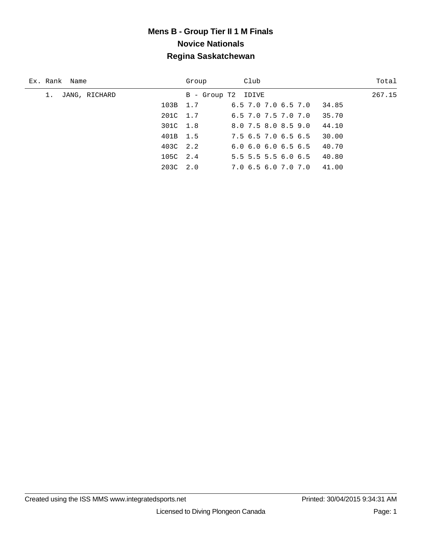| Ex. Rank Name | Group              | Club                          | Total  |
|---------------|--------------------|-------------------------------|--------|
| JANG, RICHARD | B - Group T2 IDIVE |                               | 267.15 |
| 103B 1.7      |                    | 6.5 7.0 7.0 6.5 7.0<br>34.85  |        |
| 201C 1.7      |                    | $6.5$ 7.0 7.5 7.0 7.0         | 35.70  |
| 301C 1.8      |                    | 8.0 7.5 8.0 8.5 9.0           | 44.10  |
| 401B 1.5      |                    | 7.5 6.5 7.0 6.5 6.5           | 30.00  |
| 403C 2.2      |                    | $6.0$ $6.0$ $6.0$ $6.5$ $6.5$ | 40.70  |
| 105C 2.4      |                    | 5.5 5.5 5.5 6.0 6.5           | 40.80  |
| 203C 2.0      |                    | 41.00<br>7.0 6.5 6.0 7.0 7.0  |        |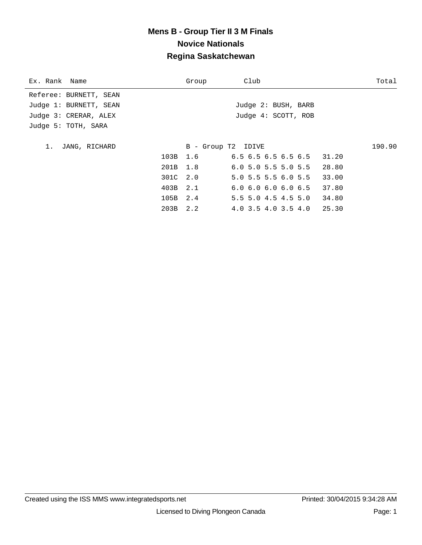| Ex. Rank Name          |              | Group              | Club                          |       | Total  |
|------------------------|--------------|--------------------|-------------------------------|-------|--------|
| Referee: BURNETT, SEAN |              |                    |                               |       |        |
| Judge 1: BURNETT, SEAN |              |                    | Judge 2: BUSH, BARB           |       |        |
| Judge 3: CRERAR, ALEX  |              |                    | Judge 4: SCOTT, ROB           |       |        |
| Judge 5: TOTH, SARA    |              |                    |                               |       |        |
|                        |              |                    |                               |       |        |
| JANG, RICHARD<br>1.    |              | B - Group T2 IDIVE |                               |       | 190.90 |
|                        |              | 103B 1.6           | 6.5 6.5 6.5 6.5 6.5 31.20     |       |        |
|                        | 201B 1.8     |                    | $6.0$ 5.0 5.5 5.0 5.5 28.80   |       |        |
|                        | 301C 2.0     |                    | $5.0$ 5.5 5.5 6.0 5.5         | 33.00 |        |
|                        | 403B 2.1     |                    | $6.0$ $6.0$ $6.0$ $6.0$ $6.5$ | 37.80 |        |
|                        | 105B 2.4     |                    | 5.5 5.0 4.5 4.5 5.0           | 34.80 |        |
|                        | $203B$ $2.2$ |                    | 4.0 3.5 4.0 3.5 4.0 25.30     |       |        |
|                        |              |                    |                               |       |        |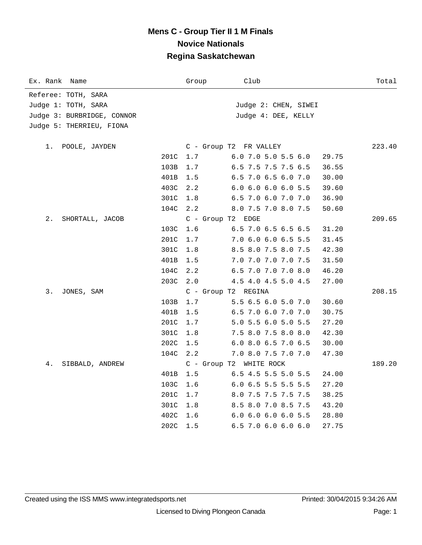| Ex. Rank<br>Name           | Group             | Club                          | Total  |
|----------------------------|-------------------|-------------------------------|--------|
| Referee: TOTH, SARA        |                   |                               |        |
| Judge 1: TOTH, SARA        |                   | Judge 2: CHEN, SIWEI          |        |
| Judge 3: BURBRIDGE, CONNOR |                   | Judge 4: DEE, KELLY           |        |
| Judge 5: THERRIEU, FIONA   |                   |                               |        |
| POOLE, JAYDEN<br>1.        |                   | C - Group T2 FR VALLEY        | 223.40 |
| 201C                       | 1.7               | 6.0 7.0 5.0 5.5 6.0           | 29.75  |
| 103B                       | 1.7               | 6.5 7.5 7.5 7.5 6.5           | 36.55  |
| 401B                       | 1.5               | 6.5 7.0 6.5 6.0 7.0           | 30.00  |
| 403C                       | 2.2               | $6.0$ $6.0$ $6.0$ $6.0$ $5.5$ | 39.60  |
| 301C                       | 1.8               | 6.5 7.0 6.0 7.0 7.0           | 36.90  |
| 104C                       | 2.2               | 8.0 7.5 7.0 8.0 7.5           | 50.60  |
| 2.<br>SHORTALL, JACOB      | C - Group T2 EDGE |                               | 209.65 |
| 103C                       | 1.6               | $6.5$ 7.0 6.5 6.5 6.5         | 31.20  |
| 201C                       | 1.7               | 7.0 6.0 6.0 6.5 5.5           | 31.45  |
| 301C                       | 1.8               | 8.5 8.0 7.5 8.0 7.5           | 42.30  |
| 401B                       | 1.5               | 7.0 7.0 7.0 7.0 7.5           | 31.50  |
| 104C                       | 2.2               | 6.5 7.0 7.0 7.0 8.0           | 46.20  |
| 203C                       | 2.0               | 4.5 4.0 4.5 5.0 4.5           | 27.00  |
| 3.<br>JONES, SAM           |                   | C - Group T2 REGINA           | 208.15 |
| 103B                       | 1.7               | 5.5 6.5 6.0 5.0 7.0           | 30.60  |
| 401B                       | 1.5               | 6.5 7.0 6.0 7.0 7.0           | 30.75  |
| 201C                       | 1.7               | 5.0 5.5 6.0 5.0 5.5           | 27.20  |
| 301C                       | 1.8               | 7.5 8.0 7.5 8.0 8.0           | 42.30  |
| 202C                       | 1.5               | 6.0 8.0 6.5 7.0 6.5           | 30.00  |
| 104C                       | 2.2               | 7.0 8.0 7.5 7.0 7.0           | 47.30  |
| 4.<br>SIBBALD, ANDREW      |                   | C - Group T2 WHITE ROCK       | 189.20 |
| 401B                       | 1.5               | 6.5 4.5 5.5 5.0 5.5           | 24.00  |
| 103C                       | 1.6               | 6.0 6.5 5.5 5.5 5.5           | 27.20  |
| 201C                       | 1.7               | 8.0 7.5 7.5 7.5 7.5           | 38.25  |
| 301C                       | 1.8               | 8.5 8.0 7.0 8.5 7.5           | 43.20  |
| 402C                       | 1.6               | 6.0 6.0 6.0 6.0 5.5           | 28.80  |
| 202C                       | 1.5               | 6.5 7.0 6.0 6.0 6.0           | 27.75  |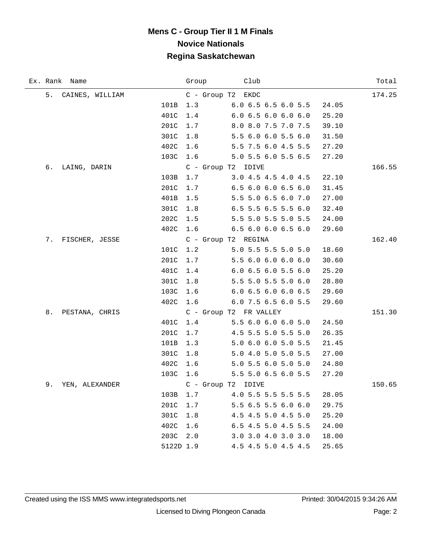| Ex. Rank Name        |           | Group | Club                         | Total  |
|----------------------|-----------|-------|------------------------------|--------|
| 5. CAINES, WILLIAM   |           |       | C - Group T2 EKDC            | 174.25 |
|                      | 101B      | 1.3   | 6.0 6.5 6.5 6.0 5.5<br>24.05 |        |
|                      | 401C      | 1.4   | 6.06.56.06.06.0<br>25.20     |        |
|                      | 201C      | 1.7   | 8.0 8.0 7.5 7.0 7.5<br>39.10 |        |
|                      | 301C      | 1.8   | 5.5 6.0 6.0 5.5 6.0<br>31.50 |        |
|                      | 402C      | 1.6   | 5.5 7.5 6.0 4.5 5.5<br>27.20 |        |
|                      | 103C 1.6  |       | 5.0 5.5 6.0 5.5 6.5<br>27.20 |        |
| б.<br>LAING, DARIN   |           |       | C - Group T2 IDIVE           | 166.55 |
|                      | 103B      | 1.7   | 3.0 4.5 4.5 4.0 4.5<br>22.10 |        |
|                      | 201C      | 1.7   | 6.5 6.0 6.0 6.5 6.0<br>31.45 |        |
|                      | 401B      | 1.5   | 5.5 5.0 6.5 6.0 7.0<br>27.00 |        |
|                      | 301C      | 1.8   | 6.5 5.5 6.5 5.5 6.0<br>32.40 |        |
|                      | 202C      | 1.5   | 5.5 5.0 5.5 5.0 5.5<br>24.00 |        |
|                      | 402C      | 1.6   | 6.56.06.06.56.0<br>29.60     |        |
| 7. FISCHER, JESSE    |           |       | C - Group T2 REGINA          | 162.40 |
|                      | 101C      | 1.2   | 5.0 5.5 5.5 5.0 5.0<br>18.60 |        |
|                      | 201C      | 1.7   | 5.5 6.0 6.0 6.0 6.0<br>30.60 |        |
|                      | 401C      | 1.4   | 6.0 6.5 6.0 5.5 6.0<br>25.20 |        |
|                      | 301C      | 1.8   | 5.5 5.0 5.5 5.0 6.0<br>28.80 |        |
|                      | 103C      | 1.6   | 6.0 6.5 6.0 6.0 6.5<br>29.60 |        |
|                      | 402C      | 1.6   | 6.0 7.5 6.5 6.0 5.5<br>29.60 |        |
| 8.<br>PESTANA, CHRIS |           |       | C - Group T2 FR VALLEY       | 151.30 |
|                      | 401C      | 1.4   | 5.5 6.0 6.0 6.0 5.0<br>24.50 |        |
|                      | 201C      | 1.7   | 4.5 5.5 5.0 5.5 5.0<br>26.35 |        |
|                      | 101B      | 1.3   | 5.0 6.0 6.0 5.0 5.5<br>21.45 |        |
|                      | 301C      | 1.8   | 5.0 4.0 5.0 5.0 5.5<br>27.00 |        |
|                      | 402C      | 1.6   | 5.0 5.5 6.0 5.0 5.0<br>24.80 |        |
|                      | 103C      | 1.6   | 5.5 5.0 6.5 6.0 5.5<br>27.20 |        |
| 9.<br>YEN, ALEXANDER |           |       | C - Group T2 IDIVE           | 150.65 |
|                      | 103B      | 1.7   | 4.0 5.5 5.5 5.5 5.5<br>28.05 |        |
|                      | 201C      | 1.7   | 5.5 6.5 5.5 6.0 6.0<br>29.75 |        |
|                      | 301C      | 1.8   | 4.5 4.5 5.0 4.5 5.0<br>25.20 |        |
|                      | 402C 1.6  |       | 6.5 4.5 5.0 4.5 5.5<br>24.00 |        |
|                      | 203C      | 2.0   | 3.0 3.0 4.0 3.0 3.0<br>18.00 |        |
|                      | 5122D 1.9 |       | 4.5 4.5 5.0 4.5 4.5<br>25.65 |        |

÷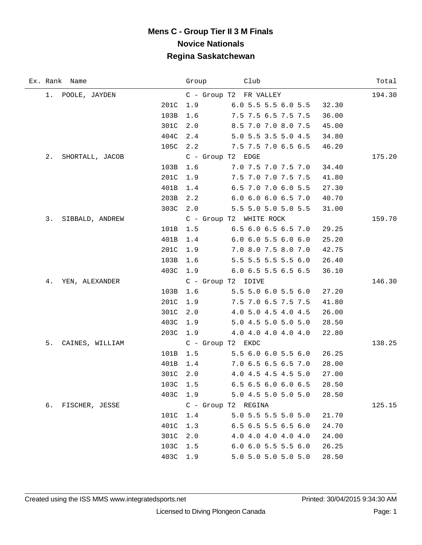|    | Ex. Rank Name      |      | Group    | Club                                |       | Total  |
|----|--------------------|------|----------|-------------------------------------|-------|--------|
|    | 1. POOLE, JAYDEN   |      |          | C - Group T2 FR VALLEY              |       | 194.30 |
|    |                    | 201C | 1.9      | 6.05.55.56.05.5                     | 32.30 |        |
|    |                    | 103B | 1.6      | 7.5 7.5 6.5 7.5 7.5                 | 36.00 |        |
|    |                    | 301C | 2.0      | 8.5 7.0 7.0 8.0 7.5                 | 45.00 |        |
|    |                    | 404C | 2.4      | 5.0 5.5 3.5 5.0 4.5                 | 34.80 |        |
|    |                    | 105C | 2.2      | 7.5 7.5 7.0 6.5 6.5                 | 46.20 |        |
| 2. | SHORTALL, JACOB    |      |          | C - Group T2 EDGE                   |       | 175.20 |
|    |                    | 103B | 1.6      | $7.0\,7.5\,7.0\,7.5\,7.0$           | 34.40 |        |
|    |                    | 201C | 1.9      | 7.5 7.0 7.0 7.5 7.5                 | 41.80 |        |
|    |                    | 401B | 1.4      | 6.5 7.0 7.0 6.0 5.5                 | 27.30 |        |
|    |                    | 203B | 2.2      | 6.0 6.0 6.0 6.5 7.0                 | 40.70 |        |
|    |                    | 303C | 2.0      | 5.5 5.0 5.0 5.0 5.5                 | 31.00 |        |
|    | 3. SIBBALD, ANDREW |      |          | C - Group T2 WHITE ROCK             |       | 159.70 |
|    |                    | 101B | 1.5      | 6.5 6.0 6.5 6.5 7.0                 | 29.25 |        |
|    |                    | 401B | 1.4      | 6.0 6.0 5.5 6.0 6.0                 | 25.20 |        |
|    |                    | 201C | 1.9      | 7.0 8.0 7.5 8.0 7.0                 | 42.75 |        |
|    |                    | 103B | 1.6      | 5.5 5.5 5.5 5.5 6.0                 | 26.40 |        |
|    |                    | 403C | 1.9      | $6.0$ 6.5 5.5 6.5 6.5               | 36.10 |        |
| 4. | YEN, ALEXANDER     |      |          | C - Group T2 IDIVE                  |       | 146.30 |
|    |                    | 103B | 1.6      | 5.55.06.05.56.0                     | 27.20 |        |
|    |                    | 201C | 1.9      | 7.5 7.0 6.5 7.5 7.5                 | 41.80 |        |
|    |                    | 301C | 2.0      | 4.0 5.0 4.5 4.0 4.5                 | 26.00 |        |
|    |                    | 403C | 1.9      | 5.0 4.5 5.0 5.0 5.0                 | 28.50 |        |
|    |                    | 203C | 1.9      | $4.0$ $4.0$ $4.0$ $4.0$ $4.0$ $4.0$ | 22.80 |        |
|    | 5. CAINES, WILLIAM |      |          | C - Group T2 EKDC                   |       | 138.25 |
|    |                    | 101B | 1.5      | 5.56.06.05.56.0                     | 26.25 |        |
|    |                    | 401B | 1.4      | 7.0 6.5 6.5 6.5 7.0                 | 28.00 |        |
|    |                    | 301C | 2.0      | 4.0 4.5 4.5 4.5 5.0                 | 27.00 |        |
|    |                    |      | 103C 1.5 | 6.5 6.5 6.0 6.0 6.5                 | 28.50 |        |
|    |                    | 403C | 1.9      | 5.0 4.5 5.0 5.0 5.0                 | 28.50 |        |
| б. | FISCHER, JESSE     |      |          | C - Group T2 REGINA                 |       | 125.15 |
|    |                    | 101C | 1.4      | 5.0 5.5 5.5 5.0 5.0                 | 21.70 |        |
|    |                    | 401C | 1.3      | $6.5$ $6.5$ $5.5$ $6.5$ $6.0$       | 24.70 |        |
|    |                    | 301C | 2.0      | 4.0 4.0 4.0 4.0 4.0                 | 24.00 |        |
|    |                    | 103C | 1.5      | $6.0$ $6.0$ $5.5$ $5.5$ $6.0$       | 26.25 |        |
|    |                    | 403C | 1.9      | 5.0 5.0 5.0 5.0 5.0                 | 28.50 |        |

÷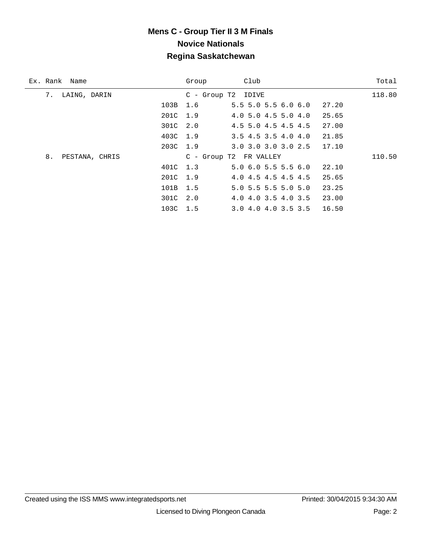| Ex. Rank Name        | Group    | Club                                   | Total  |
|----------------------|----------|----------------------------------------|--------|
| 7.<br>LAING, DARIN   |          | C - Group T2 IDIVE                     | 118.80 |
|                      | 103B 1.6 | $5.5$ 5.0 5.5 6.0 6.0<br>27.20         |        |
|                      | 201C 1.9 | 4.0 5.0 4.5 5.0 4.0<br>25.65           |        |
|                      | 301C 2.0 | 27.00<br>4.5 5.0 4.5 4.5 4.5           |        |
|                      | 403C 1.9 | 21.85<br>$3.5$ 4.5 3.5 4.0 4.0         |        |
|                      | 203C 1.9 | $3.0$ $3.0$ $3.0$ $3.0$ $2.5$<br>17.10 |        |
| 8.<br>PESTANA, CHRIS |          | C - Group T2 FR VALLEY                 | 110.50 |
|                      | 401C 1.3 | $5.0$ 6.0 5.5 5.5 6.0<br>22.10         |        |
|                      | 201C 1.9 | 4.0 4.5 4.5 4.5 4.5<br>25.65           |        |
|                      | 101B 1.5 | 5.0 5.5 5.5 5.0 5.0<br>23.25           |        |
|                      | 301C 2.0 | 23.00<br>4.0 4.0 3.5 4.0 3.5           |        |
|                      | 103C 1.5 | 16.50<br>3.0 4.0 4.0 3.5 3.5           |        |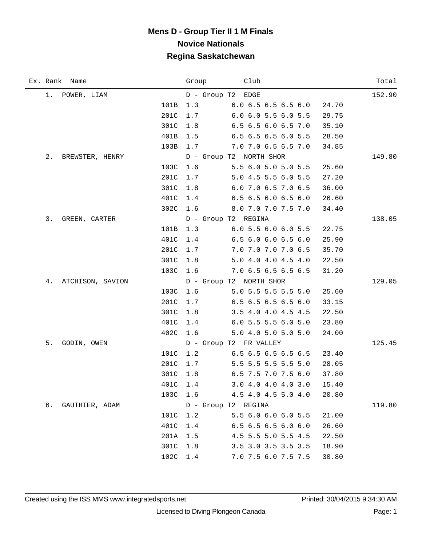|    | Ex. Rank Name    |      | Group    | Club                          |       | Total  |
|----|------------------|------|----------|-------------------------------|-------|--------|
|    | 1. POWER, LIAM   |      |          | D - Group T2 EDGE             |       | 152.90 |
|    |                  | 101B | 1.3      | $6.0\,6.5\,6.5\,6.5\,6.0$     | 24.70 |        |
|    |                  | 201C | 1.7      | 6.0 6.0 5.5 6.0 5.5           | 29.75 |        |
|    |                  | 301C | 1.8      | 6.5 6.5 6.0 6.5 7.0           | 35.10 |        |
|    |                  | 401B | 1.5      | 6.5 6.5 6.5 6.0 5.5           | 28.50 |        |
|    |                  | 103B | 1.7      | $7.0$ $7.0$ $6.5$ $6.5$ $7.0$ | 34.85 |        |
| 2. | BREWSTER, HENRY  |      |          | D - Group T2 NORTH SHOR       |       | 149.80 |
|    |                  | 103C | 1.6      | 5.56.05.05.05.5               | 25.60 |        |
|    |                  | 201C | 1.7      | 5.0 4.5 5.5 6.0 5.5           | 27.20 |        |
|    |                  | 301C | 1.8      | 6.0 7.0 6.5 7.0 6.5           | 36.00 |        |
|    |                  | 401C | 1.4      | 6.5 6.5 6.0 6.5 6.0           | 26.60 |        |
|    |                  | 302C |          | 1.6 8.0 7.0 7.0 7.5 7.0       | 34.40 |        |
|    | 3. GREEN, CARTER |      |          | D - Group T2 REGINA           |       | 138.05 |
|    |                  | 101B | 1.3      | 6.05.56.06.05.5               | 22.75 |        |
|    |                  | 401C | 1.4      | 6.56.06.06.56.0               | 25.90 |        |
|    |                  | 201C | 1.7      | 7.0 7.0 7.0 7.0 6.5           | 35.70 |        |
|    |                  | 301C | 1.8      | 5.0 4.0 4.0 4.5 4.0           | 22.50 |        |
|    |                  | 103C | 1.6      | 7.06.56.56.56.5               | 31.20 |        |
| 4. | ATCHISON, SAVION |      |          | D - Group T2 NORTH SHOR       |       | 129.05 |
|    |                  | 103C | 1.6      | $5.0$ 5.5 5.5 5.5 5.0         | 25.60 |        |
|    |                  | 201C | 1.7      | 6.5 6.5 6.5 6.5 6.0           | 33.15 |        |
|    |                  | 301C | 1.8      | 3.5 4.0 4.0 4.5 4.5           | 22.50 |        |
|    |                  | 401C | 1.4      | 6.0 5.5 5.5 6.0 5.0           | 23.80 |        |
|    |                  | 402C | 1.6      | 5.0 4.0 5.0 5.0 5.0           | 24.00 |        |
| 5. | GODIN, OWEN      |      |          | D - Group T2 FR VALLEY        |       | 125.45 |
|    |                  | 101C | 1.2      | $6.5$ 6.5 6.5 6.5 6.5         | 23.40 |        |
|    |                  | 201C | 1.7      | 5.5 5.5 5.5 5.5 5.0           | 28.05 |        |
|    |                  | 301C | 1.8      | 6.5 7.5 7.0 7.5 6.0           | 37.80 |        |
|    |                  |      | 401C 1.4 | 3.0 4.0 4.0 4.0 3.0 15.40     |       |        |
|    |                  | 103C | 1.6      | 4.5 4.0 4.5 5.0 4.0           | 20.80 |        |
| б. | GAUTHIER, ADAM   |      |          | D - Group T2 REGINA           |       | 119.80 |
|    |                  | 101C | 1.2      | 5.5 6.0 6.0 6.0 5.5           | 21.00 |        |
|    |                  | 401C | 1.4      | 6.5 6.5 6.5 6.0 6.0           | 26.60 |        |
|    |                  | 201A | 1.5      | 4.5 5.5 5.0 5.5 4.5           | 22.50 |        |
|    |                  | 301C | 1.8      | 3.5 3.0 3.5 3.5 3.5           | 18.90 |        |
|    |                  | 102C | 1.4      | 7.0 7.5 6.0 7.5 7.5           | 30.80 |        |

 $\overline{\phantom{0}}$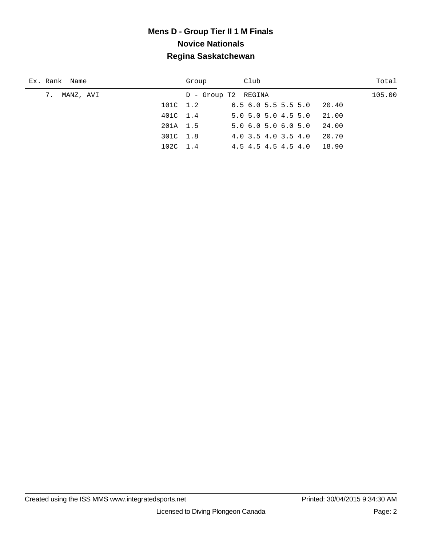| Ex. Rank Name   | Group               | Club                                         | Total  |
|-----------------|---------------------|----------------------------------------------|--------|
| 7.<br>MANZ, AVI | D - Group T2 REGINA |                                              | 105.00 |
| 101C 1.2        |                     | $6.5$ $6.0$ $5.5$ $5.5$ $5.0$<br>20.40       |        |
| 401C 1.4        |                     | $5.0$ 5.0 5.0 4.5 5.0<br>21.00               |        |
| 201A 1.5        |                     | 5.06.05.06.05.0<br>24.00                     |        |
| 301C 1.8        |                     | 20.70<br>4.0 3.5 4.0 3.5 4.0                 |        |
| 102C 1.4        |                     | $4.5$ $4.5$ $4.5$ $4.5$ $4.5$ $4.0$<br>18.90 |        |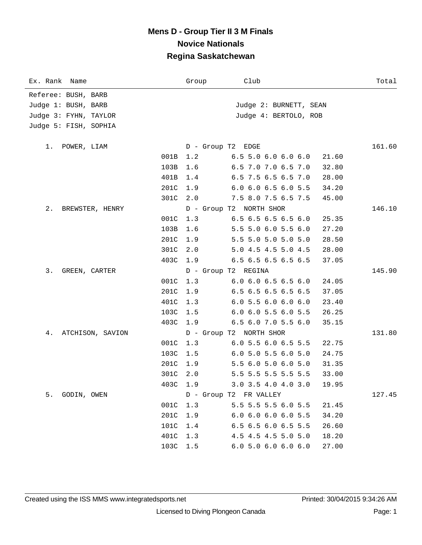| Ex. Rank Name          | Group    | Club                          | Total  |
|------------------------|----------|-------------------------------|--------|
| Referee: BUSH, BARB    |          |                               |        |
| Judge 1: BUSH, BARB    |          | Judge 2: BURNETT, SEAN        |        |
| Judge 3: FYHN, TAYLOR  |          | Judge 4: BERTOLO, ROB         |        |
| Judge 5: FISH, SOPHIA  |          |                               |        |
|                        |          |                               |        |
| 1. POWER, LIAM         |          | D - Group T2 EDGE             | 161.60 |
| 001B                   | 1.2      | $6.5$ 5.0 6.0 6.0 6.0         | 21.60  |
| 103B                   | 1.6      | 6.5 7.0 7.0 6.5 7.0           | 32.80  |
| 401B                   | 1.4      | 6.5 7.5 6.5 6.5 7.0           | 28.00  |
| 201C                   | 1.9      | 6.0 6.0 6.5 6.0 5.5           | 34.20  |
| 301C                   | 2.0      | 7.5 8.0 7.5 6.5 7.5           | 45.00  |
| 2.<br>BREWSTER, HENRY  |          | D - Group T2 NORTH SHOR       | 146.10 |
| 001C                   | 1.3      | 6.5 6.5 6.5 6.5 6.0           | 25.35  |
| 103B                   | 1.6      | 5.5 5.0 6.0 5.5 6.0           | 27.20  |
| 201C                   | 1.9      | 5.5 5.0 5.0 5.0 5.0           | 28.50  |
| 301C                   | 2.0      | 5.0 4.5 4.5 5.0 4.5           | 28.00  |
| 403C                   | 1.9      | 6.5 6.5 6.5 6.5 6.5           | 37.05  |
| 3.<br>GREEN, CARTER    |          | D - Group T2 REGINA           | 145.90 |
| 001C                   | 1.3      | $6.0$ $6.0$ $6.5$ $6.5$ $6.0$ | 24.05  |
| 201C                   | 1.9      | 6.5 6.5 6.5 6.5 6.5           | 37.05  |
| 401C                   | 1.3      | $6.0$ 5.5 6.0 6.0 6.0         | 23.40  |
| 103C                   | 1.5      | 6.0 6.0 5.5 6.0 5.5           | 26.25  |
| 403C                   | 1.9      | 6.5 6.0 7.0 5.5 6.0           | 35.15  |
| 4.<br>ATCHISON, SAVION |          | D - Group T2 NORTH SHOR       | 131.80 |
| 001C                   | 1.3      | 6.0 5.5 6.0 6.5 5.5           | 22.75  |
| 103C                   | 1.5      | $6.0$ 5.0 5.5 6.0 5.0         | 24.75  |
| 201C                   | 1.9      | 5.5 6.0 5.0 6.0 5.0           | 31.35  |
| 301C                   | 2.0      | 5.5 5.5 5.5 5.5 5.5           | 33.00  |
|                        | 403C 1.9 | $3.0$ $3.5$ $4.0$ $4.0$ $3.0$ | 19.95  |
| 5.<br>GODIN, OWEN      |          | D - Group T2 FR VALLEY        | 127.45 |
| 001C                   | 1.3      | 5.5 5.5 5.5 6.0 5.5           | 21.45  |
| 201C                   | 1.9      | $6.0$ $6.0$ $6.0$ $6.0$ $5.5$ | 34.20  |
| 101C                   | 1.4      | 6.5 6.5 6.0 6.5 5.5           | 26.60  |
| 401C                   | 1.3      | 4.5 4.5 4.5 5.0 5.0           | 18.20  |
|                        | 103C 1.5 | 6.05.06.06.06.0               | 27.00  |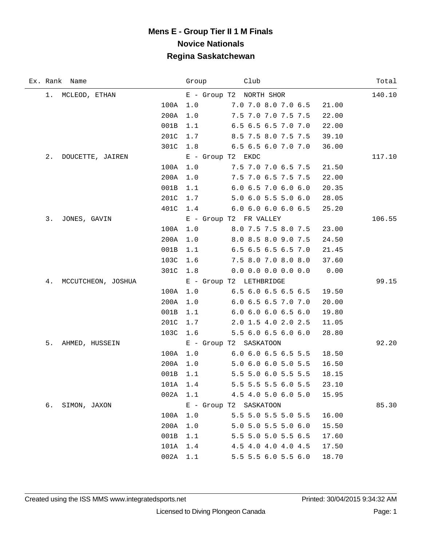|    | Ex. Rank Name      |      | Group | Club                          |       | Total  |
|----|--------------------|------|-------|-------------------------------|-------|--------|
|    | 1. MCLEOD, ETHAN   |      |       | E - Group T2 NORTH SHOR       |       | 140.10 |
|    |                    | 100A | 1.0   | 7.0 7.0 8.0 7.0 6.5           | 21.00 |        |
|    |                    | 200A | 1.0   | 7.5 7.0 7.0 7.5 7.5           | 22.00 |        |
|    |                    | 001B | 1.1   | 6.5 6.5 6.5 7.0 7.0           | 22.00 |        |
|    |                    | 201C | 1.7   | 8.5 7.5 8.0 7.5 7.5           | 39.10 |        |
|    |                    | 301C | 1.8   | $6.5$ $6.5$ $6.0$ $7.0$ $7.0$ | 36.00 |        |
| 2. | DOUCETTE, JAIREN   |      |       | E - Group T2 EKDC             |       | 117.10 |
|    |                    | 100A | 1.0   | 7.5 7.0 7.0 6.5 7.5           | 21.50 |        |
|    |                    | 200A | 1.0   | 7.5 7.0 6.5 7.5 7.5           | 22.00 |        |
|    |                    | 001B | 1.1   | 6.0 6.5 7.0 6.0 6.0           | 20.35 |        |
|    |                    | 201C | 1.7   | 5.0 6.0 5.5 5.0 6.0           | 28.05 |        |
|    |                    | 401C |       | 1.4 6.0 6.0 6.0 6.0 6.5       | 25.20 |        |
| 3. | JONES, GAVIN       |      |       | E - Group T2 FR VALLEY        |       | 106.55 |
|    |                    | 100A | 1.0   | 8.0 7.5 7.5 8.0 7.5           | 23.00 |        |
|    |                    | 200A | 1.0   | 8.0 8.5 8.0 9.0 7.5           | 24.50 |        |
|    |                    | 001B | 1.1   | 6.5 6.5 6.5 6.5 7.0           | 21.45 |        |
|    |                    | 103C | 1.6   | 7.5 8.0 7.0 8.0 8.0           | 37.60 |        |
|    |                    | 301C | 1.8   | 0.0 0.0 0.0 0.0 0.0           | 0.00  |        |
| 4. | MCCUTCHEON, JOSHUA |      |       | E - Group T2 LETHBRIDGE       |       | 99.15  |
|    |                    | 100A | 1.0   | $6.5$ $6.0$ $6.5$ $6.5$ $6.5$ | 19.50 |        |
|    |                    | 200A | 1.0   | 6.0 6.5 6.5 7.0 7.0           | 20.00 |        |
|    |                    | 001B | 1.1   | 6.0 6.0 6.0 6.5 6.0           | 19.80 |        |
|    |                    | 201C | 1.7   | 2.0 1.5 4.0 2.0 2.5           | 11.05 |        |
|    |                    | 103C | 1.6   | 5.5 6.0 6.5 6.0 6.0           | 28.80 |        |
| 5. | AHMED, HUSSEIN     |      |       | E - Group T2 SASKATOON        |       | 92.20  |
|    |                    | 100A | 1.0   | 6.0 6.0 6.5 6.5 5.5           | 18.50 |        |
|    |                    | 200A | 1.0   | 5.0 6.0 6.0 5.0 5.5           | 16.50 |        |
|    |                    | 001B | 1.1   | 5.5 5.0 6.0 5.5 5.5           | 18.15 |        |
|    |                    | 101A | 1.4   | 5.5 5.5 5.5 6.0 5.5           | 23.10 |        |
|    |                    | 002A | 1.1   | 4.5 4.0 5.0 6.0 5.0           | 15.95 |        |
| б. | SIMON, JAXON       |      |       | E - Group T2 SASKATOON        |       | 85.30  |
|    |                    | 100A | 1.0   | 5.5 5.0 5.5 5.0 5.5           | 16.00 |        |
|    |                    | 200A | 1.0   | 5.0 5.0 5.5 5.0 6.0           | 15.50 |        |
|    |                    | 001B | 1.1   | 5.5 5.0 5.0 5.5 6.5           | 17.60 |        |
|    |                    | 101A | 1.4   | 4.5 4.0 4.0 4.0 4.5           | 17.50 |        |
|    |                    | 002A | 1.1   | 5.5 5.5 6.0 5.5 6.0           | 18.70 |        |

 $\overline{\phantom{0}}$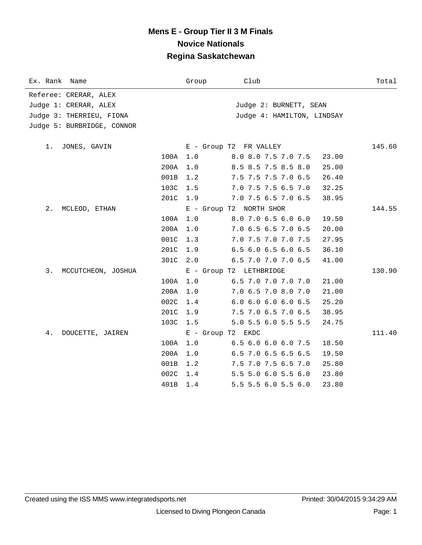| Ex. Rank<br>Name           | Group             | Club                       | Total  |
|----------------------------|-------------------|----------------------------|--------|
| Referee: CRERAR, ALEX      |                   |                            |        |
| Judge 1: CRERAR, ALEX      |                   | Judge 2: BURNETT, SEAN     |        |
| Judge 3: THERRIEU, FIONA   |                   | Judge 4: HAMILTON, LINDSAY |        |
| Judge 5: BURBRIDGE, CONNOR |                   |                            |        |
|                            |                   |                            |        |
| 1. JONES, GAVIN            |                   | E - Group T2 FR VALLEY     | 145.60 |
| 100A                       | 1.0               | 8.0 8.0 7.5 7.0 7.5        | 23.00  |
| 200A                       | 1.0               | 8.5 8.5 7.5 8.5 8.0        | 25.00  |
| 001B                       | 1.2               | 7.5 7.5 7.5 7.0 6.5        | 26.40  |
| 103C                       | 1.5               | 7.0 7.5 7.5 6.5 7.0        | 32.25  |
| 201C                       | 1.9               | 7.0 7.5 6.5 7.0 6.5        | 38.95  |
| 2.<br>MCLEOD, ETHAN        |                   | E - Group T2 NORTH SHOR    | 144.55 |
| 100A                       | 1.0               | 8.0 7.0 6.5 6.0 6.0        | 19.50  |
| 200A                       | 1.0               | 7.0 6.5 6.5 7.0 6.5        | 20.00  |
| 001C                       | 1.3               | 7.0 7.5 7.0 7.0 7.5        | 27.95  |
| 201C                       | 1.9               | 6.5 6.0 6.5 6.0 6.5        | 36.10  |
| 301C                       | 2.0               | 6.5 7.0 7.0 7.0 6.5        | 41.00  |
| 3.<br>MCCUTCHEON, JOSHUA   |                   | E - Group T2 LETHBRIDGE    | 130.90 |
| 100A                       | 1.0               | 6.5 7.0 7.0 7.0 7.0        | 21.00  |
| 200A                       | 1.0               | 7.0 6.5 7.0 8.0 7.0        | 21.00  |
| 002C                       | 1.4               | 6.06.06.06.06.5            | 25.20  |
| 201C                       | 1.9               | 7.5 7.0 6.5 7.0 6.5        | 38.95  |
| 103C                       | 1.5               | 5.0 5.5 6.0 5.5 5.5        | 24.75  |
| 4.<br>DOUCETTE, JAIREN     | E - Group T2 EKDC |                            | 111.40 |
| 100A                       | 1.0               | 6.5 6.0 6.0 6.0 7.5        | 18.50  |
| 200A                       | 1.0               | 6.5 7.0 6.5 6.5 6.5        | 19.50  |
| 001B                       | 1.2               | 7.5 7.0 7.5 6.5 7.0        | 25.80  |
| 002C                       | 1.4               | 5.5 5.0 6.0 5.5 6.0        | 23.80  |
| 401B                       | 1.4               | 5.5 5.5 6.0 5.5 6.0        | 23.80  |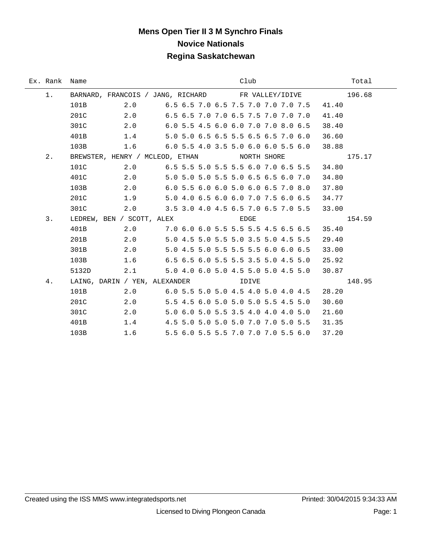# **Mens Open Tier II 3 M Synchro Finals Novice Nationals Regina Saskatchewan**

| Ex. Rank Name |                                                    |                                           |                                     |  |      | Club |  |       | Total  |
|---------------|----------------------------------------------------|-------------------------------------------|-------------------------------------|--|------|------|--|-------|--------|
| 1.            | BARNARD, FRANCOIS / JANG, RICHARD FR VALLEY/IDIVE  |                                           |                                     |  |      |      |  |       | 196.68 |
|               | 101B                                               | 2.0 6.5 6.5 7.0 6.5 7.5 7.0 7.0 7.0 7.5   |                                     |  |      |      |  | 41.40 |        |
|               | 201C                                               | 2.0 6.5 6.5 7.0 7.0 6.5 7.5 7.0 7.0 7.0   |                                     |  |      |      |  | 41.40 |        |
|               | 301C                                               | 2.0 6.0 5.5 4.5 6.0 6.0 7.0 7.0 8.0 6.5   |                                     |  |      |      |  | 38.40 |        |
|               | 401B                                               | $1.4$ 5.0 5.0 6.5 6.5 5.5 6.5 6.5 7.0 6.0 |                                     |  |      |      |  | 36.60 |        |
|               | 103B                                               | $1.6$ 6.0 5.5 4.0 3.5 5.0 6.0 6.0 5.5 6.0 |                                     |  |      |      |  | 38.88 |        |
| 2.            | BREWSTER, HENRY / MCLEOD, ETHAN NORTH SHORE        |                                           |                                     |  |      |      |  |       | 175.17 |
|               | 101C                                               | 2.0 6.5 5.5 5.0 5.5 5.5 6.0 7.0 6.5 5.5   |                                     |  |      |      |  | 34.80 |        |
|               | 401C                                               | 2.0 5.0 5.0 5.0 5.5 5.0 6.5 6.5 6.0 7.0   |                                     |  |      |      |  | 34.80 |        |
|               | 103B                                               | 2.0 6.0 5.5 6.0 6.0 5.0 6.0 6.5 7.0 8.0   |                                     |  |      |      |  | 37.80 |        |
|               | 201C                                               | 1.9 5.0 4.0 6.5 6.0 6.0 7.0 7.5 6.0 6.5   |                                     |  |      |      |  | 34.77 |        |
|               | 301C                                               | 2.0 3.5 3.0 4.0 4.5 6.5 7.0 6.5 7.0 5.5   |                                     |  |      |      |  | 33.00 |        |
| 3.            | LEDREW, BEN / SCOTT, ALEX                          |                                           |                                     |  | EDGE |      |  |       | 154.59 |
|               | 401B                                               | 2.0 7.0 6.0 6.0 5.5 5.5 5.5 4.5 6.5 6.5   |                                     |  |      |      |  | 35.40 |        |
|               | 201B                                               | 2.0 5.0 4.5 5.0 5.5 5.0 3.5 5.0 4.5 5.5   |                                     |  |      |      |  | 29.40 |        |
|               | 301B                                               | 2.0 5.0 4.5 5.0 5.5 5.5 5.5 6.0 6.0 6.5   |                                     |  |      |      |  | 33.00 |        |
|               | 103B                                               | $1.6$ 6.5 6.5 6.0 5.5 5.5 3.5 5.0 4.5 5.0 |                                     |  |      |      |  | 25.92 |        |
|               | 5132D                                              | 2.1 5.0 4.0 6.0 5.0 4.5 5.0 5.0 4.5 5.0   |                                     |  |      |      |  | 30.87 |        |
| 4.            | LAING, DARIN / YEN, ALEXANDER                IDIVE |                                           |                                     |  |      |      |  |       | 148.95 |
|               | 101B                                               | 2.0 6.0 5.5 5.0 5.0 4.5 4.0 5.0 4.0 4.5   |                                     |  |      |      |  | 28.20 |        |
|               | 201C                                               | 2.0 5.5 4.5 6.0 5.0 5.0 5.0 5.5 4.5 5.0   |                                     |  |      |      |  | 30.60 |        |
|               | 301C                                               | 2.0                                       | 5.0 6.0 5.0 5.5 3.5 4.0 4.0 4.0 5.0 |  |      |      |  | 21.60 |        |
|               | 401B                                               | 1.4 4.5 5.0 5.0 5.0 5.0 7.0 7.0 5.0 5.5   |                                     |  |      |      |  | 31.35 |        |
|               | 103B                                               | 1.6                                       | 5.5 6.0 5.5 5.5 7.0 7.0 7.0 5.5 6.0 |  |      |      |  | 37.20 |        |

÷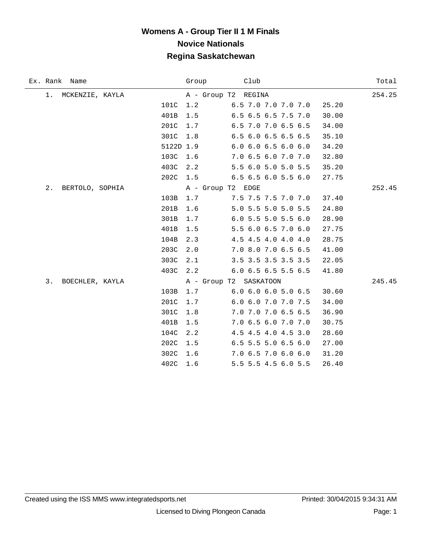| Ex. Rank Name         |             | Club<br>Group                          | Total  |
|-----------------------|-------------|----------------------------------------|--------|
| 1. MCKENZIE, KAYLA    |             | A - Group T2 REGINA                    | 254.25 |
|                       | 101C<br>1.2 | 6.5 7.0 7.0 7.0 7.0<br>25.20           |        |
|                       | 401B<br>1.5 | 6.5 6.5 6.5 7.5 7.0<br>30.00           |        |
|                       | 201C<br>1.7 | 6.5 7.0 7.0 6.5 6.5<br>34.00           |        |
|                       | 301C<br>1.8 | 6.5 6.0 6.5 6.5 6.5<br>35.10           |        |
|                       | 5122D 1.9   | 6.0 6.0 6.5 6.0 6.0<br>34.20           |        |
|                       | 103C<br>1.6 | 7.0 6.5 6.0 7.0 7.0<br>32.80           |        |
|                       | 403C<br>2.2 | 5.5 6.0 5.0 5.0 5.5<br>35.20           |        |
|                       | 202C 1.5    | $6.5$ $6.5$ $6.0$ $5.5$ $6.0$<br>27.75 |        |
| 2.<br>BERTOLO, SOPHIA |             | A - Group T2 EDGE                      | 252.45 |
|                       | 103B<br>1.7 | 7.5 7.5 7.5 7.0 7.0<br>37.40           |        |
|                       | 201B<br>1.6 | 5.0 5.5 5.0 5.0 5.5<br>24.80           |        |
|                       | 301B<br>1.7 | 6.05.55.05.56.0<br>28.90               |        |
|                       | 401B<br>1.5 | 5.5 6.0 6.5 7.0 6.0<br>27.75           |        |
|                       | 104B<br>2.3 | 4.5 4.5 4.0 4.0 4.0<br>28.75           |        |
|                       | 203C<br>2.0 | 7.0 8.0 7.0 6.5 6.5<br>41.00           |        |
|                       | 303C<br>2.1 | 3.5 3.5 3.5 3.5 3.5<br>22.05           |        |
|                       | 403C<br>2.2 | 6.0 6.5 6.5 5.5 6.5<br>41.80           |        |
| 3.<br>BOECHLER, KAYLA |             | A - Group T2 SASKATOON                 | 245.45 |
|                       | 103B<br>1.7 | $6.0 \t6.0 \t6.0 \t5.0 \t6.5$<br>30.60 |        |
|                       | 201C<br>1.7 | 6.0 6.0 7.0 7.0 7.5<br>34.00           |        |
|                       | 301C<br>1.8 | 7.0 7.0 7.0 6.5 6.5<br>36.90           |        |
|                       | 401B<br>1.5 | 7.0 6.5 6.0 7.0 7.0<br>30.75           |        |
|                       | 104C<br>2.2 | 4.5 4.5 4.0 4.5 3.0<br>28.60           |        |
|                       | 202C<br>1.5 | 6.5 5.5 5.0 6.5 6.0<br>27.00           |        |
|                       | 302C<br>1.6 | 7.0 6.5 7.0 6.0 6.0<br>31.20           |        |
|                       | 402C<br>1.6 | 5.5 5.5 4.5 6.0 5.5<br>26.40           |        |
|                       |             |                                        |        |

 $\overline{\phantom{0}}$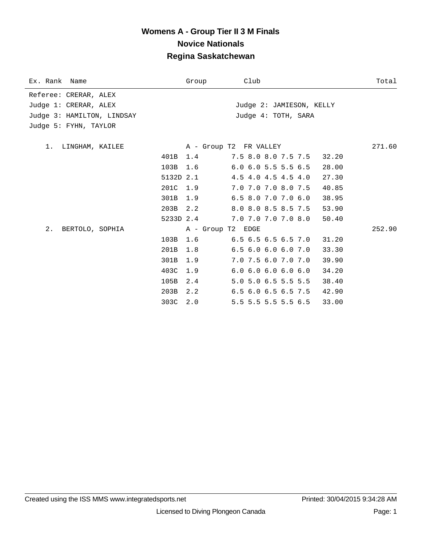| Ex. Rank Name              |           | Group             | Club                          | Total  |
|----------------------------|-----------|-------------------|-------------------------------|--------|
| Referee: CRERAR, ALEX      |           |                   |                               |        |
| Judge 1: CRERAR, ALEX      |           |                   | Judge 2: JAMIESON, KELLY      |        |
| Judge 3: HAMILTON, LINDSAY |           |                   | Judge 4: TOTH, SARA           |        |
| Judge 5: FYHN, TAYLOR      |           |                   |                               |        |
|                            |           |                   |                               |        |
| 1. LINGHAM, KAILEE         |           |                   | A - Group T2 FR VALLEY        | 271.60 |
|                            | 401B 1.4  |                   | 7.5 8.0 8.0 7.5 7.5           | 32.20  |
|                            | 103B      | 1.6               | $6.0$ 6.0 5.5 5.5 6.5         | 28.00  |
|                            | 5132D 2.1 |                   | 4.5 4.0 4.5 4.5 4.0           | 27.30  |
|                            | 201C      | 1.9               | 7.0 7.0 7.0 8.0 7.5           | 40.85  |
|                            | 301B      | 1.9               | $6.5$ $8.0$ $7.0$ $7.0$ $6.0$ | 38.95  |
|                            | 203B 2.2  |                   | 8.0 8.0 8.5 8.5 7.5           | 53.90  |
|                            | 5233D 2.4 |                   | 7.0 7.0 7.0 7.0 8.0           | 50.40  |
| 2.<br>BERTOLO, SOPHIA      |           | A - Group T2 EDGE |                               | 252.90 |
|                            | 103B      | 1.6               | $6.5$ $6.5$ $6.5$ $6.5$ $7.0$ | 31.20  |
|                            | 201B      | 1.8               | $6.5$ $6.0$ $6.0$ $6.0$ $7.0$ | 33.30  |
|                            | 301B      | 1.9               | 7.0 7.5 6.0 7.0 7.0           | 39.90  |
|                            | 403C      | 1.9               | 6.06.06.06.06.0               | 34.20  |
|                            | 105B      | 2.4               | 5.0 5.0 6.5 5.5 5.5           | 38.40  |
|                            | 203B      | 2.2               | $6.5$ $6.0$ $6.5$ $6.5$ $7.5$ | 42.90  |
|                            | 303C      | 2.0               | 5.5 5.5 5.5 5.5 6.5           | 33.00  |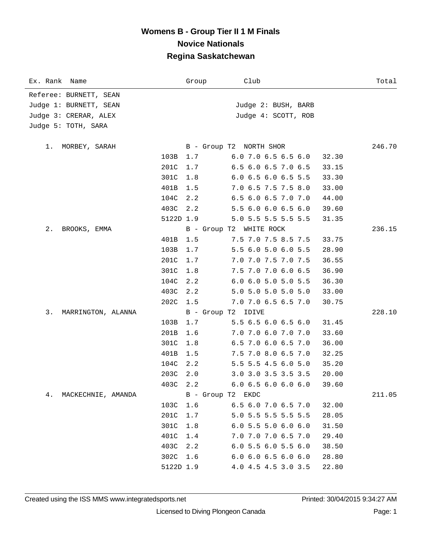| Ex. Rank Name            |             | Group                   | Club                          |       | Total  |
|--------------------------|-------------|-------------------------|-------------------------------|-------|--------|
| Referee: BURNETT, SEAN   |             |                         |                               |       |        |
| Judge 1: BURNETT, SEAN   |             |                         | Judge 2: BUSH, BARB           |       |        |
| Judge 3: CRERAR, ALEX    |             |                         | Judge 4: SCOTT, ROB           |       |        |
| Judge 5: TOTH, SARA      |             |                         |                               |       |        |
|                          |             |                         |                               |       |        |
| MORBEY, SARAH<br>1.      |             | B - Group T2 NORTH SHOR |                               |       | 246.70 |
|                          | 103B<br>1.7 |                         | 6.0 7.0 6.5 6.5 6.0           | 32.30 |        |
|                          | 201C<br>1.7 |                         | 6.5 6.0 6.5 7.0 6.5           | 33.15 |        |
|                          | 301C<br>1.8 |                         | 6.0 6.5 6.0 6.5 5.5           | 33.30 |        |
|                          | 401B<br>1.5 |                         | 7.0 6.5 7.5 7.5 8.0           | 33.00 |        |
|                          | 104C<br>2.2 |                         | 6.5 6.0 6.5 7.0 7.0           | 44.00 |        |
|                          | 403C<br>2.2 |                         | 5.5 6.0 6.0 6.5 6.0           | 39.60 |        |
|                          | 5122D 1.9   |                         | 5.0 5.5 5.5 5.5 5.5           | 31.35 |        |
| 2.<br>BROOKS, EMMA       |             | B - Group T2 WHITE ROCK |                               |       | 236.15 |
|                          | 401B<br>1.5 |                         | 7.5 7.0 7.5 8.5 7.5           | 33.75 |        |
|                          | 103B<br>1.7 |                         | 5.5 6.0 5.0 6.0 5.5           | 28.90 |        |
|                          | 201C<br>1.7 |                         | 7.0 7.0 7.5 7.0 7.5           | 36.55 |        |
|                          | 301C<br>1.8 |                         | 7.5 7.0 7.0 6.0 6.5           | 36.90 |        |
|                          | 104C<br>2.2 |                         | 6.0 6.0 5.0 5.0 5.5           | 36.30 |        |
|                          | 403C<br>2.2 |                         | 5.0 5.0 5.0 5.0 5.0           | 33.00 |        |
|                          | 202C<br>1.5 |                         | 7.0 7.0 6.5 6.5 7.0           | 30.75 |        |
| 3.<br>MARRINGTON, ALANNA |             | B - Group T2 IDIVE      |                               |       | 228.10 |
|                          | 1.7<br>103B |                         | 5.5 6.5 6.0 6.5 6.0           | 31.45 |        |
|                          | 201B<br>1.6 |                         | 7.0 7.0 6.0 7.0 7.0           | 33.60 |        |
|                          | 301C<br>1.8 |                         | 6.5 7.0 6.0 6.5 7.0           | 36.00 |        |
|                          | 401B<br>1.5 |                         | 7.5 7.0 8.0 6.5 7.0           | 32.25 |        |
|                          | 2.2<br>104C |                         | 5.5 5.5 4.5 6.0 5.0           | 35.20 |        |
|                          | 203C<br>2.0 |                         | 3.0 3.0 3.5 3.5 3.5           | 20.00 |        |
|                          | 403C 2.2    |                         | 6.06.56.06.06.0               | 39.60 |        |
| 4.<br>MACKECHNIE, AMANDA |             | B - Group T2 EKDC       |                               |       | 211.05 |
|                          | 103C<br>1.6 |                         | 6.5 6.0 7.0 6.5 7.0           | 32.00 |        |
|                          | 201C<br>1.7 |                         | 5.0 5.5 5.5 5.5 5.5           | 28.05 |        |
|                          | 301C<br>1.8 |                         | $6.0$ 5.5 5.0 6.0 6.0         | 31.50 |        |
|                          | 401C<br>1.4 |                         | 7.0 7.0 7.0 6.5 7.0           | 29.40 |        |
|                          | 403C<br>2.2 |                         | $6.0$ 5.5 6.0 5.5 6.0         | 38.50 |        |
|                          | 302C<br>1.6 |                         | $6.0$ $6.0$ $6.5$ $6.0$ $6.0$ | 28.80 |        |
|                          | 5122D 1.9   |                         | 4.0 4.5 4.5 3.0 3.5           | 22.80 |        |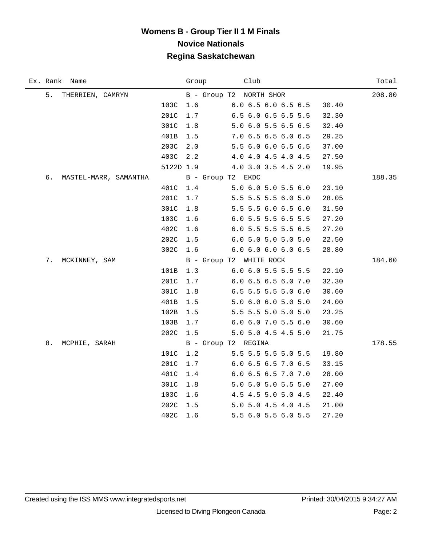|    | Ex. Rank Name         |           | Group                   | Club |                     |       | Total  |
|----|-----------------------|-----------|-------------------------|------|---------------------|-------|--------|
| 5. | THERRIEN, CAMRYN      |           | B - Group T2 NORTH SHOR |      |                     |       | 208.80 |
|    |                       | 103C      | 1.6                     |      | 6.0 6.5 6.0 6.5 6.5 | 30.40 |        |
|    |                       | 201C      | 1.7                     |      | 6.5 6.0 6.5 6.5 5.5 | 32.30 |        |
|    |                       | 301C      | 1.8                     |      | 5.0 6.0 5.5 6.5 6.5 | 32.40 |        |
|    |                       | 401B      | $1.5$                   |      | 7.0 6.5 6.5 6.0 6.5 | 29.25 |        |
|    |                       | 203C      | 2.0                     |      | 5.5 6.0 6.0 6.5 6.5 | 37.00 |        |
|    |                       | 403C      | 2.2                     |      | 4.0 4.0 4.5 4.0 4.5 | 27.50 |        |
|    |                       | 5122D 1.9 |                         |      | 4.0 3.0 3.5 4.5 2.0 | 19.95 |        |
| б. | MASTEL-MARR, SAMANTHA |           | B - Group T2 EKDC       |      |                     |       | 188.35 |
|    |                       | 401C      | $1\,.4$                 |      | 5.0 6.0 5.0 5.5 6.0 | 23.10 |        |
|    |                       | 201C      | 1.7                     |      | 5.5 5.5 5.5 6.0 5.0 | 28.05 |        |
|    |                       | 301C      | $1.8$                   |      | 5.5 5.5 6.0 6.5 6.0 | 31.50 |        |
|    |                       | 103C      | 1.6                     |      | 6.0 5.5 5.5 6.5 5.5 | 27.20 |        |
|    |                       | 402C      | 1.6                     |      | 6.0 5.5 5.5 5.5 6.5 | 27.20 |        |
|    |                       | 202C      | 1.5                     |      | 6.0 5.0 5.0 5.0 5.0 | 22.50 |        |
|    |                       | 302C      | 1.6                     |      | 6.0 6.0 6.0 6.0 6.5 | 28.80 |        |
| 7. | MCKINNEY, SAM         |           | B - Group T2 WHITE ROCK |      |                     |       | 184.60 |
|    |                       | 101B      | 1.3                     |      | 6.0 6.0 5.5 5.5 5.5 | 22.10 |        |
|    |                       | 201C      | 1.7                     |      | 6.0 6.5 6.5 6.0 7.0 | 32.30 |        |
|    |                       | 301C      | 1.8                     |      | 6.5 5.5 5.5 5.0 6.0 | 30.60 |        |
|    |                       | 401B      | 1.5                     |      | 5.0 6.0 6.0 5.0 5.0 | 24.00 |        |
|    |                       | 102B      | 1.5                     |      | 5.5 5.5 5.0 5.0 5.0 | 23.25 |        |
|    |                       | 103B      | 1.7                     |      | 6.0 6.0 7.0 5.5 6.0 | 30.60 |        |
|    |                       | 202C      | 1.5                     |      | 5.0 5.0 4.5 4.5 5.0 | 21.75 |        |
| 8. | MCPHIE, SARAH         |           | B - Group T2 REGINA     |      |                     |       | 178.55 |
|    |                       | 101C      | 1.2                     |      | 5.5 5.5 5.5 5.0 5.5 | 19.80 |        |
|    |                       | 201C      | 1.7                     |      | 6.0 6.5 6.5 7.0 6.5 | 33.15 |        |
|    |                       | 401C      | 1.4                     |      | 6.0 6.5 6.5 7.0 7.0 | 28.00 |        |
|    |                       | 301C      | 1.8                     |      | 5.0 5.0 5.0 5.5 5.0 | 27.00 |        |
|    |                       | 103C      | 1.6                     |      | 4.5 4.5 5.0 5.0 4.5 | 22.40 |        |
|    |                       | 202C      | 1.5                     |      | 5.0 5.0 4.5 4.0 4.5 | 21.00 |        |
|    |                       | 402C      | 1.6                     |      | 5.5 6.0 5.5 6.0 5.5 | 27.20 |        |

 $\overline{\phantom{0}}$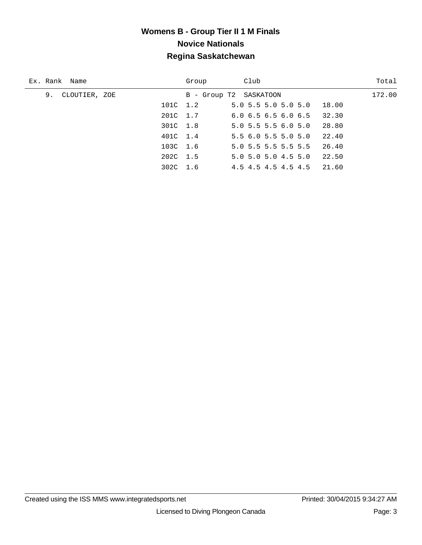| Ex. Rank Name       | Group                  | Club                                   | Total  |
|---------------------|------------------------|----------------------------------------|--------|
| 9.<br>CLOUTIER, ZOE | B - Group T2 SASKATOON |                                        | 172.00 |
| 101C 1.2            |                        | 5.0 5.5 5.0 5.0 5.0<br>18.00           |        |
| 201C 1.7            |                        | 32.30<br>$6.0$ 6.5 6.5 6.0 6.5         |        |
| 301C 1.8            |                        | 28.80<br>$5.0$ 5.5 5.5 6.0 5.0         |        |
| 401C 1.4            |                        | 22.40<br>5.56.05.55.05.0               |        |
| 103C 1.6            |                        | $5.0$ 5.5 5.5 5.5 5.5<br>26.40         |        |
| 202C 1.5            |                        | 22.50<br>$5.0$ $5.0$ $5.0$ $4.5$ $5.0$ |        |
| 302C 1.6            |                        | 4.5 4.5 4.5 4.5 4.5<br>21.60           |        |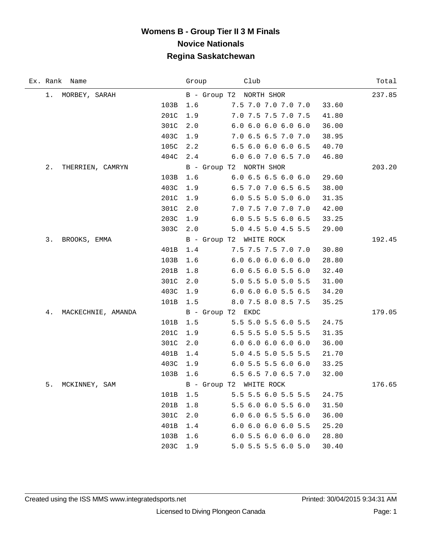|    | Ex. Rank Name      |      | Group | Club                          |       | Total  |
|----|--------------------|------|-------|-------------------------------|-------|--------|
|    | 1. MORBEY, SARAH   |      |       | B - Group T2 NORTH SHOR       |       | 237.85 |
|    |                    | 103B | 1.6   | 7.5 7.0 7.0 7.0 7.0           | 33.60 |        |
|    |                    | 201C | 1.9   | 7.0 7.5 7.5 7.0 7.5           | 41.80 |        |
|    |                    | 301C | 2.0   | 6.06.06.06.06.0               | 36.00 |        |
|    |                    | 403C | 1.9   | 7.0 6.5 6.5 7.0 7.0           | 38.95 |        |
|    |                    | 105C | 2.2   | 6.5 6.0 6.0 6.0 6.5           | 40.70 |        |
|    |                    | 404C | 2.4   | 6.0 6.0 7.0 6.5 7.0           | 46.80 |        |
| 2. | THERRIEN, CAMRYN   |      |       | B - Group T2 NORTH SHOR       |       | 203.20 |
|    |                    | 103B | 1.6   | 6.0 6.5 6.5 6.0 6.0           | 29.60 |        |
|    |                    | 403C | 1.9   | 6.5 7.0 7.0 6.5 6.5           | 38.00 |        |
|    |                    | 201C | 1.9   | $6.0$ 5.5 5.0 5.0 6.0         | 31.35 |        |
|    |                    | 301C | 2.0   | 7.0 7.5 7.0 7.0 7.0           | 42.00 |        |
|    |                    | 203C | 1.9   | 6.0 5.5 5.5 6.0 6.5           | 33.25 |        |
|    |                    | 303C | 2.0   | 5.0 4.5 5.0 4.5 5.5           | 29.00 |        |
| 3. | BROOKS, EMMA       |      |       | B - Group T2 WHITE ROCK       |       | 192.45 |
|    |                    | 401B | 1.4   | 7.5 7.5 7.5 7.0 7.0           | 30.80 |        |
|    |                    | 103B | 1.6   | 6.0 6.0 6.0 6.0 6.0           | 28.80 |        |
|    |                    | 201B | 1.8   | $6.0$ $6.5$ $6.0$ $5.5$ $6.0$ | 32.40 |        |
|    |                    | 301C | 2.0   | 5.0 5.5 5.0 5.0 5.5           | 31.00 |        |
|    |                    | 403C | 1.9   | 6.0 6.0 6.0 5.5 6.5           | 34.20 |        |
|    |                    | 101B | 1.5   | 8.0 7.5 8.0 8.5 7.5           | 35.25 |        |
| 4. | MACKECHNIE, AMANDA |      |       | B - Group T2 EKDC             |       | 179.05 |
|    |                    | 101B | 1.5   | 5.5 5.0 5.5 6.0 5.5           | 24.75 |        |
|    |                    | 201C | 1.9   | 6.5 5.5 5.0 5.5 5.5           | 31.35 |        |
|    |                    | 301C | 2.0   | 6.06.06.06.06.0               | 36.00 |        |
|    |                    | 401B | 1.4   | 5.0 4.5 5.0 5.5 5.5           | 21.70 |        |
|    |                    | 403C | 1.9   | $6.0$ 5.5 5.5 6.0 6.0         | 33.25 |        |
|    |                    | 103B | 1.6   | 6.5 6.5 7.0 6.5 7.0           | 32.00 |        |
| 5. | MCKINNEY, SAM      |      |       | B - Group T2 WHITE ROCK       |       | 176.65 |
|    |                    | 101B | 1.5   | 5.5 5.5 6.0 5.5 5.5           | 24.75 |        |
|    |                    | 201B | 1.8   | 5.5 6.0 6.0 5.5 6.0           | 31.50 |        |
|    |                    | 301C | 2.0   | $6.0$ $6.0$ $6.5$ $5.5$ $6.0$ | 36.00 |        |
|    |                    | 401B | 1.4   | 6.06.06.06.05.5               | 25.20 |        |
|    |                    | 103B | 1.6   | 6.05.56.06.06.0               | 28.80 |        |
|    |                    | 203C | 1.9   | 5.0 5.5 5.5 6.0 5.0           | 30.40 |        |

÷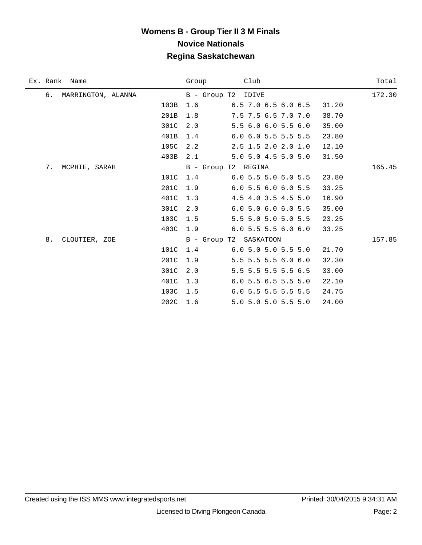| Ex. Rank Name            |             | Group                  | Club                        |       | Total  |
|--------------------------|-------------|------------------------|-----------------------------|-------|--------|
| б.<br>MARRINGTON, ALANNA |             | B - Group T2 IDIVE     |                             |       | 172.30 |
|                          | 103B        | 1.6                    | $6.5$ 7.0 $6.5$ $6.0$ $6.5$ | 31.20 |        |
|                          | 201B        | 1.8                    | 7.5 7.5 6.5 7.0 7.0         | 38.70 |        |
|                          | 301C        | 2.0                    | 5.5 6.0 6.0 5.5 6.0         | 35.00 |        |
|                          | 401B        | 1.4                    | 6.0 6.0 5.5 5.5 5.5         | 23.80 |        |
|                          | 105C        | 2.2                    | 2.5 1.5 2.0 2.0 1.0         | 12.10 |        |
|                          | 403B        | 2.1                    | 5.0 5.0 4.5 5.0 5.0         | 31.50 |        |
| 7.<br>MCPHIE, SARAH      |             | B - Group T2 REGINA    |                             |       | 165.45 |
|                          | 101C        | 1.4                    | $6.0$ 5.5 5.0 6.0 5.5       | 23.80 |        |
|                          | 201C        | 1.9                    | $6.0$ 5.5 6.0 6.0 5.5       | 33.25 |        |
|                          | 401C        | 1.3                    | 4.5 4.0 3.5 4.5 5.0         | 16.90 |        |
|                          | 301C        | 2.0                    | 6.0 5.0 6.0 6.0 5.5         | 35.00 |        |
|                          | 103C        | 1.5                    | 5.5 5.0 5.0 5.0 5.5         | 23.25 |        |
|                          | 403C        | 1.9                    | $6.0$ 5.5 5.5 6.0 6.0       | 33.25 |        |
| 8.<br>CLOUTIER, ZOE      |             | B - Group T2 SASKATOON |                             |       | 157.85 |
|                          | 101C        | 1.4                    | $6.0$ 5.0 5.0 5.5 5.0       | 21.70 |        |
|                          | 201C        | 1.9                    | 5.5 5.5 5.5 6.0 6.0         | 32.30 |        |
|                          | 301C        | 2.0                    | 5.5 5.5 5.5 5.5 6.5         | 33.00 |        |
|                          | 401C        | 1.3                    | 6.0 5.5 6.5 5.5 5.0         | 22.10 |        |
|                          | 103C        | 1.5                    | 6.0 5.5 5.5 5.5 5.5         | 24.75 |        |
|                          | 202C<br>1.6 |                        | 5.0 5.0 5.0 5.5 5.0         | 24.00 |        |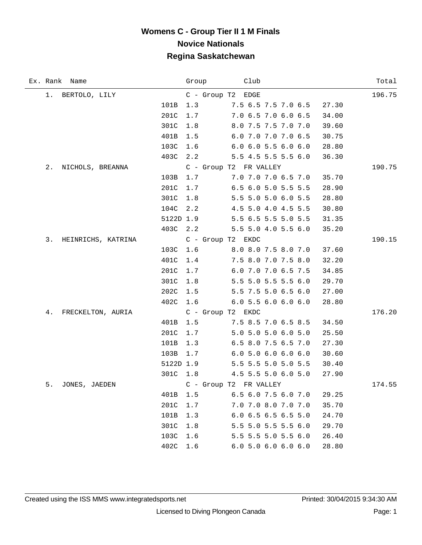|    | Ex. Rank Name      |           | Group | Club                                   | Total  |
|----|--------------------|-----------|-------|----------------------------------------|--------|
|    | 1. BERTOLO, LILY   |           |       | C - Group T2 EDGE                      | 196.75 |
|    |                    | 101B      | 1.3   | 7.5 6.5 7.5 7.0 6.5<br>27.30           |        |
|    |                    | 201C      | 1.7   | 7.0 6.5 7.0 6.0 6.5<br>34.00           |        |
|    |                    | 301C      | 1.8   | 8.0 7.5 7.5 7.0 7.0<br>39.60           |        |
|    |                    | 401B      | 1.5   | 6.0 7.0 7.0 7.0 6.5<br>30.75           |        |
|    |                    | 103C      | 1.6   | $6.0$ $6.0$ $5.5$ $6.0$ $6.0$<br>28.80 |        |
|    |                    | 403C      | 2.2   | 5.5 4.5 5.5 5.5 6.0<br>36.30           |        |
| 2. | NICHOLS, BREANNA   |           |       | C - Group T2 FR VALLEY                 | 190.75 |
|    |                    | 103B      | 1.7   | 7.0 7.0 7.0 6.5 7.0<br>35.70           |        |
|    |                    | 201C      | 1.7   | 6.5 6.0 5.0 5.5 5.5<br>28.90           |        |
|    |                    | 301C      | 1.8   | 5.5 5.0 5.0 6.0 5.5<br>28.80           |        |
|    |                    | 104C      | 2.2   | 4.5 5.0 4.0 4.5 5.5<br>30.80           |        |
|    |                    | 5122D 1.9 |       | 5.5 6.5 5.5 5.0 5.5<br>31.35           |        |
|    |                    | 403C 2.2  |       | 5.5 5.0 4.0 5.5 6.0<br>35.20           |        |
| 3. | HEINRICHS, KATRINA |           |       | C - Group T2 EKDC                      | 190.15 |
|    |                    | 103C      | 1.6   | 8.0 8.0 7.5 8.0 7.0<br>37.60           |        |
|    |                    | 401C      | 1.4   | 7.5 8.0 7.0 7.5 8.0<br>32.20           |        |
|    |                    | 201C      | 1.7   | 6.0 7.0 7.0 6.5 7.5<br>34.85           |        |
|    |                    | 301C      | 1.8   | 5.5 5.0 5.5 5.5 6.0<br>29.70           |        |
|    |                    | 202C      | 1.5   | 5.5 7.5 5.0 6.5 6.0<br>27.00           |        |
|    |                    | 402C      | 1.6   | $6.0$ 5.5 $6.0$ 6.0 $6.0$<br>28.80     |        |
| 4. | FRECKELTON, AURIA  |           |       | C - Group T2 EKDC                      | 176.20 |
|    |                    | 401B      | 1.5   | 7.5 8.5 7.0 6.5 8.5<br>34.50           |        |
|    |                    | 201C      | 1.7   | 5.0 5.0 5.0 6.0 5.0<br>25.50           |        |
|    |                    | 101B      | 1.3   | 6.5 8.0 7.5 6.5 7.0<br>27.30           |        |
|    |                    | 103B      | 1.7   | 6.05.06.06.06.0<br>30.60               |        |
|    |                    | 5122D 1.9 |       | 5.5 5.5 5.0 5.0 5.5<br>30.40           |        |
|    |                    | 301C 1.8  |       | 4.5 5.5 5.0 6.0 5.0<br>27.90           |        |
| 5. | JONES, JAEDEN      |           |       | C - Group T2 FR VALLEY                 | 174.55 |
|    |                    | 401B      | 1.5   | 6.5 6.0 7.5 6.0 7.0<br>29.25           |        |
|    |                    | 201C      | 1.7   | 7.0 7.0 8.0 7.0 7.0<br>35.70           |        |
|    |                    | 101B      | 1.3   | 6.0 6.5 6.5 6.5 5.0<br>24.70           |        |
|    |                    | 301C      | 1.8   | 5.5 5.0 5.5 5.5 6.0<br>29.70           |        |
|    |                    | 103C      | 1.6   | 5.5 5.5 5.0 5.5 6.0<br>26.40           |        |
|    |                    | 402C      | 1.6   | 6.05.06.06.06.0<br>28.80               |        |

÷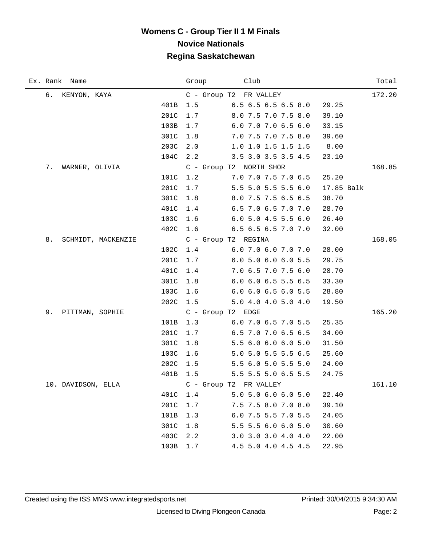|    | Ex. Rank Name      |                    |          | Group |                               | Club |                       |            | Total  |
|----|--------------------|--------------------|----------|-------|-------------------------------|------|-----------------------|------------|--------|
|    | 6. KENYON, KAYA    |                    |          |       | C - Group T2 FR VALLEY        |      |                       |            | 172.20 |
|    |                    |                    | 401B     | 1.5   | 6.5 6.5 6.5 6.5 8.0           |      |                       | 29.25      |        |
|    |                    |                    | 201C     | 1.7   |                               |      | 8.0 7.5 7.0 7.5 8.0   | 39.10      |        |
|    |                    |                    | 103B     | 1.7   |                               |      | 6.0 7.0 7.0 6.5 6.0   | 33.15      |        |
|    |                    |                    | 301C     | 1.8   |                               |      | 7.0 7.5 7.0 7.5 8.0   | 39.60      |        |
|    |                    |                    | 203C     | 2.0   |                               |      | 1.0 1.0 1.5 1.5 1.5   | 8.00       |        |
|    |                    |                    | 104C 2.2 |       |                               |      | 3.5 3.0 3.5 3.5 4.5   | 23.10      |        |
| 7. | WARNER, OLIVIA     |                    |          |       | C - Group T2 NORTH SHOR       |      |                       |            | 168.85 |
|    |                    |                    | 101C 1.2 |       |                               |      | 7.0 7.0 7.5 7.0 6.5   | 25.20      |        |
|    |                    |                    | 201C     | 1.7   |                               |      | 5.5 5.0 5.5 5.5 6.0   | 17.85 Balk |        |
|    |                    |                    | 301C     | 1.8   |                               |      | 8.0 7.5 7.5 6.5 6.5   | 38.70      |        |
|    |                    |                    | 401C     | 1.4   |                               |      | 6.5 7.0 6.5 7.0 7.0   | 28.70      |        |
|    |                    |                    | 103C     | 1.6   |                               |      | $6.0$ 5.0 4.5 5.5 6.0 | 26.40      |        |
|    |                    |                    | 402C 1.6 |       | $6.5$ $6.5$ $6.5$ $7.0$ $7.0$ |      |                       | 32.00      |        |
| 8. |                    | SCHMIDT, MACKENZIE |          |       | C - Group T2 REGINA           |      |                       |            | 168.05 |
|    |                    |                    | 102C 1.4 |       | $6.0\,7.0\,6.0\,7.0\,7.0$     |      |                       | 28.00      |        |
|    |                    |                    | 201C     | 1.7   |                               |      | 6.0 5.0 6.0 6.0 5.5   | 29.75      |        |
|    |                    |                    | 401C     | 1.4   |                               |      | 7.0 6.5 7.0 7.5 6.0   | 28.70      |        |
|    |                    |                    | 301C     | 1.8   |                               |      | 6.0 6.0 6.5 5.5 6.5   | 33.30      |        |
|    |                    |                    | 103C     | 1.6   |                               |      | 6.0 6.0 6.5 6.0 5.5   | 28.80      |        |
|    |                    |                    | 202C     | 1.5   |                               |      | 5.0 4.0 4.0 5.0 4.0   | 19.50      |        |
| 9. | PITTMAN, SOPHIE    |                    |          |       | C - Group T2 EDGE             |      |                       |            | 165.20 |
|    |                    |                    | 101B     | 1.3   |                               |      | 6.0 7.0 6.5 7.0 5.5   | 25.35      |        |
|    |                    |                    | 201C     | 1.7   |                               |      | 6.5 7.0 7.0 6.5 6.5   | 34.00      |        |
|    |                    |                    | 301C     | 1.8   |                               |      | 5.5 6.0 6.0 6.0 5.0   | 31.50      |        |
|    |                    |                    | 103C     | 1.6   |                               |      | 5.0 5.0 5.5 5.5 6.5   | 25.60      |        |
|    |                    |                    | 202C     | 1.5   |                               |      | 5.5 6.0 5.0 5.5 5.0   | 24.00      |        |
|    |                    |                    | 401B     | 1.5   |                               |      | 5.5 5.5 5.0 6.5 5.5   | 24.75      |        |
|    | 10. DAVIDSON, ELLA |                    |          |       | C - Group T2 FR VALLEY        |      |                       |            | 161.10 |
|    |                    |                    | 401C     | 1.4   |                               |      | 5.0 5.0 6.0 6.0 5.0   | 22.40      |        |
|    |                    |                    | 201C     | 1.7   |                               |      | 7.5 7.5 8.0 7.0 8.0   | 39.10      |        |
|    |                    |                    | 101B     | 1.3   |                               |      | 6.0 7.5 5.5 7.0 5.5   | 24.05      |        |
|    |                    |                    | 301C     | 1.8   |                               |      | 5.5 5.5 6.0 6.0 5.0   | 30.60      |        |
|    |                    |                    | 403C     | 2.2   |                               |      | 3.0 3.0 3.0 4.0 4.0   | 22.00      |        |
|    |                    |                    | 103B     | 1.7   |                               |      | 4.5 5.0 4.0 4.5 4.5   | 22.95      |        |

÷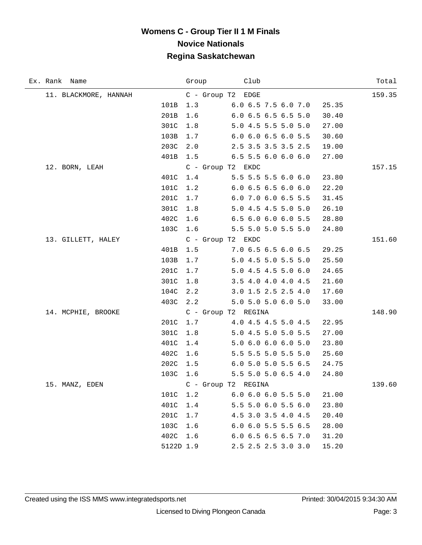| Ex. Rank Name         | Group       | Club                |                               |       | Total  |
|-----------------------|-------------|---------------------|-------------------------------|-------|--------|
| 11. BLACKMORE, HANNAH |             | C - Group T2 EDGE   |                               |       | 159.35 |
|                       | 101B<br>1.3 | 6.0 6.5 7.5 6.0 7.0 |                               | 25.35 |        |
|                       | 201B<br>1.6 |                     | 6.0 6.5 6.5 6.5 5.0           | 30.40 |        |
|                       | 301C<br>1.8 |                     | 5.0 4.5 5.5 5.0 5.0           | 27.00 |        |
|                       | 103B<br>1.7 |                     | 6.0 6.0 6.5 6.0 5.5           | 30.60 |        |
|                       | 203C<br>2.0 |                     | 2.5 3.5 3.5 3.5 2.5           | 19.00 |        |
|                       | 401B<br>1.5 |                     | $6.5$ 5.5 6.0 6.0 6.0         | 27.00 |        |
| 12. BORN, LEAH        |             | C - Group T2 EKDC   |                               |       | 157.15 |
|                       | 401C<br>1.4 |                     | 5.5 5.5 5.5 6.0 6.0           | 23.80 |        |
|                       | 101C<br>1.2 |                     | $6.0$ 6.5 6.5 6.0 6.0         | 22.20 |        |
|                       | 201C<br>1.7 |                     | 6.0 7.0 6.0 6.5 5.5           | 31.45 |        |
|                       | 301C<br>1.8 |                     | 5.0 4.5 4.5 5.0 5.0           | 26.10 |        |
|                       | 402C<br>1.6 |                     | 6.5 6.0 6.0 6.0 5.5           | 28.80 |        |
|                       | 103C 1.6    |                     | 5.5 5.0 5.0 5.5 5.0           | 24.80 |        |
| 13. GILLETT, HALEY    |             | C - Group T2 EKDC   |                               |       | 151.60 |
|                       | 401B<br>1.5 | 7.0 6.5 6.5 6.0 6.5 |                               | 29.25 |        |
|                       | 103B<br>1.7 |                     | 5.0 4.5 5.0 5.5 5.0           | 25.50 |        |
|                       | 201C<br>1.7 |                     | 5.0 4.5 4.5 5.0 6.0           | 24.65 |        |
|                       | 301C<br>1.8 |                     | 3.5 4.0 4.0 4.0 4.5           | 21.60 |        |
|                       | 104C<br>2.2 |                     | 3.0 1.5 2.5 2.5 4.0           | 17.60 |        |
|                       | 403C<br>2.2 |                     | 5.0 5.0 5.0 6.0 5.0           | 33.00 |        |
| 14. MCPHIE, BROOKE    |             | C - Group T2 REGINA |                               |       | 148.90 |
|                       | 201C<br>1.7 |                     | 4.0 4.5 4.5 5.0 4.5           | 22.95 |        |
|                       | 301C<br>1.8 |                     | 5.0 4.5 5.0 5.0 5.5           | 27.00 |        |
|                       | 401C<br>1.4 |                     | 5.0 6.0 6.0 6.0 5.0           | 23.80 |        |
|                       | 402C<br>1.6 |                     | 5.5 5.5 5.0 5.5 5.0           | 25.60 |        |
|                       | 202C<br>1.5 |                     | 6.0 5.0 5.0 5.5 6.5           | 24.75 |        |
|                       | 103C<br>1.6 |                     | 5.5 5.0 5.0 6.5 4.0           | 24.80 |        |
| 15. MANZ, EDEN        |             | C - Group T2 REGINA |                               |       | 139.60 |
|                       | 101C<br>1.2 |                     | $6.0$ $6.0$ $6.0$ $5.5$ $5.0$ | 21.00 |        |
|                       | 401C<br>1.4 |                     | 5.5 5.0 6.0 5.5 6.0           | 23.80 |        |
|                       | 201C<br>1.7 |                     | 4.5 3.0 3.5 4.0 4.5           | 20.40 |        |
|                       | 1.6<br>103C |                     | 6.0 6.0 5.5 5.5 6.5           | 28.00 |        |
|                       | 402C 1.6    |                     | 6.0 6.5 6.5 6.5 7.0           | 31.20 |        |
|                       | 5122D 1.9   |                     | 2.5 2.5 2.5 3.0 3.0           | 15.20 |        |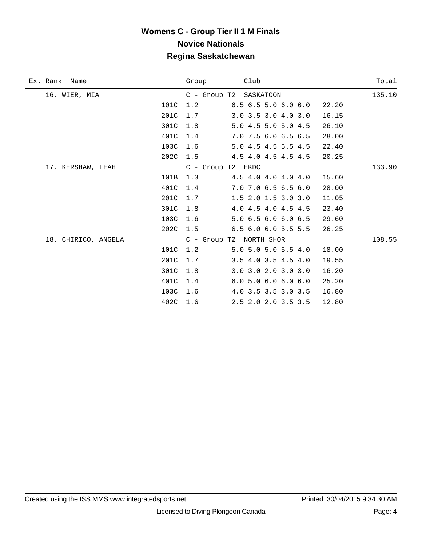| Ex. Rank Name       |      | Group | Club                                   | Total  |
|---------------------|------|-------|----------------------------------------|--------|
| 16. WIER, MIA       |      |       | C - Group T2 SASKATOON                 | 135.10 |
|                     | 101C | 1.2   | $6.5$ $6.5$ $5.0$ $6.0$ $6.0$<br>22.20 |        |
|                     | 201C | 1.7   | 3.0 3.5 3.0 4.0 3.0<br>16.15           |        |
|                     | 301C | 1.8   | 5.0 4.5 5.0 5.0 4.5<br>26.10           |        |
|                     | 401C | 1.4   | 7.0 7.5 6.0 6.5 6.5<br>28.00           |        |
|                     | 103C | 1.6   | 5.0 4.5 4.5 5.5 4.5<br>22.40           |        |
|                     | 202C | 1.5   | 4.5 4.0 4.5 4.5 4.5<br>20.25           |        |
| 17. KERSHAW, LEAH   |      |       | $C - Group T2$ EKDC                    | 133.90 |
|                     | 101B | 1.3   | 4.5 4.0 4.0 4.0 4.0<br>15.60           |        |
|                     | 401C | 1.4   | 7.0 7.0 6.5 6.5 6.0<br>28.00           |        |
|                     | 201C | 1.7   | $1.5$ 2.0 1.5 3.0 3.0<br>11.05         |        |
|                     | 301C | 1.8   | 4.0 4.5 4.0 4.5 4.5<br>23.40           |        |
|                     | 103C | 1.6   | 5.0 6.5 6.0 6.0 6.5<br>29.60           |        |
|                     | 202C | 1.5   | $6.5$ $6.0$ $6.0$ $5.5$ $5.5$<br>26.25 |        |
| 18. CHIRICO, ANGELA |      |       | C - Group T2 NORTH SHOR                | 108.55 |
|                     | 101C | 1.2   | 5.0 5.0 5.0 5.5 4.0<br>18.00           |        |
|                     | 201C | 1.7   | $3.5$ 4.0 3.5 4.5 4.0<br>19.55         |        |
|                     | 301C | 1.8   | 3.0 3.0 2.0 3.0 3.0<br>16.20           |        |
|                     | 401C | 1.4   | 6.05.06.06.06.0<br>25.20               |        |
|                     | 103C | 1.6   | 4.0 3.5 3.5 3.0 3.5<br>16.80           |        |
|                     | 402C | 1.6   | 2.5 2.0 2.0 3.5 3.5<br>12.80           |        |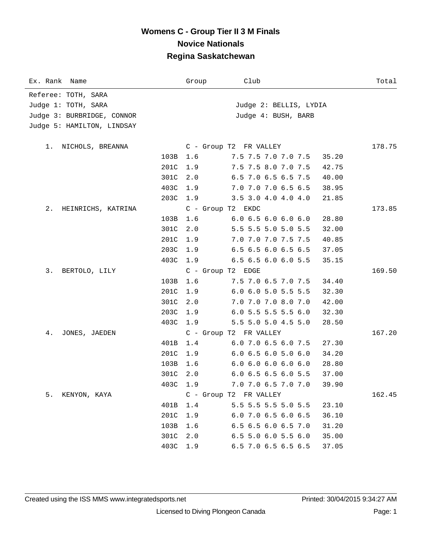| Ex. Rank Name              | Group               | Club                          | Total  |
|----------------------------|---------------------|-------------------------------|--------|
| Referee: TOTH, SARA        |                     |                               |        |
| Judge 1: TOTH, SARA        |                     | Judge 2: BELLIS, LYDIA        |        |
| Judge 3: BURBRIDGE, CONNOR |                     | Judge 4: BUSH, BARB           |        |
| Judge 5: HAMILTON, LINDSAY |                     |                               |        |
|                            |                     |                               |        |
| NICHOLS, BREANNA<br>1.     |                     | C - Group T2 FR VALLEY        | 178.75 |
| 103B                       | 1.6                 | 7.5 7.5 7.0 7.0 7.5           | 35.20  |
| 201C                       | 1.9                 | 7.5 7.5 8.0 7.0 7.5           | 42.75  |
| 301C                       | 2.0                 | 6.5 7.0 6.5 6.5 7.5           | 40.00  |
| 403C                       | 1.9                 | 7.0 7.0 7.0 6.5 6.5           | 38.95  |
| 203C                       | 1.9                 | 3.5 3.0 4.0 4.0 4.0           | 21.85  |
| 2.<br>HEINRICHS, KATRINA   | $C - Group T2$ EKDC |                               | 173.85 |
| 103B                       | 1.6                 | 6.06.56.06.06.0               | 28.80  |
| 301C                       | 2.0                 | 5.5 5.5 5.0 5.0 5.5           | 32.00  |
| 201C                       | 1.9                 | 7.0 7.0 7.0 7.5 7.5           | 40.85  |
| 203C                       | 1.9                 | 6.5 6.5 6.0 6.5 6.5           | 37.05  |
| 403C                       | 1.9                 | $6.5$ $6.5$ $6.0$ $6.0$ $5.5$ | 35.15  |
| 3.<br>BERTOLO, LILY        | C - Group T2 EDGE   |                               | 169.50 |
| 103B                       | 1.6                 | 7.5 7.0 6.5 7.0 7.5           | 34.40  |
| 201C                       | 1.9                 | $6.0$ $6.0$ $5.0$ $5.5$ $5.5$ | 32.30  |
| 301C                       | 2.0                 | 7.0 7.0 7.0 8.0 7.0           | 42.00  |
| 203C                       | 1.9                 | $6.0$ 5.5 5.5 5.5 6.0         | 32.30  |
| 403C                       | 1.9                 | 5.5 5.0 5.0 4.5 5.0           | 28.50  |
| 4.<br>JONES, JAEDEN        |                     | C - Group T2 FR VALLEY        | 167.20 |
| 401B                       | 1.4                 | 6.0 7.0 6.5 6.0 7.5           | 27.30  |
| 201C                       | 1.9                 | $6.0$ $6.5$ $6.0$ $5.0$ $6.0$ | 34.20  |
| 103B                       | 1.6                 | 6.06.06.06.06.0               | 28.80  |
| 301C                       | 2.0                 | 6.0 6.5 6.5 6.0 5.5           | 37.00  |
| 403C 1.9                   |                     | 7.0 7.0 6.5 7.0 7.0           | 39.90  |
| 5.<br>KENYON, KAYA         |                     | C - Group T2 FR VALLEY        | 162.45 |
| 401B                       | 1.4                 | 5.5 5.5 5.5 5.0 5.5           | 23.10  |
| 201C                       | 1.9                 | 6.0 7.0 6.5 6.0 6.5           | 36.10  |
| 103B                       | 1.6                 | 6.5 6.5 6.0 6.5 7.0           | 31.20  |
| 301C                       | 2.0                 | 6.5 5.0 6.0 5.5 6.0           | 35.00  |
| 403C                       | 1.9                 | 6.5 7.0 6.5 6.5 6.5           | 37.05  |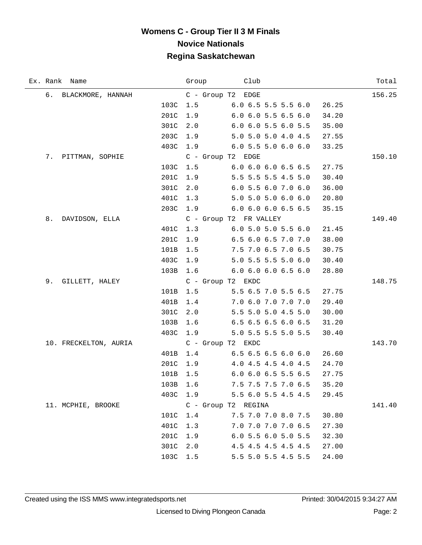|    | Ex. Rank Name         |          |          | Group Club                             | Total  |
|----|-----------------------|----------|----------|----------------------------------------|--------|
|    | 6. BLACKMORE, HANNAH  |          |          | C - Group T2 EDGE                      | 156.25 |
|    |                       | 103C     | 1.5      | $6.0$ 6.5 5.5 5.5 6.0<br>26.25         |        |
|    |                       | 201C     | 1.9      | $6.0$ $6.0$ $5.5$ $6.5$ $6.0$<br>34.20 |        |
|    |                       | 301C     | 2.0      | $6.0$ $6.0$ $5.5$ $6.0$ $5.5$<br>35.00 |        |
|    |                       | 203C     | 1.9      | 5.0 5.0 5.0 4.0 4.5<br>27.55           |        |
|    |                       | 403C     | 1.9      | 6.05.55.06.06.0<br>33.25               |        |
|    | 7. PITTMAN, SOPHIE    |          |          | C - Group T2 EDGE                      | 150.10 |
|    |                       | 103C     | 1.5      | 6.0 6.0 6.0 6.5 6.5<br>27.75           |        |
|    |                       | 201C     | 1.9      | 5.5 5.5 5.5 4.5 5.0<br>30.40           |        |
|    |                       | 301C     | 2.0      | 6.05.56.07.06.0<br>36.00               |        |
|    |                       | 401C     | 1.3      | 5.0 5.0 5.0 6.0 6.0<br>20.80           |        |
|    |                       | 203C     |          | 1.9 6.0 6.0 6.0 6.5 6.5<br>35.15       |        |
| 8. | DAVIDSON, ELLA        |          |          | C - Group T2 FR VALLEY                 | 149.40 |
|    |                       | 401C     | 1.3      | 6.05.05.05.56.0<br>21.45               |        |
|    |                       | 201C     | 1.9      | 6.5 6.0 6.5 7.0 7.0<br>38.00           |        |
|    |                       | 101B     | 1.5      | 7.5 7.0 6.5 7.0 6.5<br>30.75           |        |
|    |                       | 403C 1.9 |          | 5.0 5.5 5.5 5.0 6.0<br>30.40           |        |
|    |                       | 103B     | 1.6      | 6.0 6.0 6.0 6.5 6.0<br>28.80           |        |
| 9. | GILLETT, HALEY        |          |          | C - Group T2 EKDC                      | 148.75 |
|    |                       | 101B     | 1.5      | 5.5 6.5 7.0 5.5 6.5<br>27.75           |        |
|    |                       | 401B     | 1.4      | 7.0 6.0 7.0 7.0 7.0<br>29.40           |        |
|    |                       | 301C     | 2.0      | 5.5 5.0 5.0 4.5 5.0<br>30.00           |        |
|    |                       | 103B     | 1.6      | 6.5 6.5 6.5 6.0 6.5<br>31.20           |        |
|    |                       | 403C     | 1.9      | 5.0 5.5 5.5 5.0 5.5<br>30.40           |        |
|    | 10. FRECKELTON, AURIA |          |          | C - Group T2 EKDC                      | 143.70 |
|    |                       | 401B     | 1.4      | $6.5\,6.5\,6.5\,6.0\,6.0$<br>26.60     |        |
|    |                       | 201C     | 1.9      | 4.0 4.5 4.5 4.0 4.5<br>24.70           |        |
|    |                       | 101B     | 1.5      | $6.0$ $6.0$ $6.5$ $5.5$ $6.5$<br>27.75 |        |
|    |                       |          | 103B 1.6 | 7.5 7.5 7.5 7.0 6.5<br>35.20           |        |
|    |                       |          | 403C 1.9 | 5.5 6.0 5.5 4.5 4.5<br>29.45           |        |
|    | 11. MCPHIE, BROOKE    |          |          | C - Group T2 REGINA                    | 141.40 |
|    |                       | 101C     | 1.4      | 7.5 7.0 7.0 8.0 7.5<br>30.80           |        |
|    |                       | 401C     | 1.3      | 7.0 7.0 7.0 7.0 6.5<br>27.30           |        |
|    |                       | 201C     | 1.9      | 6.0 5.5 6.0 5.0 5.5<br>32.30           |        |
|    |                       | 301C 2.0 |          | 4.5 4.5 4.5 4.5 4.5<br>27.00           |        |
|    |                       | 103C 1.5 |          | 5.5 5.0 5.5 4.5 5.5<br>24.00           |        |

÷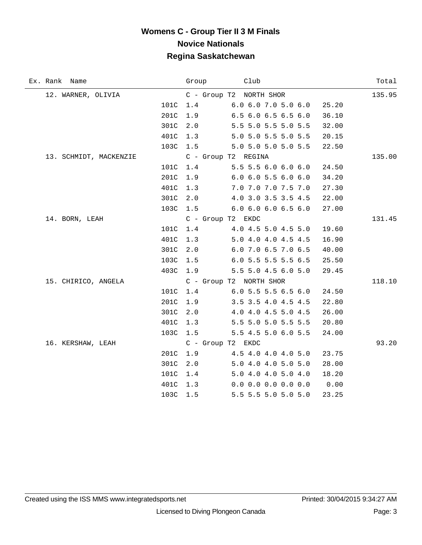| Ex. Rank Name          |      | Group | Club                          |       | Total  |
|------------------------|------|-------|-------------------------------|-------|--------|
| 12. WARNER, OLIVIA     |      |       | C - Group T2 NORTH SHOR       |       | 135.95 |
|                        | 101C | 1.4   | $6.0$ $6.0$ $7.0$ $5.0$ $6.0$ | 25.20 |        |
|                        | 201C | 1.9   | 6.5 6.0 6.5 6.5 6.0           | 36.10 |        |
|                        | 301C | 2.0   | 5.5 5.0 5.5 5.0 5.5           | 32.00 |        |
|                        | 401C | 1.3   | 5.0 5.0 5.5 5.0 5.5           | 20.15 |        |
|                        | 103C | 1.5   | 5.0 5.0 5.0 5.0 5.5           | 22.50 |        |
| 13. SCHMIDT, MACKENZIE |      |       | C - Group T2 REGINA           |       | 135.00 |
|                        | 101C | 1.4   | 5.5 5.5 6.0 6.0 6.0           | 24.50 |        |
|                        | 201C | 1.9   | $6.0$ $6.0$ $5.5$ $6.0$ $6.0$ | 34.20 |        |
|                        | 401C | 1.3   | 7.0 7.0 7.0 7.5 7.0           | 27.30 |        |
|                        | 301C | 2.0   | 4.0 3.0 3.5 3.5 4.5           | 22.00 |        |
|                        | 103C | 1.5   | $6.0$ $6.0$ $6.0$ $6.5$ $6.0$ | 27.00 |        |
| 14. BORN, LEAH         |      |       | C - Group T2 EKDC             |       | 131.45 |
|                        | 101C | 1.4   | 4.0 4.5 5.0 4.5 5.0           | 19.60 |        |
|                        | 401C | 1.3   | 5.0 4.0 4.0 4.5 4.5           | 16.90 |        |
|                        | 301C | 2.0   | 6.0 7.0 6.5 7.0 6.5           | 40.00 |        |
|                        | 103C | 1.5   | 6.0 5.5 5.5 5.5 6.5           | 25.50 |        |
|                        | 403C | 1.9   | 5.5 5.0 4.5 6.0 5.0           | 29.45 |        |
| 15. CHIRICO, ANGELA    |      |       | C - Group T2 NORTH SHOR       |       | 118.10 |
|                        | 101C | 1.4   | 6.0 5.5 5.5 6.5 6.0           | 24.50 |        |
|                        | 201C | 1.9   | 3.5 3.5 4.0 4.5 4.5           | 22.80 |        |
|                        | 301C | 2.0   | 4.0 4.0 4.5 5.0 4.5           | 26.00 |        |
|                        | 401C | 1.3   | 5.5 5.0 5.0 5.5 5.5           | 20.80 |        |
|                        | 103C | 1.5   | 5.5 4.5 5.0 6.0 5.5           | 24.00 |        |
| 16. KERSHAW, LEAH      |      |       | C - Group T2 EKDC             |       | 93.20  |
|                        | 201C | 1.9   | 4.5 4.0 4.0 4.0 5.0           | 23.75 |        |
|                        | 301C | 2.0   | 5.0 4.0 4.0 5.0 5.0           | 28.00 |        |
|                        | 101C | 1.4   | 5.0 4.0 4.0 5.0 4.0           | 18.20 |        |
|                        | 401C | 1.3   | $0.0$ 0.0 0.0 0.0 0.0         | 0.00  |        |
|                        | 103C | 1.5   | 5.5 5.5 5.0 5.0 5.0           | 23.25 |        |

 $\overline{\phantom{0}}$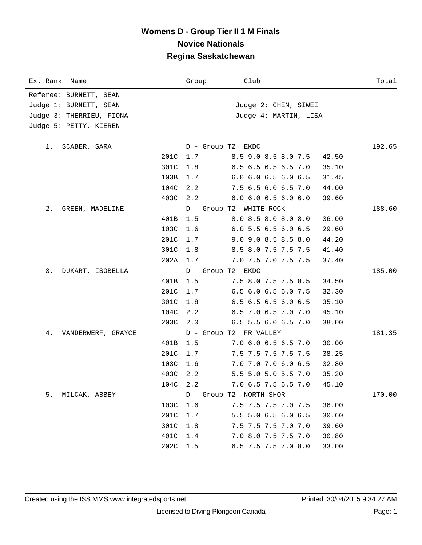| Ex. Rank Name            | Group             | Club                          | Total  |
|--------------------------|-------------------|-------------------------------|--------|
| Referee: BURNETT, SEAN   |                   |                               |        |
| Judge 1: BURNETT, SEAN   |                   | Judge 2: CHEN, SIWEI          |        |
| Judge 3: THERRIEU, FIONA |                   | Judge 4: MARTIN, LISA         |        |
| Judge 5: PETTY, KIEREN   |                   |                               |        |
|                          |                   |                               |        |
| 1. SCABER, SARA          | D - Group T2 EKDC |                               | 192.65 |
| 201C                     | 1.7               | 8.5 9.0 8.5 8.0 7.5           | 42.50  |
| 301C                     | $1.8$             | 6.5 6.5 6.5 6.5 7.0           | 35.10  |
| 103B                     | 1.7               | $6.0$ $6.0$ $6.5$ $6.0$ $6.5$ | 31.45  |
| 104C                     | 2.2               | 7.5 6.5 6.0 6.5 7.0           | 44.00  |
| 403C                     | 2.2               | $6.0$ $6.0$ $6.5$ $6.0$ $6.0$ | 39.60  |
| 2.<br>GREEN, MADELINE    |                   | D - Group T2 WHITE ROCK       | 188.60 |
| 401B                     | 1.5               | 8.0 8.5 8.0 8.0 8.0           | 36.00  |
| 103C                     | 1.6               | 6.0 5.5 6.5 6.0 6.5           | 29.60  |
| 201C                     | 1.7               | 9.0 9.0 8.5 8.5 8.0           | 44.20  |
| 301C                     | 1.8               | 8.5 8.0 7.5 7.5 7.5           | 41.40  |
|                          | 202A 1.7          | 7.0 7.5 7.0 7.5 7.5           | 37.40  |
| 3.<br>DUKART, ISOBELLA   | D - Group T2 EKDC |                               | 185.00 |
| 401B                     | 1.5               | 7.5 8.0 7.5 7.5 8.5           | 34.50  |
| 201C                     | 1.7               | 6.5 6.0 6.5 6.0 7.5           | 32.30  |
| 301C                     | 1.8               | $6.5$ $6.5$ $6.5$ $6.0$ $6.5$ | 35.10  |
| 104C                     | 2.2               | 6.5 7.0 6.5 7.0 7.0           | 45.10  |
| 203C                     | 2.0               | 6.5 5.5 6.0 6.5 7.0           | 38.00  |
| 4.<br>VANDERWERF, GRAYCE |                   | D - Group T2 FR VALLEY        | 181.35 |
| 401B                     | 1.5               | 7.0 6.0 6.5 6.5 7.0           | 30.00  |
| 201C                     | 1.7               | 7.5 7.5 7.5 7.5 7.5           | 38.25  |
| 103C                     | 1.6               | 7.0 7.0 7.0 6.0 6.5           | 32.80  |
| 403C                     | 2.2               | 5.5 5.0 5.0 5.5 7.0           | 35.20  |
| 104C 2.2                 |                   | 7.0 6.5 7.5 6.5 7.0           | 45.10  |
| 5.<br>MILCAK, ABBEY      |                   | D - Group T2 NORTH SHOR       | 170.00 |
| 103C                     | 1.6               | 7.5 7.5 7.5 7.0 7.5           | 36.00  |
| 201C                     | 1.7               | 5.5 5.0 6.5 6.0 6.5           | 30.60  |
| 301C                     | 1.8               | 7.5 7.5 7.5 7.0 7.0           | 39.60  |
| 401C                     | 1.4               | 7.0 8.0 7.5 7.5 7.0           | 30.80  |
| 202C                     | 1.5               | 6.5 7.5 7.5 7.0 8.0           | 33.00  |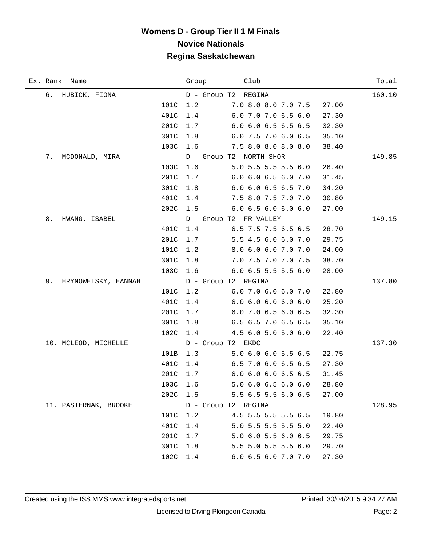|    | Ex. Rank Name         |          | Group | Club                          |       | Total  |
|----|-----------------------|----------|-------|-------------------------------|-------|--------|
|    | 6. HUBICK, FIONA      |          |       | D - Group T2 REGINA           |       | 160.10 |
|    |                       | 101C     | 1.2   | 7.0 8.0 8.0 7.0 7.5           | 27.00 |        |
|    |                       | 401C     | 1.4   | 6.0 7.0 7.0 6.5 6.0           | 27.30 |        |
|    |                       | 201C     | 1.7   | $6.0$ 6.0 6.5 6.5 6.5         | 32.30 |        |
|    |                       | 301C     | 1.8   | 6.0 7.5 7.0 6.0 6.5           | 35.10 |        |
|    |                       | 103C     | 1.6   | $7.5$ 8.0 8.0 8.0 8.0         | 38.40 |        |
| 7. | MCDONALD, MIRA        |          |       | D - Group T2 NORTH SHOR       |       | 149.85 |
|    |                       | 103C     | 1.6   | $5.0$ 5.5 5.5 5.5 6.0         | 26.40 |        |
|    |                       | 201C     | 1.7   | 6.0 6.0 6.5 6.0 7.0           | 31.45 |        |
|    |                       | 301C     | 1.8   | $6.0$ $6.0$ $6.5$ $6.5$ $7.0$ | 34.20 |        |
|    |                       | 401C     | 1.4   | 7.5 8.0 7.5 7.0 7.0           | 30.80 |        |
|    |                       | 202C     |       | 1.5 6.0 6.5 6.0 6.0 6.0       | 27.00 |        |
| 8. | HWANG, ISABEL         |          |       | D - Group T2 FR VALLEY        |       | 149.15 |
|    |                       | 401C     | 1.4   | 6.5 7.5 7.5 6.5 6.5           | 28.70 |        |
|    |                       | 201C     | 1.7   | 5.5 4.5 6.0 6.0 7.0           | 29.75 |        |
|    |                       | 101C     | 1.2   | 8.0 6.0 6.0 7.0 7.0           | 24.00 |        |
|    |                       | 301C     | 1.8   | 7.0 7.5 7.0 7.0 7.5           | 38.70 |        |
|    |                       | 103C     | 1.6   | 6.0 6.5 5.5 5.5 6.0           | 28.00 |        |
| 9. | HRYNOWETSKY, HANNAH   |          |       | D - Group T2 REGINA           |       | 137.80 |
|    |                       | 101C     | 1.2   | $6.0\,7.0\,6.0\,6.0\,7.0$     | 22.80 |        |
|    |                       | 401C     | 1.4   | 6.0 6.0 6.0 6.0 6.0           | 25.20 |        |
|    |                       | 201C     | 1.7   | 6.0 7.0 6.5 6.0 6.5           | 32.30 |        |
|    |                       | 301C     | 1.8   | 6.5 6.5 7.0 6.5 6.5           | 35.10 |        |
|    |                       | 102C     | 1.4   | 4.5 6.0 5.0 5.0 6.0           | 22.40 |        |
|    | 10. MCLEOD, MICHELLE  |          |       | D - Group T2 EKDC             |       | 137.30 |
|    |                       | 101B     | 1.3   | $5.0\,6.0\,6.0\,5.5\,6.5$     | 22.75 |        |
|    |                       | 401C     | 1.4   | 6.5 7.0 6.0 6.5 6.5           | 27.30 |        |
|    |                       | 201C     | 1.7   | 6.0 6.0 6.0 6.5 6.5           | 31.45 |        |
|    |                       | 103C 1.6 |       | 5.0 6.0 6.5 6.0 6.0           | 28.80 |        |
|    |                       | 202C     | 1.5   | 5.5 6.5 5.5 6.0 6.5           | 27.00 |        |
|    | 11. PASTERNAK, BROOKE |          |       | D - Group T2 REGINA           |       | 128.95 |
|    |                       | 101C     | 1.2   | 4.5 5.5 5.5 5.5 6.5           | 19.80 |        |
|    |                       | 401C     | 1.4   | 5.0 5.5 5.5 5.5 5.0           | 22.40 |        |
|    |                       | 201C     | 1.7   | 5.0 6.0 5.5 6.0 6.5           | 29.75 |        |
|    |                       | 301C     | 1.8   | 5.5 5.0 5.5 5.5 6.0           | 29.70 |        |
|    |                       | 102C     | 1.4   | 6.0 6.5 6.0 7.0 7.0           | 27.30 |        |

 $\overline{\phantom{0}}$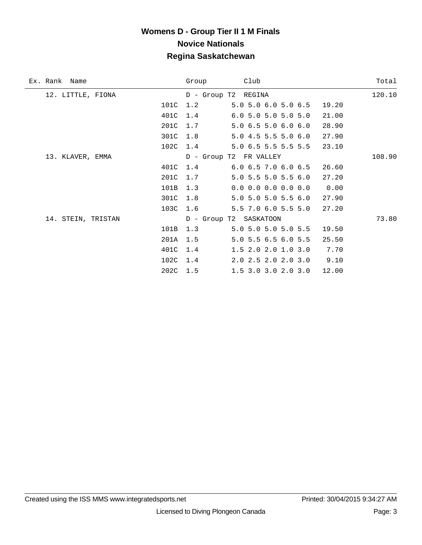| Ex. Rank Name      | Club<br>Group                                 | Total  |
|--------------------|-----------------------------------------------|--------|
| 12. LITTLE, FIONA  | D - Group T2 REGINA                           | 120.10 |
| 101C               | 1.2<br>5.0 5.0 6.0 5.0 6.5<br>19.20           |        |
| 401C               | $6.0$ 5.0 5.0 5.0 5.0<br>1.4<br>21.00         |        |
| 201C               | 1.7<br>5.0 6.5 5.0 6.0 6.0<br>28.90           |        |
| 301C               | 5.0 4.5 5.5 5.0 6.0<br>1.8<br>27.90           |        |
| 102C               | 5.0 6.5 5.5 5.5 5.5<br>23.10<br>1.4           |        |
| 13. KLAVER, EMMA   | D - Group T2 FR VALLEY                        | 108.90 |
| 401C               | $6.0$ $6.5$ $7.0$ $6.0$ $6.5$<br>26.60<br>1.4 |        |
| 201C               | 5.0 5.5 5.0 5.5 6.0<br>27.20<br>1.7           |        |
| 101B               | 1.3<br>$0.0$ 0.0 0.0 0.0 0.0<br>0.00          |        |
| 301C               | 1.8<br>5.0 5.0 5.0 5.5 6.0<br>27.90           |        |
| 103C               | 5.5 7.0 6.0 5.5 5.0<br>1.6<br>27.20           |        |
| 14. STEIN, TRISTAN | D - Group T2 SASKATOON                        | 73.80  |
| 101B               | 5.0 5.0 5.0 5.0 5.5<br>1.3<br>19.50           |        |
| 201A               | 5.0 5.5 6.5 6.0 5.5<br>1.5<br>25.50           |        |
| 401C               | 1.4<br>1.5 2.0 2.0 1.0 3.0<br>7.70            |        |
| 102C               | 9.10<br>2.0 2.5 2.0 2.0 3.0<br>1.4            |        |
| 202C               | 1.5<br>$1.5$ 3.0 3.0 2.0 3.0<br>12.00         |        |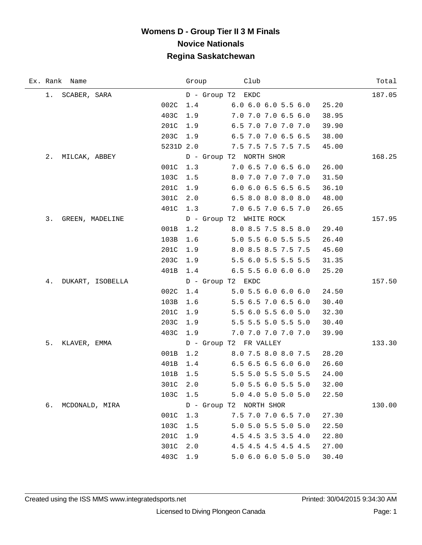|    | Ex. Rank Name    |           | Group | Club                      | Total  |
|----|------------------|-----------|-------|---------------------------|--------|
|    | 1. SCABER, SARA  |           |       | D - Group T2 EKDC         | 187.05 |
|    |                  | 002C      | 1.4   | 6.0 6.0 6.0 5.5 6.0       | 25.20  |
|    |                  | 403C      | 1.9   | 7.0 7.0 7.0 6.5 6.0       | 38.95  |
|    |                  | 201C      | 1.9   | 6.5 7.0 7.0 7.0 7.0       | 39.90  |
|    |                  | 203C      | 1.9   | 6.5 7.0 7.0 6.5 6.5       | 38.00  |
|    |                  | 5231D 2.0 |       | 7.5 7.5 7.5 7.5 7.5       | 45.00  |
|    | 2. MILCAK, ABBEY |           |       | D - Group T2 NORTH SHOR   | 168.25 |
|    |                  | 001C      | 1.3   | 7.06.57.06.56.0           | 26.00  |
|    |                  | 103C      | 1.5   | 8.0 7.0 7.0 7.0 7.0       | 31.50  |
|    |                  | 201C      | 1.9   | 6.0 6.0 6.5 6.5 6.5       | 36.10  |
|    |                  | 301C      | 2.0   | 6.5 8.0 8.0 8.0 8.0       | 48.00  |
|    |                  | 401C      | 1.3   | $7.0\,6.5\,7.0\,6.5\,7.0$ | 26.65  |
| 3. | GREEN, MADELINE  |           |       | D - Group T2 WHITE ROCK   | 157.95 |
|    |                  | 001B      | 1.2   | 8.0 8.5 7.5 8.5 8.0       | 29.40  |
|    |                  | 103B      | 1.6   | 5.0 5.5 6.0 5.5 5.5       | 26.40  |
|    |                  | 201C      | 1.9   | 8.0 8.5 8.5 7.5 7.5       | 45.60  |
|    |                  | 203C      | 1.9   | 5.5 6.0 5.5 5.5 5.5       | 31.35  |
|    |                  | 401B      | 1.4   | $6.5$ 5.5 6.0 6.0 6.0     | 25.20  |
| 4. | DUKART, ISOBELLA |           |       | D - Group T2 EKDC         | 157.50 |
|    |                  | 002C      | 1.4   | 5.05.56.06.06.0           | 24.50  |
|    |                  | 103B      | 1.6   | 5.5 6.5 7.0 6.5 6.0       | 30.40  |
|    |                  | 201C      | 1.9   | 5.5 6.0 5.5 6.0 5.0       | 32.30  |
|    |                  | 203C      | 1.9   | 5.5 5.5 5.0 5.5 5.0       | 30.40  |
|    |                  | 403C      | 1.9   | 7.0 7.0 7.0 7.0 7.0       | 39.90  |
| 5. | KLAVER, EMMA     |           |       | D - Group T2 FR VALLEY    | 133.30 |
|    |                  | 001B      | 1.2   | 8.0 7.5 8.0 8.0 7.5       | 28.20  |
|    |                  | 401B      | 1.4   | $6.5$ 6.5 6.5 6.0 6.0     | 26.60  |
|    |                  | 101B      | 1.5   | 5.5 5.0 5.5 5.0 5.5       | 24.00  |
|    |                  | 301C 2.0  |       | 5.0 5.5 6.0 5.5 5.0       | 32.00  |
|    |                  | 103C      | 1.5   | 5.0 4.0 5.0 5.0 5.0       | 22.50  |
| б. | MCDONALD, MIRA   |           |       | D - Group T2 NORTH SHOR   | 130.00 |
|    |                  | 001C      | 1.3   | 7.5 7.0 7.0 6.5 7.0       | 27.30  |
|    |                  | 103C      | 1.5   | 5.0 5.0 5.5 5.0 5.0       | 22.50  |
|    |                  | 201C      | 1.9   | 4.5 4.5 3.5 3.5 4.0       | 22.80  |
|    |                  | 301C      | 2.0   | 4.5 4.5 4.5 4.5 4.5       | 27.00  |
|    |                  | 403C      | 1.9   | 5.0 6.0 6.0 5.0 5.0       | 30.40  |

÷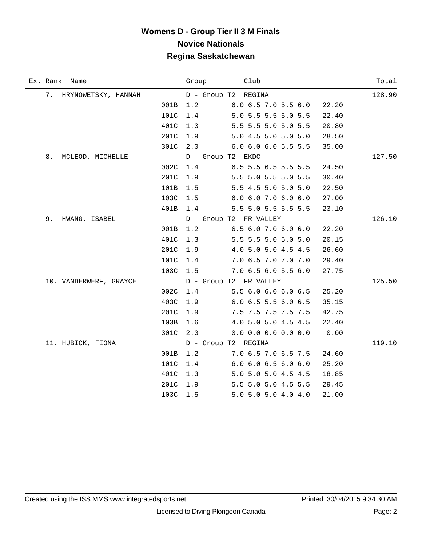| Ex. Rank Name             | Group | Club                          | Total  |
|---------------------------|-------|-------------------------------|--------|
| 7.<br>HRYNOWETSKY, HANNAH |       | D - Group T2 REGINA           | 128.90 |
| 001B                      | 1.2   | $6.0$ $6.5$ $7.0$ $5.5$ $6.0$ | 22.20  |
| 101C                      | 1.4   | 5.0 5.5 5.5 5.0 5.5           | 22.40  |
| 401C                      | 1.3   | 5.5 5.5 5.0 5.0 5.5           | 20.80  |
| 201C                      | 1.9   | 5.0 4.5 5.0 5.0 5.0           | 28.50  |
| 301C                      | 2.0   | 6.0 6.0 6.0 5.5 5.5           | 35.00  |
| 8.<br>MCLEOD, MICHELLE    |       | D - Group T2 EKDC             | 127.50 |
| 002C                      | 1.4   | 6.5 5.5 6.5 5.5 5.5           | 24.50  |
| 201C                      | 1.9   | 5.5 5.0 5.5 5.0 5.5           | 30.40  |
| 101B                      | 1.5   | 5.5 4.5 5.0 5.0 5.0           | 22.50  |
| 103C                      | 1.5   | 6.0 6.0 7.0 6.0 6.0           | 27.00  |
| 401B                      | 1.4   | 5.5 5.0 5.5 5.5 5.5           | 23.10  |
| 9.<br>HWANG, ISABEL       |       | D - Group T2 FR VALLEY        | 126.10 |
| 001B                      | 1.2   | 6.5 6.0 7.0 6.0 6.0           | 22.20  |
| 401C                      | 1.3   | 5.5 5.5 5.0 5.0 5.0           | 20.15  |
| 201C                      | 1.9   | 4.0 5.0 5.0 4.5 4.5           | 26.60  |
| 101C                      | 1.4   | 7.0 6.5 7.0 7.0 7.0           | 29.40  |
| 103C                      | 1.5   | 7.0 6.5 6.0 5.5 6.0           | 27.75  |
| 10. VANDERWERF, GRAYCE    |       | D - Group T2 FR VALLEY        | 125.50 |
| 002C                      | 1.4   | 5.5 6.0 6.0 6.0 6.5           | 25.20  |
| 403C                      | 1.9   | $6.0$ 6.5 5.5 6.0 6.5         | 35.15  |
| 201C                      | 1.9   | 7.5 7.5 7.5 7.5 7.5           | 42.75  |
| 103B                      | 1.6   | 4.0 5.0 5.0 4.5 4.5           | 22.40  |
| 301C                      | 2.0   | $0.0$ 0.0 0.0 0.0 0.0         | 0.00   |
| 11. HUBICK, FIONA         |       | D - Group T2 REGINA           | 119.10 |
| 001B                      | 1.2   | 7.0 6.5 7.0 6.5 7.5           | 24.60  |
| 101C                      | 1.4   | 6.06.06.56.06.0               | 25.20  |
| 401C                      | 1.3   | 5.0 5.0 5.0 4.5 4.5           | 18.85  |
| 201C                      | 1.9   | 5.5 5.0 5.0 4.5 5.5           | 29.45  |
| 103C                      | 1.5   | 5.0 5.0 5.0 4.0 4.0           | 21.00  |

÷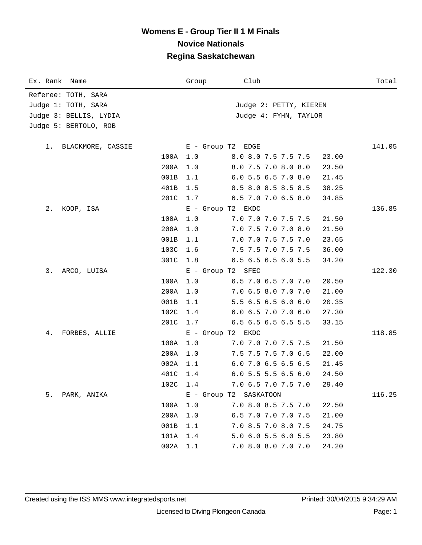| Ex. Rank Name           | Group             | Club                   | Total  |
|-------------------------|-------------------|------------------------|--------|
| Referee: TOTH, SARA     |                   |                        |        |
| Judge 1: TOTH, SARA     |                   | Judge 2: PETTY, KIEREN |        |
| Judge 3: BELLIS, LYDIA  |                   | Judge 4: FYHN, TAYLOR  |        |
| Judge 5: BERTOLO, ROB   |                   |                        |        |
|                         |                   |                        |        |
| BLACKMORE, CASSIE<br>1. | E - Group T2 EDGE |                        | 141.05 |
| 100A                    | 1.0               | 8.0 8.0 7.5 7.5 7.5    | 23.00  |
| 200A                    | 1.0               | 8.0 7.5 7.0 8.0 8.0    | 23.50  |
| 001B                    | 1.1               | 6.0 5.5 6.5 7.0 8.0    | 21.45  |
| 401B                    | 1.5               | 8.5 8.0 8.5 8.5 8.5    | 38.25  |
| 201C                    | 1.7               | 6.5 7.0 7.0 6.5 8.0    | 34.85  |
| 2.<br>KOOP, ISA         | E - Group T2 EKDC |                        | 136.85 |
| 100A                    | 1.0               | 7.0 7.0 7.0 7.5 7.5    | 21.50  |
| 200A                    | 1.0               | 7.0 7.5 7.0 7.0 8.0    | 21.50  |
| 001B                    | 1.1               | 7.0 7.0 7.5 7.5 7.0    | 23.65  |
| 103C                    | 1.6               | 7.5 7.5 7.0 7.5 7.5    | 36.00  |
| 301C                    | 1.8               | 6.5 6.5 6.5 6.0 5.5    | 34.20  |
| 3.<br>ARCO, LUISA       | E - Group T2 SFEC |                        | 122.30 |
| 100A                    | 1.0               | 6.5 7.0 6.5 7.0 7.0    | 20.50  |
| 200A                    | 1.0               | 7.0 6.5 8.0 7.0 7.0    | 21.00  |
| 001B                    | 1.1               | 5.5 6.5 6.5 6.0 6.0    | 20.35  |
| 102C                    | 1.4               | 6.0 6.5 7.0 7.0 6.0    | 27.30  |
| 201C                    | 1.7               | 6.5 6.5 6.5 6.5 5.5    | 33.15  |
| 4.<br>FORBES, ALLIE     | E - Group T2 EKDC |                        | 118.85 |
| 100A                    | 1.0               | 7.0 7.0 7.0 7.5 7.5    | 21.50  |
| 200A                    | 1.0               | 7.5 7.5 7.5 7.0 6.5    | 22.00  |
| 002A                    | 1.1               | 6.0 7.0 6.5 6.5 6.5    | 21.45  |
|                         | 401C 1.4          | $6.0$ 5.5 5.5 6.5 6.0  | 24.50  |
|                         | 102C 1.4          | 7.0 6.5 7.0 7.5 7.0    | 29.40  |
| 5.<br>PARK, ANIKA       |                   | E - Group T2 SASKATOON | 116.25 |
| 100A                    | 1.0               | 7.0 8.0 8.5 7.5 7.0    | 22.50  |
| 200A                    | 1.0               | 6.5 7.0 7.0 7.0 7.5    | 21.00  |
| 001B                    | 1.1               | 7.0 8.5 7.0 8.0 7.5    | 24.75  |
| 101A                    | 1.4               | 5.0 6.0 5.5 6.0 5.5    | 23.80  |
| 002A                    | $1.1$             | 7.0 8.0 8.0 7.0 7.0    | 24.20  |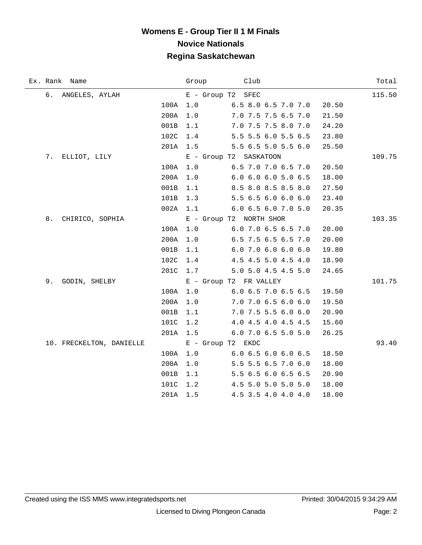| Ex. Rank Name            |      | Group          | Club                    |       | Total  |
|--------------------------|------|----------------|-------------------------|-------|--------|
| б.<br>ANGELES, AYLAH     |      | $E -$ Group T2 | SFEC                    |       | 115.50 |
|                          | 100A | 1.0            | 6.5 8.0 6.5 7.0 7.0     | 20.50 |        |
|                          | 200A | 1.0            | 7.0 7.5 7.5 6.5 7.0     | 21.50 |        |
|                          | 001B | 1.1            | 7.0 7.5 7.5 8.0 7.0     | 24.20 |        |
|                          | 102C | 1.4            | 5.5 5.5 6.0 5.5 6.5     | 23.80 |        |
|                          | 201A | 1.5            | 5.5 6.5 5.0 5.5 6.0     | 25.50 |        |
| 7.<br>ELLIOT, LILY       |      |                | E - Group T2 SASKATOON  |       | 109.75 |
|                          | 100A | 1.0            | 6.5 7.0 7.0 6.5 7.0     | 20.50 |        |
|                          | 200A | 1.0            | 6.06.06.05.06.5         | 18.00 |        |
|                          | 001B | 1.1            | 8.5 8.0 8.5 8.5 8.0     | 27.50 |        |
|                          | 101B | 1.3            | 5.5 6.5 6.0 6.0 6.0     | 23.40 |        |
|                          | 002A | 1.1            | 6.0 6.5 6.0 7.0 5.0     | 20.35 |        |
| 8.<br>CHIRICO, SOPHIA    |      |                | E - Group T2 NORTH SHOR |       | 103.35 |
|                          | 100A | 1.0            | 6.0 7.0 6.5 6.5 7.0     | 20.00 |        |
|                          | 200A | 1.0            | 6.5 7.5 6.5 6.5 7.0     | 20.00 |        |
|                          | 001B | 1.1            | $6.0$ 7.0 6.0 6.0 6.0   | 19.80 |        |
|                          | 102C | 1.4            | 4.5 4.5 5.0 4.5 4.0     | 18.90 |        |
|                          | 201C | 1.7            | 5.0 5.0 4.5 4.5 5.0     | 24.65 |        |
| 9.<br>GODIN, SHELBY      |      |                | E - Group T2 FR VALLEY  |       | 101.75 |
|                          | 100A | 1.0            | 6.0 6.5 7.0 6.5 6.5     | 19.50 |        |
|                          | 200A | 1.0            | 7.0 7.0 6.5 6.0 6.0     | 19.50 |        |
|                          | 001B | 1.1            | 7.0 7.5 5.5 6.0 6.0     | 20.90 |        |
|                          | 101C | 1.2            | 4.0 4.5 4.0 4.5 4.5     | 15.60 |        |
|                          | 201A | 1.5            | 6.0 7.0 6.5 5.0 5.0     | 26.25 |        |
| 10. FRECKELTON, DANIELLE |      |                | E - Group T2 EKDC       |       | 93.40  |
|                          | 100A | $1.0$          | 6.06.56.06.06.5         | 18.50 |        |
|                          | 200A | 1.0            | 5.5 5.5 6.5 7.0 6.0     | 18.00 |        |
|                          | 001B | 1.1            | 5.5 6.5 6.0 6.5 6.5     | 20.90 |        |
|                          | 101C | 1.2            | 4.5 5.0 5.0 5.0 5.0     | 18.00 |        |
|                          | 201A | 1.5            | 4.5 3.5 4.0 4.0 4.0     | 18.00 |        |

 $\overline{\phantom{0}}$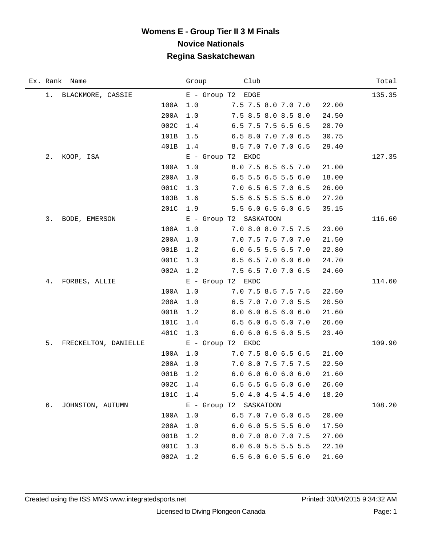|    | Ex. Rank Name        |          |     | Group Club                             | Total  |
|----|----------------------|----------|-----|----------------------------------------|--------|
|    | 1. BLACKMORE, CASSIE |          |     | E - Group T2 EDGE                      | 135.35 |
|    |                      | 100A 1.0 |     | 7.5 7.5 8.0 7.0 7.0<br>22.00           |        |
|    |                      | 200A     | 1.0 | 7.5 8.5 8.0 8.5 8.0<br>24.50           |        |
|    |                      | 002C     | 1.4 | 6.5 7.5 7.5 6.5 6.5<br>28.70           |        |
|    |                      | 101B     | 1.5 | 6.5 8.0 7.0 7.0 6.5<br>30.75           |        |
|    |                      | 401B     | 1.4 | 8.5 7.0 7.0 7.0 6.5<br>29.40           |        |
| 2. | KOOP, ISA            |          |     | $E -$ Group T2 EKDC                    | 127.35 |
|    |                      | 100A     | 1.0 | 8.0 7.5 6.5 6.5 7.0<br>21.00           |        |
|    |                      | 200A     | 1.0 | 6.5 5.5 6.5 5.5 6.0<br>18.00           |        |
|    |                      | 001C     | 1.3 | 7.0 6.5 6.5 7.0 6.5<br>26.00           |        |
|    |                      | 103B     | 1.6 | 5.5 6.5 5.5 5.5 6.0<br>27.20           |        |
|    |                      | 201C     |     | 1.9 5.5 6.0 6.5 6.0 6.5<br>35.15       |        |
| 3. | BODE, EMERSON        |          |     | E - Group T2 SASKATOON                 | 116.60 |
|    |                      | 100A     | 1.0 | 7.0 8.0 8.0 7.5 7.5<br>23.00           |        |
|    |                      | 200A     | 1.0 | 7.0 7.5 7.5 7.0 7.0<br>21.50           |        |
|    |                      | 001B     | 1.2 | 6.0 6.5 5.5 6.5 7.0<br>22.80           |        |
|    |                      | 001C     | 1.3 | 6.5 6.5 7.0 6.0 6.0<br>24.70           |        |
|    |                      | 002A     | 1.2 | 7.5 6.5 7.0 7.0 6.5<br>24.60           |        |
| 4. | FORBES, ALLIE        |          |     | E - Group T2 EKDC                      | 114.60 |
|    |                      | 100A     | 1.0 | 7.0 7.5 8.5 7.5 7.5<br>22.50           |        |
|    |                      | 200A     | 1.0 | 6.5 7.0 7.0 7.0 5.5<br>20.50           |        |
|    |                      | 001B     | 1.2 | 6.06.06.56.06.0<br>21.60               |        |
|    |                      | 101C     | 1.4 | 6.5 6.0 6.5 6.0 7.0<br>26.60           |        |
|    |                      | 401C     | 1.3 | 6.0 6.0 6.5 6.0 5.5<br>23.40           |        |
| 5. | FRECKELTON, DANIELLE |          |     | E - Group T2 EKDC                      | 109.90 |
|    |                      | 100A 1.0 |     | $7.0$ $7.5$ $8.0$ $6.5$ $6.5$<br>21.00 |        |
|    |                      | 200A     | 1.0 | 7.0 8.0 7.5 7.5 7.5<br>22.50           |        |
|    |                      | 001B     | 1.2 | 6.06.06.06.06.0<br>21.60               |        |
|    |                      | 002C     | 1.4 | 6.5 6.5 6.5 6.0 6.0<br>26.60           |        |
|    |                      | 101C     | 1.4 | 5.0 4.0 4.5 4.5 4.0<br>18.20           |        |
| б. | JOHNSTON, AUTUMN     |          |     | E - Group T2 SASKATOON                 | 108.20 |
|    |                      | 100A     | 1.0 | 6.5 7.0 7.0 6.0 6.5<br>20.00           |        |
|    |                      | 200A     | 1.0 | $6.0$ $6.0$ $5.5$ $5.5$ $6.0$<br>17.50 |        |
|    |                      | 001B     | 1.2 | 8.0 7.0 8.0 7.0 7.5<br>27.00           |        |
|    |                      | 001C     | 1.3 | 6.0 6.0 5.5 5.5 5.5<br>22.10           |        |
|    |                      | 002A     | 1.2 | 6.5 6.0 6.0 5.5 6.0<br>21.60           |        |

÷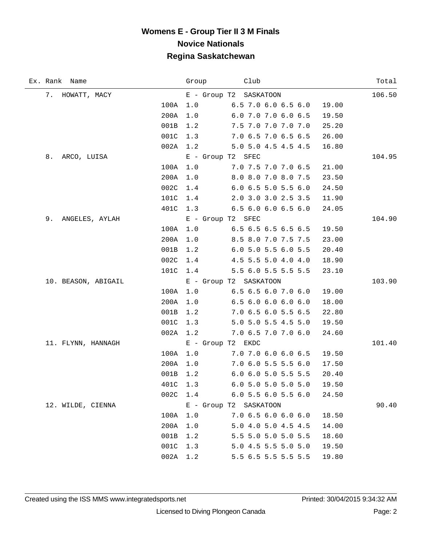| Ex. Rank Name        | Club<br>Group                                 | Total  |
|----------------------|-----------------------------------------------|--------|
| 7. HOWATT, MACY      | E - Group T2 SASKATOON                        | 106.50 |
| 100A                 | 6.5 7.0 6.0 6.5 6.0<br>1.0<br>19.00           |        |
| 200A                 | 1.0<br>6.0 7.0 7.0 6.0 6.5<br>19.50           |        |
| 001B                 | 7.5 7.0 7.0 7.0 7.0<br>1.2<br>25.20           |        |
| 001C                 | 1.3<br>7.0 6.5 7.0 6.5 6.5<br>26.00           |        |
| 002A                 | 1.2<br>5.0 5.0 4.5 4.5 4.5<br>16.80           |        |
| 8.<br>ARCO, LUISA    | E - Group T2 SFEC                             | 104.95 |
| 100A                 | 1.0<br>7.0 7.5 7.0 7.0 6.5<br>21.00           |        |
| 200A                 | 1.0<br>8.0 8.0 7.0 8.0 7.5<br>23.50           |        |
| 002C                 | 1.4<br>6.0 6.5 5.0 5.5 6.0<br>24.50           |        |
| 101C                 | 1.4<br>2.0 3.0 3.0 2.5 3.5<br>11.90           |        |
| 401C                 | 6.56.06.06.56.0<br>1.3<br>24.05               |        |
| 9.<br>ANGELES, AYLAH | E - Group T2 SFEC                             | 104.90 |
| 100A                 | 1.0<br>6.5 6.5 6.5 6.5 6.5<br>19.50           |        |
| 200A                 | 1.0<br>8.5 8.0 7.0 7.5 7.5<br>23.00           |        |
| 001B                 | 1.2<br>6.0 5.0 5.5 6.0 5.5<br>20.40           |        |
| 002C                 | 1.4<br>4.5 5.5 5.0 4.0 4.0<br>18.90           |        |
| 101C                 | 5.5 6.0 5.5 5.5 5.5<br>23.10<br>1.4           |        |
| 10. BEASON, ABIGAIL  | E - Group T2 SASKATOON                        | 103.90 |
| 100A                 | 6.56.56.07.06.0<br>1.0<br>19.00               |        |
| 200A                 | 6.5 6.0 6.0 6.0 6.0<br>18.00<br>1.0           |        |
| 001B                 | 1.2<br>7.0 6.5 6.0 5.5 6.5<br>22.80           |        |
| 001C                 | 1.3<br>5.0 5.0 5.5 4.5 5.0<br>19.50           |        |
| 002A                 | 7.0 6.5 7.0 7.0 6.0<br>1.2<br>24.60           |        |
| 11. FLYNN, HANNAGH   | E - Group T2 EKDC                             | 101.40 |
| 100A                 | 1.0<br>$7.0$ $7.0$ $6.0$ $6.0$ $6.5$<br>19.50 |        |
| 200A                 | 7.0 6.0 5.5 5.5 6.0<br>17.50<br>1.0           |        |
| 001B                 | 6.0 6.0 5.0 5.5 5.5<br>1.2<br>20.40           |        |
|                      | 401C 1.3<br>6.0 5.0 5.0 5.0 5.0<br>19.50      |        |
| 002C                 | 1.4<br>6.05.56.05.56.0<br>24.50               |        |
| 12. WILDE, CIENNA    | E - Group T2 SASKATOON                        | 90.40  |
| 100A                 | 1.0<br>7.0 6.5 6.0 6.0 6.0<br>18.50           |        |
| 200A                 | 1.0<br>5.0 4.0 5.0 4.5 4.5<br>14.00           |        |
| 001B                 | 5.5 5.0 5.0 5.0 5.5<br>1.2<br>18.60           |        |
| 001C                 | 1.3<br>5.0 4.5 5.5 5.0 5.0<br>19.50           |        |
| 002A                 | 1.2<br>5.5 6.5 5.5 5.5 5.5<br>19.80           |        |

÷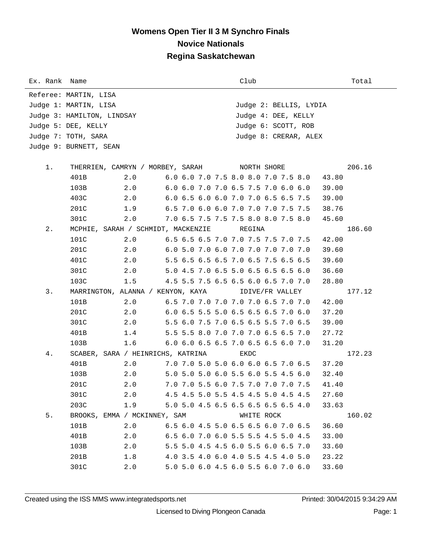## **Womens Open Tier II 3 M Synchro Finals Novice Nationals Regina Saskatchewan**

| Ex. Rank Name |                                                   |                              |                                              |  | Club       |                                     | Total  |  |  |  |  |  |
|---------------|---------------------------------------------------|------------------------------|----------------------------------------------|--|------------|-------------------------------------|--------|--|--|--|--|--|
|               | Referee: MARTIN, LISA                             |                              |                                              |  |            |                                     |        |  |  |  |  |  |
|               | Judge 1: MARTIN, LISA                             |                              |                                              |  |            | Judge 2: BELLIS, LYDIA              |        |  |  |  |  |  |
|               | Judge 4: DEE, KELLY<br>Judge 3: HAMILTON, LINDSAY |                              |                                              |  |            |                                     |        |  |  |  |  |  |
|               | Judge 6: SCOTT, ROB<br>Judge 5: DEE, KELLY        |                              |                                              |  |            |                                     |        |  |  |  |  |  |
|               | Judge 8: CRERAR, ALEX<br>Judge 7: TOTH, SARA      |                              |                                              |  |            |                                     |        |  |  |  |  |  |
|               | Judge 9: BURNETT, SEAN                            |                              |                                              |  |            |                                     |        |  |  |  |  |  |
| 1.            |                                                   |                              | THERRIEN, CAMRYN / MORBEY, SARAH NORTH SHORE |  |            | 206.16                              |        |  |  |  |  |  |
|               | 401B                                              | 2.0                          |                                              |  |            | 6.0 6.0 7.0 7.5 8.0 8.0 7.0 7.5 8.0 | 43.80  |  |  |  |  |  |
|               | 103B                                              | 2.0                          |                                              |  |            | 6.0 6.0 7.0 7.0 6.5 7.5 7.0 6.0 6.0 | 39.00  |  |  |  |  |  |
|               | 403C                                              | 2.0                          |                                              |  |            | 6.0 6.5 6.0 6.0 7.0 7.0 6.5 6.5 7.5 | 39.00  |  |  |  |  |  |
|               | 201C                                              | 1.9                          |                                              |  |            | 6.5 7.0 6.0 6.0 7.0 7.0 7.0 7.5 7.5 | 38.76  |  |  |  |  |  |
|               | 301C                                              | 2.0                          |                                              |  |            | 7.0 6.5 7.5 7.5 7.5 8.0 8.0 7.5 8.0 | 45.60  |  |  |  |  |  |
| $2$ .         |                                                   |                              | MCPHIE, SARAH / SCHMIDT, MACKENZIE           |  | REGINA     |                                     | 186.60 |  |  |  |  |  |
|               | 101C                                              | 2.0                          |                                              |  |            | 6.5 6.5 6.5 7.0 7.0 7.5 7.5 7.0 7.5 | 42.00  |  |  |  |  |  |
|               | 201C                                              | 2.0                          |                                              |  |            | 6.0 5.0 7.0 6.0 7.0 7.0 7.0 7.0 7.0 | 39.60  |  |  |  |  |  |
|               | 401C                                              | 2.0                          |                                              |  |            | 5.5 6.5 6.5 6.5 7.0 6.5 7.5 6.5 6.5 | 39.60  |  |  |  |  |  |
|               | 301C                                              | 2.0                          |                                              |  |            | 5.0 4.5 7.0 6.5 5.0 6.5 6.5 6.5 6.0 | 36.60  |  |  |  |  |  |
|               | 103C                                              | 1.5                          |                                              |  |            | 4.5 5.5 7.5 6.5 6.5 6.0 6.5 7.0 7.0 | 28.80  |  |  |  |  |  |
| 3.            |                                                   |                              | MARRINGTON, ALANNA / KENYON, KAYA            |  |            | IDIVE/FR VALLEY                     | 177.12 |  |  |  |  |  |
|               | 101B                                              | 2.0                          |                                              |  |            | 6.5 7.0 7.0 7.0 7.0 7.0 6.5 7.0 7.0 | 42.00  |  |  |  |  |  |
|               | 201C                                              | 2.0                          |                                              |  |            | 6.0 6.5 5.5 5.0 6.5 6.5 6.5 7.0 6.0 | 37.20  |  |  |  |  |  |
|               | 301C                                              | 2.0                          |                                              |  |            | 5.5 6.0 7.5 7.0 6.5 6.5 5.5 7.0 6.5 | 39.00  |  |  |  |  |  |
|               | 401B                                              | 1.4                          |                                              |  |            | 5.5 5.5 8.0 7.0 7.0 7.0 6.5 6.5 7.0 | 27.72  |  |  |  |  |  |
|               | 103B                                              | 1.6                          |                                              |  |            | 6.0 6.0 6.5 6.5 7.0 6.5 6.5 6.0 7.0 | 31.20  |  |  |  |  |  |
| 4.            |                                                   |                              | SCABER, SARA / HEINRICHS, KATRINA            |  | EKDC       |                                     | 172.23 |  |  |  |  |  |
|               | 401B                                              | 2.0                          |                                              |  |            | 7.0 7.0 5.0 5.0 6.0 6.0 6.5 7.0 6.5 | 37.20  |  |  |  |  |  |
|               | 103B                                              | 2.0                          |                                              |  |            | 5.0 5.0 5.0 6.0 5.5 6.0 5.5 4.5 6.0 | 32.40  |  |  |  |  |  |
|               | 201C                                              | 2.0                          |                                              |  |            | 7.0 7.0 5.5 6.0 7.5 7.0 7.0 7.0 7.5 | 41.40  |  |  |  |  |  |
|               | 301C                                              | 2.0                          |                                              |  |            | 4.5 4.5 5.0 5.5 4.5 4.5 5.0 4.5 4.5 | 27.60  |  |  |  |  |  |
|               | 203C                                              | 1.9                          |                                              |  |            | 5.0 5.0 4.5 6.5 6.5 6.5 6.5 6.5 4.0 | 33.63  |  |  |  |  |  |
| 5.            |                                                   | BROOKS, EMMA / MCKINNEY, SAM |                                              |  | WHITE ROCK |                                     | 160.02 |  |  |  |  |  |
|               | 101B                                              | 2.0                          |                                              |  |            | 6.5 6.0 4.5 5.0 6.5 6.5 6.0 7.0 6.5 | 36.60  |  |  |  |  |  |
|               | 401B                                              | 2.0                          |                                              |  |            | 6.5 6.0 7.0 6.0 5.5 5.5 4.5 5.0 4.5 | 33.00  |  |  |  |  |  |
|               | 103B                                              | 2.0                          |                                              |  |            | 5.5 5.0 4.5 4.5 6.0 5.5 6.0 6.5 7.0 | 33.60  |  |  |  |  |  |
|               | 201B                                              | 1.8                          |                                              |  |            | 4.0 3.5 4.0 6.0 4.0 5.5 4.5 4.0 5.0 | 23.22  |  |  |  |  |  |
|               | 301C                                              | 2.0                          |                                              |  |            | 5.0 5.0 6.0 4.5 6.0 5.5 6.0 7.0 6.0 | 33.60  |  |  |  |  |  |